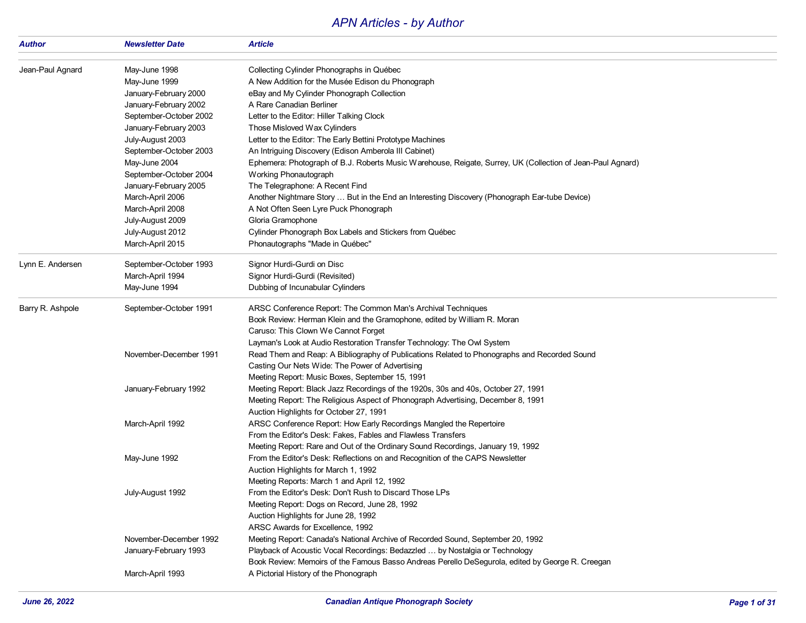## *APN Articles - by Author*

| Author           | <b>Newsletter Date</b> | <b>Article</b>                                                                                             |
|------------------|------------------------|------------------------------------------------------------------------------------------------------------|
| Jean-Paul Agnard | May-June 1998          | Collecting Cylinder Phonographs in Québec                                                                  |
|                  | May-June 1999          | A New Addition for the Musée Edison du Phonograph                                                          |
|                  | January-February 2000  | eBay and My Cylinder Phonograph Collection                                                                 |
|                  | January-February 2002  | A Rare Canadian Berliner                                                                                   |
|                  | September-October 2002 | Letter to the Editor: Hiller Talking Clock                                                                 |
|                  | January-February 2003  | Those Misloved Wax Cylinders                                                                               |
|                  | July-August 2003       | Letter to the Editor: The Early Bettini Prototype Machines                                                 |
|                  | September-October 2003 | An Intriguing Discovery (Edison Amberola III Cabinet)                                                      |
|                  | May-June 2004          | Ephemera: Photograph of B.J. Roberts Music Warehouse, Reigate, Surrey, UK (Collection of Jean-Paul Agnard) |
|                  | September-October 2004 | Working Phonautograph                                                                                      |
|                  | January-February 2005  | The Telegraphone: A Recent Find                                                                            |
|                  | March-April 2006       | Another Nightmare Story  But in the End an Interesting Discovery (Phonograph Ear-tube Device)              |
|                  | March-April 2008       | A Not Often Seen Lyre Puck Phonograph                                                                      |
|                  | July-August 2009       | Gloria Gramophone                                                                                          |
|                  | July-August 2012       | Cylinder Phonograph Box Labels and Stickers from Québec                                                    |
|                  | March-April 2015       | Phonautographs "Made in Québec"                                                                            |
| Lynn E. Andersen | September-October 1993 | Signor Hurdi-Gurdi on Disc                                                                                 |
|                  | March-April 1994       | Signor Hurdi-Gurdi (Revisited)                                                                             |
|                  | May-June 1994          | Dubbing of Incunabular Cylinders                                                                           |
| Barry R. Ashpole | September-October 1991 | ARSC Conference Report: The Common Man's Archival Techniques                                               |
|                  |                        | Book Review: Herman Klein and the Gramophone, edited by William R. Moran                                   |
|                  |                        | Caruso: This Clown We Cannot Forget                                                                        |
|                  |                        | Layman's Look at Audio Restoration Transfer Technology: The Owl System                                     |
|                  | November-December 1991 | Read Them and Reap: A Bibliography of Publications Related to Phonographs and Recorded Sound               |
|                  |                        | Casting Our Nets Wide: The Power of Advertising                                                            |
|                  |                        | Meeting Report: Music Boxes, September 15, 1991                                                            |
|                  | January-February 1992  | Meeting Report: Black Jazz Recordings of the 1920s, 30s and 40s, October 27, 1991                          |
|                  |                        | Meeting Report: The Religious Aspect of Phonograph Advertising, December 8, 1991                           |
|                  |                        | Auction Highlights for October 27, 1991                                                                    |
|                  | March-April 1992       | ARSC Conference Report: How Early Recordings Mangled the Repertoire                                        |
|                  |                        | From the Editor's Desk: Fakes, Fables and Flawless Transfers                                               |
|                  |                        | Meeting Report: Rare and Out of the Ordinary Sound Recordings, January 19, 1992                            |
|                  | May-June 1992          | From the Editor's Desk: Reflections on and Recognition of the CAPS Newsletter                              |
|                  |                        | Auction Highlights for March 1, 1992                                                                       |
|                  |                        | Meeting Reports: March 1 and April 12, 1992                                                                |
|                  | July-August 1992       | From the Editor's Desk: Don't Rush to Discard Those LPs                                                    |
|                  |                        | Meeting Report: Dogs on Record, June 28, 1992                                                              |
|                  |                        | Auction Highlights for June 28, 1992                                                                       |
|                  |                        | ARSC Awards for Excellence, 1992                                                                           |
|                  | November-December 1992 | Meeting Report: Canada's National Archive of Recorded Sound, September 20, 1992                            |
|                  | January-February 1993  | Playback of Acoustic Vocal Recordings: Bedazzled  by Nostalgia or Technology                               |
|                  |                        | Book Review: Memoirs of the Famous Basso Andreas Perello DeSegurola, edited by George R. Creegan           |
|                  | March-April 1993       | A Pictorial History of the Phonograph                                                                      |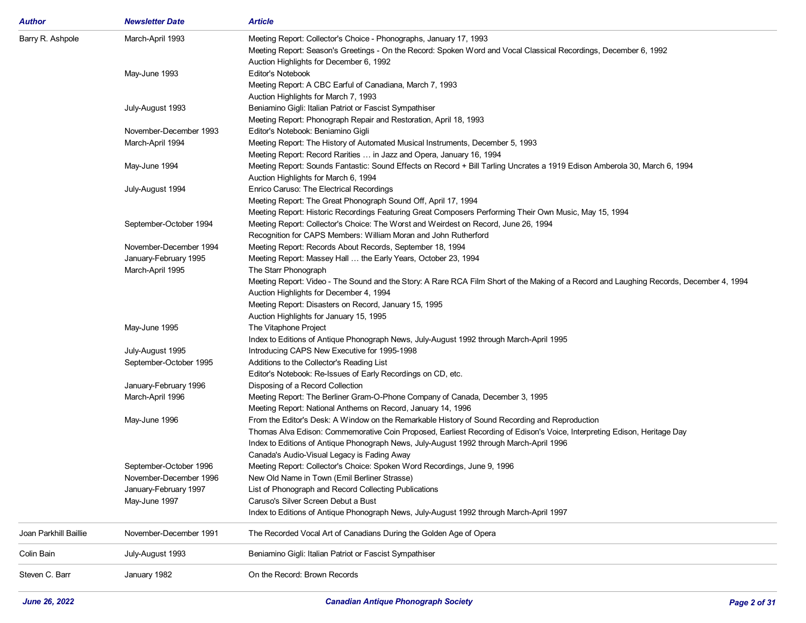| Author                | <b>Newsletter Date</b> | <b>Article</b>                                                                                                                          |
|-----------------------|------------------------|-----------------------------------------------------------------------------------------------------------------------------------------|
| Barry R. Ashpole      | March-April 1993       | Meeting Report: Collector's Choice - Phonographs, January 17, 1993                                                                      |
|                       |                        | Meeting Report: Season's Greetings - On the Record: Spoken Word and Vocal Classical Recordings, December 6, 1992                        |
|                       |                        | Auction Highlights for December 6, 1992                                                                                                 |
|                       | May-June 1993          | Editor's Notebook                                                                                                                       |
|                       |                        | Meeting Report: A CBC Earful of Canadiana, March 7, 1993                                                                                |
|                       |                        | Auction Highlights for March 7, 1993                                                                                                    |
|                       | July-August 1993       | Beniamino Gigli: Italian Patriot or Fascist Sympathiser                                                                                 |
|                       |                        | Meeting Report: Phonograph Repair and Restoration, April 18, 1993                                                                       |
|                       | November-December 1993 | Editor's Notebook: Beniamino Gigli                                                                                                      |
|                       | March-April 1994       | Meeting Report: The History of Automated Musical Instruments, December 5, 1993                                                          |
|                       |                        | Meeting Report: Record Rarities  in Jazz and Opera, January 16, 1994                                                                    |
|                       | May-June 1994          | Meeting Report: Sounds Fantastic: Sound Effects on Record + Bill Tarling Uncrates a 1919 Edison Amberola 30, March 6, 1994              |
|                       |                        | Auction Highlights for March 6, 1994                                                                                                    |
|                       | July-August 1994       | Enrico Caruso: The Electrical Recordings                                                                                                |
|                       |                        | Meeting Report: The Great Phonograph Sound Off, April 17, 1994                                                                          |
|                       |                        | Meeting Report: Historic Recordings Featuring Great Composers Performing Their Own Music, May 15, 1994                                  |
|                       | September-October 1994 | Meeting Report: Collector's Choice: The Worst and Weirdest on Record, June 26, 1994                                                     |
|                       |                        | Recognition for CAPS Members: William Moran and John Rutherford                                                                         |
|                       | November-December 1994 | Meeting Report: Records About Records, September 18, 1994                                                                               |
|                       | January-February 1995  | Meeting Report: Massey Hall  the Early Years, October 23, 1994                                                                          |
|                       | March-April 1995       | The Starr Phonograph                                                                                                                    |
|                       |                        | Meeting Report: Video - The Sound and the Story: A Rare RCA Film Short of the Making of a Record and Laughing Records, December 4, 1994 |
|                       |                        | Auction Highlights for December 4, 1994                                                                                                 |
|                       |                        | Meeting Report: Disasters on Record, January 15, 1995                                                                                   |
|                       |                        | Auction Highlights for January 15, 1995                                                                                                 |
|                       | May-June 1995          | The Vitaphone Project                                                                                                                   |
|                       |                        | Index to Editions of Antique Phonograph News, July-August 1992 through March-April 1995                                                 |
|                       | July-August 1995       | Introducing CAPS New Executive for 1995-1998                                                                                            |
|                       | September-October 1995 | Additions to the Collector's Reading List                                                                                               |
|                       |                        | Editor's Notebook: Re-Issues of Early Recordings on CD, etc.                                                                            |
|                       | January-February 1996  | Disposing of a Record Collection                                                                                                        |
|                       | March-April 1996       | Meeting Report: The Berliner Gram-O-Phone Company of Canada, December 3, 1995                                                           |
|                       |                        | Meeting Report: National Anthems on Record, January 14, 1996                                                                            |
|                       | May-June 1996          | From the Editor's Desk: A Window on the Remarkable History of Sound Recording and Reproduction                                          |
|                       |                        | Thomas Alva Edison: Commemorative Coin Proposed, Earliest Recording of Edison's Voice, Interpreting Edison, Heritage Day                |
|                       |                        | Index to Editions of Antique Phonograph News, July-August 1992 through March-April 1996                                                 |
|                       |                        | Canada's Audio-Visual Legacy is Fading Away                                                                                             |
|                       | September-October 1996 | Meeting Report: Collector's Choice: Spoken Word Recordings, June 9, 1996                                                                |
|                       | November-December 1996 | New Old Name in Town (Emil Berliner Strasse)                                                                                            |
|                       | January-February 1997  | List of Phonograph and Record Collecting Publications                                                                                   |
|                       | May-June 1997          | Caruso's Silver Screen Debut a Bust                                                                                                     |
|                       |                        | Index to Editions of Antique Phonograph News, July-August 1992 through March-April 1997                                                 |
| Joan Parkhill Baillie | November-December 1991 | The Recorded Vocal Art of Canadians During the Golden Age of Opera                                                                      |
| Colin Bain            | July-August 1993       | Beniamino Gigli: Italian Patriot or Fascist Sympathiser                                                                                 |
| Steven C. Barr        | January 1982           | On the Record: Brown Records                                                                                                            |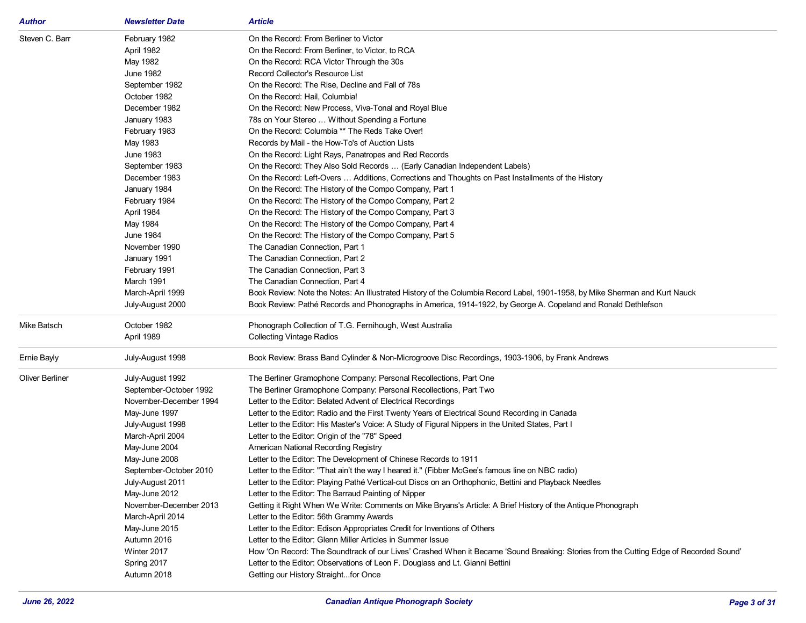| Author                 | <b>Newsletter Date</b> | <b>Article</b>                                                                                                                        |
|------------------------|------------------------|---------------------------------------------------------------------------------------------------------------------------------------|
| Steven C. Barr         | February 1982          | On the Record: From Berliner to Victor                                                                                                |
|                        | April 1982             | On the Record: From Berliner, to Victor, to RCA                                                                                       |
|                        | May 1982               | On the Record: RCA Victor Through the 30s                                                                                             |
|                        | June 1982              | Record Collector's Resource List                                                                                                      |
|                        | September 1982         | On the Record: The Rise, Decline and Fall of 78s                                                                                      |
|                        | October 1982           | On the Record: Hail, Columbia!                                                                                                        |
|                        | December 1982          | On the Record: New Process, Viva-Tonal and Royal Blue                                                                                 |
|                        | January 1983           | 78s on Your Stereo  Without Spending a Fortune                                                                                        |
|                        | February 1983          | On the Record: Columbia ** The Reds Take Over!                                                                                        |
|                        | May 1983               | Records by Mail - the How-To's of Auction Lists                                                                                       |
|                        | June 1983              | On the Record: Light Rays, Panatropes and Red Records                                                                                 |
|                        | September 1983         | On the Record: They Also Sold Records  (Early Canadian Independent Labels)                                                            |
|                        | December 1983          | On the Record: Left-Overs  Additions, Corrections and Thoughts on Past Installments of the History                                    |
|                        | January 1984           | On the Record: The History of the Compo Company, Part 1                                                                               |
|                        | February 1984          | On the Record: The History of the Compo Company, Part 2                                                                               |
|                        | April 1984             | On the Record: The History of the Compo Company, Part 3                                                                               |
|                        | May 1984               | On the Record: The History of the Compo Company, Part 4                                                                               |
|                        | <b>June 1984</b>       | On the Record: The History of the Compo Company, Part 5                                                                               |
|                        | November 1990          | The Canadian Connection, Part 1                                                                                                       |
|                        | January 1991           | The Canadian Connection, Part 2                                                                                                       |
|                        | February 1991          | The Canadian Connection, Part 3                                                                                                       |
|                        | March 1991             | The Canadian Connection, Part 4                                                                                                       |
|                        | March-April 1999       | Book Review: Note the Notes: An Illustrated History of the Columbia Record Label, 1901-1958, by Mike Sherman and Kurt Nauck           |
|                        | July-August 2000       | Book Review: Pathé Records and Phonographs in America, 1914-1922, by George A. Copeland and Ronald Dethlefson                         |
| Mike Batsch            | October 1982           | Phonograph Collection of T.G. Fernihough, West Australia                                                                              |
|                        | April 1989             | <b>Collecting Vintage Radios</b>                                                                                                      |
| Ernie Bayly            | July-August 1998       | Book Review: Brass Band Cylinder & Non-Microgroove Disc Recordings, 1903-1906, by Frank Andrews                                       |
|                        |                        |                                                                                                                                       |
| <b>Oliver Berliner</b> | July-August 1992       | The Berliner Gramophone Company: Personal Recollections, Part One                                                                     |
|                        | September-October 1992 | The Berliner Gramophone Company: Personal Recollections, Part Two                                                                     |
|                        | November-December 1994 | Letter to the Editor: Belated Advent of Electrical Recordings                                                                         |
|                        | May-June 1997          | Letter to the Editor: Radio and the First Twenty Years of Electrical Sound Recording in Canada                                        |
|                        | July-August 1998       | Letter to the Editor: His Master's Voice: A Study of Figural Nippers in the United States, Part I                                     |
|                        | March-April 2004       | Letter to the Editor: Origin of the "78" Speed                                                                                        |
|                        | May-June 2004          | American National Recording Registry                                                                                                  |
|                        | May-June 2008          | Letter to the Editor: The Development of Chinese Records to 1911                                                                      |
|                        | September-October 2010 | Letter to the Editor: "That ain't the way I heared it." (Fibber McGee's famous line on NBC radio)                                     |
|                        | July-August 2011       | Letter to the Editor: Playing Pathé Vertical-cut Discs on an Orthophonic, Bettini and Playback Needles                                |
|                        | May-June 2012          | Letter to the Editor: The Barraud Painting of Nipper                                                                                  |
|                        | November-December 2013 | Getting it Right When We Write: Comments on Mike Bryans's Article: A Brief History of the Antique Phonograph                          |
|                        | March-April 2014       | Letter to the Editor: 56th Grammy Awards                                                                                              |
|                        | May-June 2015          | Letter to the Editor: Edison Appropriates Credit for Inventions of Others                                                             |
|                        | Autumn 2016            | Letter to the Editor: Glenn Miller Articles in Summer Issue                                                                           |
|                        | Winter 2017            | How 'On Record: The Soundtrack of our Lives' Crashed When it Became 'Sound Breaking: Stories from the Cutting Edge of Recorded Sound' |
|                        | Spring 2017            | Letter to the Editor: Observations of Leon F. Douglass and Lt. Gianni Bettini                                                         |
|                        | Autumn 2018            | Getting our History Straightfor Once                                                                                                  |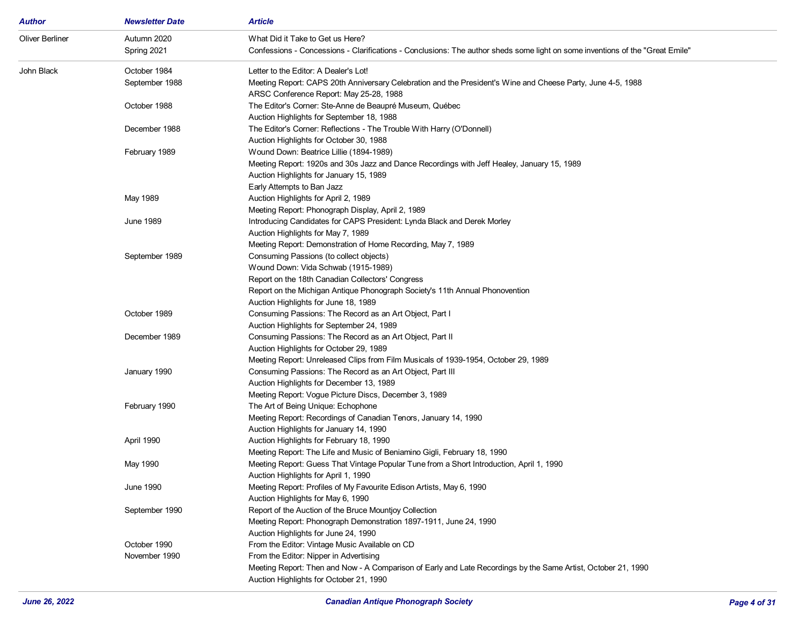| Author                 | <b>Newsletter Date</b> | <b>Article</b>                                                                                                                |
|------------------------|------------------------|-------------------------------------------------------------------------------------------------------------------------------|
| <b>Oliver Berliner</b> | Autumn 2020            | What Did it Take to Get us Here?                                                                                              |
|                        | Spring 2021            | Confessions - Concessions - Clarifications - Conclusions: The author sheds some light on some inventions of the "Great Emile" |
| John Black             | October 1984           | Letter to the Editor: A Dealer's Lot!                                                                                         |
|                        | September 1988         | Meeting Report: CAPS 20th Anniversary Celebration and the President's Wine and Cheese Party, June 4-5, 1988                   |
|                        |                        | ARSC Conference Report: May 25-28, 1988                                                                                       |
|                        | October 1988           | The Editor's Corner: Ste-Anne de Beaupré Museum, Québec                                                                       |
|                        |                        | Auction Highlights for September 18, 1988                                                                                     |
|                        | December 1988          | The Editor's Corner: Reflections - The Trouble With Harry (O'Donnell)                                                         |
|                        |                        | Auction Highlights for October 30, 1988                                                                                       |
|                        | February 1989          | Wound Down: Beatrice Lillie (1894-1989)                                                                                       |
|                        |                        | Meeting Report: 1920s and 30s Jazz and Dance Recordings with Jeff Healey, January 15, 1989                                    |
|                        |                        | Auction Highlights for January 15, 1989                                                                                       |
|                        |                        | Early Attempts to Ban Jazz                                                                                                    |
|                        | May 1989               | Auction Highlights for April 2, 1989                                                                                          |
|                        |                        | Meeting Report: Phonograph Display, April 2, 1989                                                                             |
|                        | June 1989              | Introducing Candidates for CAPS President: Lynda Black and Derek Morley                                                       |
|                        |                        | Auction Highlights for May 7, 1989                                                                                            |
|                        |                        | Meeting Report: Demonstration of Home Recording, May 7, 1989                                                                  |
|                        | September 1989         | Consuming Passions (to collect objects)                                                                                       |
|                        |                        | Wound Down: Vida Schwab (1915-1989)                                                                                           |
|                        |                        | Report on the 18th Canadian Collectors' Congress                                                                              |
|                        |                        | Report on the Michigan Antique Phonograph Society's 11th Annual Phonovention                                                  |
|                        |                        | Auction Highlights for June 18, 1989                                                                                          |
|                        | October 1989           | Consuming Passions: The Record as an Art Object, Part I                                                                       |
|                        |                        | Auction Highlights for September 24, 1989                                                                                     |
|                        | December 1989          | Consuming Passions: The Record as an Art Object, Part II                                                                      |
|                        |                        | Auction Highlights for October 29, 1989                                                                                       |
|                        |                        | Meeting Report: Unreleased Clips from Film Musicals of 1939-1954, October 29, 1989                                            |
|                        | January 1990           | Consuming Passions: The Record as an Art Object, Part III                                                                     |
|                        |                        | Auction Highlights for December 13, 1989                                                                                      |
|                        |                        | Meeting Report: Vogue Picture Discs, December 3, 1989                                                                         |
|                        | February 1990          | The Art of Being Unique: Echophone                                                                                            |
|                        |                        | Meeting Report: Recordings of Canadian Tenors, January 14, 1990                                                               |
|                        |                        | Auction Highlights for January 14, 1990                                                                                       |
|                        | April 1990             | Auction Highlights for February 18, 1990                                                                                      |
|                        |                        | Meeting Report: The Life and Music of Beniamino Gigli, February 18, 1990                                                      |
|                        | May 1990               | Meeting Report: Guess That Vintage Popular Tune from a Short Introduction, April 1, 1990                                      |
|                        |                        | Auction Highlights for April 1, 1990                                                                                          |
|                        | <b>June 1990</b>       | Meeting Report: Profiles of My Favourite Edison Artists, May 6, 1990                                                          |
|                        |                        | Auction Highlights for May 6, 1990                                                                                            |
|                        | September 1990         | Report of the Auction of the Bruce Mountjoy Collection                                                                        |
|                        |                        | Meeting Report: Phonograph Demonstration 1897-1911, June 24, 1990                                                             |
|                        |                        | Auction Highlights for June 24, 1990                                                                                          |
|                        | October 1990           | From the Editor: Vintage Music Available on CD                                                                                |
|                        | November 1990          | From the Editor: Nipper in Advertising                                                                                        |
|                        |                        | Meeting Report: Then and Now - A Comparison of Early and Late Recordings by the Same Artist, October 21, 1990                 |
|                        |                        | Auction Highlights for October 21, 1990                                                                                       |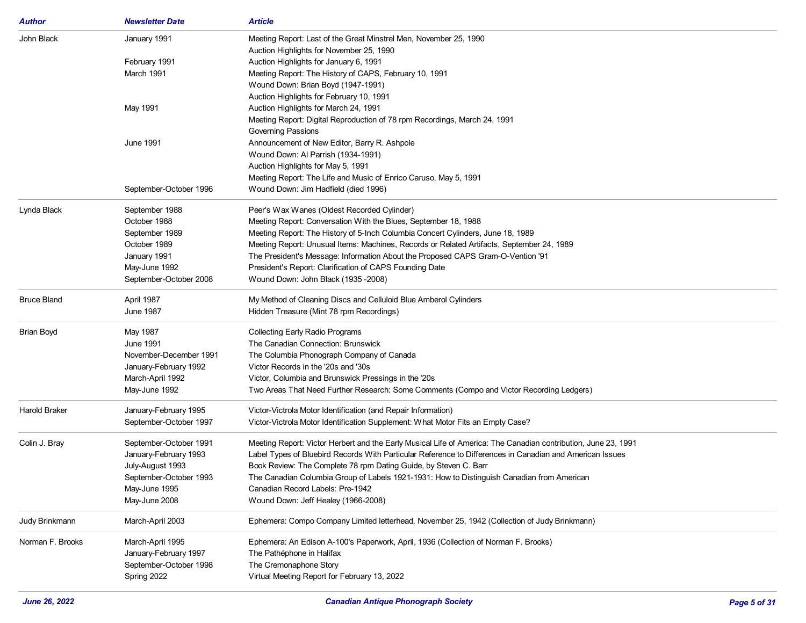| Author               | <b>Newsletter Date</b> | <b>Article</b>                                                                                                 |
|----------------------|------------------------|----------------------------------------------------------------------------------------------------------------|
| John Black           | January 1991           | Meeting Report: Last of the Great Minstrel Men, November 25, 1990                                              |
|                      |                        | Auction Highlights for November 25, 1990                                                                       |
|                      | February 1991          | Auction Highlights for January 6, 1991                                                                         |
|                      | March 1991             | Meeting Report: The History of CAPS, February 10, 1991                                                         |
|                      |                        | Wound Down: Brian Boyd (1947-1991)                                                                             |
|                      |                        | Auction Highlights for February 10, 1991                                                                       |
|                      | May 1991               | Auction Highlights for March 24, 1991                                                                          |
|                      |                        | Meeting Report: Digital Reproduction of 78 rpm Recordings, March 24, 1991                                      |
|                      |                        | <b>Governing Passions</b>                                                                                      |
|                      | June 1991              | Announcement of New Editor, Barry R. Ashpole                                                                   |
|                      |                        | Wound Down: Al Parrish (1934-1991)                                                                             |
|                      |                        | Auction Highlights for May 5, 1991                                                                             |
|                      |                        | Meeting Report: The Life and Music of Enrico Caruso, May 5, 1991                                               |
|                      | September-October 1996 | Wound Down: Jim Hadfield (died 1996)                                                                           |
| Lynda Black          | September 1988         | Peer's Wax Wanes (Oldest Recorded Cylinder)                                                                    |
|                      | October 1988           | Meeting Report: Conversation With the Blues, September 18, 1988                                                |
|                      | September 1989         | Meeting Report: The History of 5-Inch Columbia Concert Cylinders, June 18, 1989                                |
|                      | October 1989           | Meeting Report: Unusual Items: Machines, Records or Related Artifacts, September 24, 1989                      |
|                      | January 1991           | The President's Message: Information About the Proposed CAPS Gram-O-Vention '91                                |
|                      | May-June 1992          | President's Report: Clarification of CAPS Founding Date                                                        |
|                      | September-October 2008 | Wound Down: John Black (1935 -2008)                                                                            |
| <b>Bruce Bland</b>   | April 1987             | My Method of Cleaning Discs and Celluloid Blue Amberol Cylinders                                               |
|                      | <b>June 1987</b>       | Hidden Treasure (Mint 78 rpm Recordings)                                                                       |
| <b>Brian Boyd</b>    | May 1987               | <b>Collecting Early Radio Programs</b>                                                                         |
|                      | <b>June 1991</b>       | The Canadian Connection: Brunswick                                                                             |
|                      | November-December 1991 | The Columbia Phonograph Company of Canada                                                                      |
|                      | January-February 1992  | Victor Records in the '20s and '30s                                                                            |
|                      | March-April 1992       | Victor, Columbia and Brunswick Pressings in the '20s                                                           |
|                      | May-June 1992          | Two Areas That Need Further Research: Some Comments (Compo and Victor Recording Ledgers)                       |
| <b>Harold Braker</b> | January-February 1995  | Victor-Victrola Motor Identification (and Repair Information)                                                  |
|                      | September-October 1997 | Victor-Victrola Motor Identification Supplement: What Motor Fits an Empty Case?                                |
| Colin J. Bray        | September-October 1991 | Meeting Report: Victor Herbert and the Early Musical Life of America: The Canadian contribution, June 23, 1991 |
|                      | January-February 1993  | Label Types of Bluebird Records With Particular Reference to Differences in Canadian and American Issues       |
|                      | July-August 1993       | Book Review: The Complete 78 rpm Dating Guide, by Steven C. Barr                                               |
|                      | September-October 1993 | The Canadian Columbia Group of Labels 1921-1931: How to Distinguish Canadian from American                     |
|                      | May-June 1995          | Canadian Record Labels: Pre-1942                                                                               |
|                      | May-June 2008          | Wound Down: Jeff Healey (1966-2008)                                                                            |
|                      |                        |                                                                                                                |
| Judy Brinkmann       | March-April 2003       | Ephemera: Compo Company Limited letterhead, November 25, 1942 (Collection of Judy Brinkmann)                   |
| Norman F. Brooks     | March-April 1995       | Ephemera: An Edison A-100's Paperwork, April, 1936 (Collection of Norman F. Brooks)                            |
|                      | January-February 1997  | The Pathéphone in Halifax                                                                                      |
|                      | September-October 1998 | The Cremonaphone Story                                                                                         |
|                      | Spring 2022            | Virtual Meeting Report for February 13, 2022                                                                   |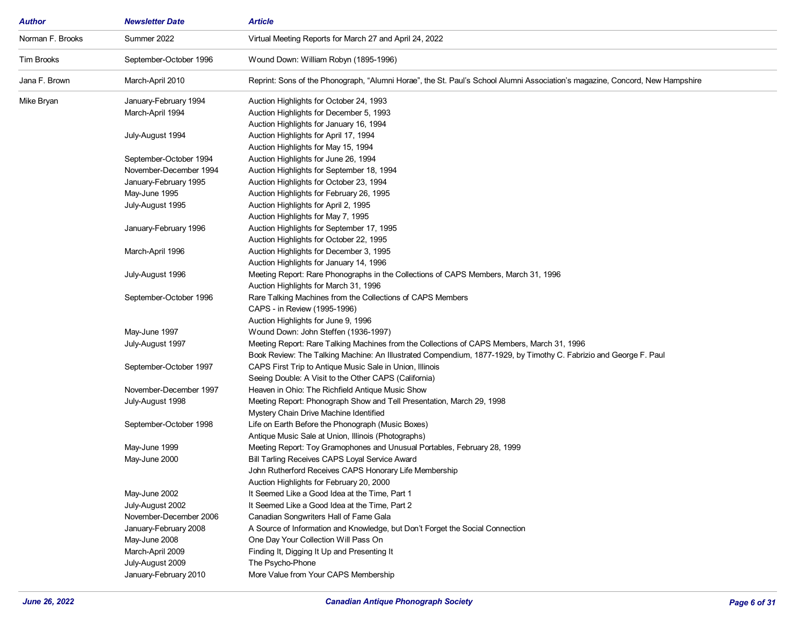| Author           | <b>Newsletter Date</b>            | <b>Article</b>                                                                                                               |
|------------------|-----------------------------------|------------------------------------------------------------------------------------------------------------------------------|
| Norman F. Brooks | Summer 2022                       | Virtual Meeting Reports for March 27 and April 24, 2022                                                                      |
| Tim Brooks       | September-October 1996            | Wound Down: William Robyn (1895-1996)                                                                                        |
| Jana F. Brown    | March-April 2010                  | Reprint: Sons of the Phonograph, "Alumni Horae", the St. Paul's School Alumni Association's magazine, Concord, New Hampshire |
| Mike Bryan       | January-February 1994             | Auction Highlights for October 24, 1993                                                                                      |
|                  | March-April 1994                  | Auction Highlights for December 5, 1993                                                                                      |
|                  |                                   | Auction Highlights for January 16, 1994                                                                                      |
|                  | July-August 1994                  | Auction Highlights for April 17, 1994                                                                                        |
|                  |                                   | Auction Highlights for May 15, 1994                                                                                          |
|                  | September-October 1994            | Auction Highlights for June 26, 1994                                                                                         |
|                  | November-December 1994            | Auction Highlights for September 18, 1994                                                                                    |
|                  | January-February 1995             | Auction Highlights for October 23, 1994                                                                                      |
|                  | May-June 1995                     | Auction Highlights for February 26, 1995                                                                                     |
|                  | July-August 1995                  | Auction Highlights for April 2, 1995                                                                                         |
|                  |                                   | Auction Highlights for May 7, 1995                                                                                           |
|                  | January-February 1996             | Auction Highlights for September 17, 1995                                                                                    |
|                  |                                   | Auction Highlights for October 22, 1995                                                                                      |
|                  | March-April 1996                  | Auction Highlights for December 3, 1995                                                                                      |
|                  |                                   | Auction Highlights for January 14, 1996                                                                                      |
|                  | July-August 1996                  | Meeting Report: Rare Phonographs in the Collections of CAPS Members, March 31, 1996                                          |
|                  |                                   | Auction Highlights for March 31, 1996                                                                                        |
|                  | September-October 1996            | Rare Talking Machines from the Collections of CAPS Members                                                                   |
|                  |                                   | CAPS - in Review (1995-1996)                                                                                                 |
|                  |                                   | Auction Highlights for June 9, 1996                                                                                          |
|                  | May-June 1997                     | Wound Down: John Steffen (1936-1997)                                                                                         |
|                  | July-August 1997                  | Meeting Report: Rare Talking Machines from the Collections of CAPS Members, March 31, 1996                                   |
|                  |                                   | Book Review: The Talking Machine: An Illustrated Compendium, 1877-1929, by Timothy C. Fabrizio and George F. Paul            |
|                  | September-October 1997            | CAPS First Trip to Antique Music Sale in Union, Illinois                                                                     |
|                  |                                   | Seeing Double: A Visit to the Other CAPS (California)                                                                        |
|                  | November-December 1997            | Heaven in Ohio: The Richfield Antique Music Show                                                                             |
|                  | July-August 1998                  | Meeting Report: Phonograph Show and Tell Presentation, March 29, 1998                                                        |
|                  |                                   | Mystery Chain Drive Machine Identified                                                                                       |
|                  | September-October 1998            | Life on Earth Before the Phonograph (Music Boxes)                                                                            |
|                  |                                   | Antique Music Sale at Union, Illinois (Photographs)                                                                          |
|                  | May-June 1999                     | Meeting Report: Toy Gramophones and Unusual Portables, February 28, 1999                                                     |
|                  | May-June 2000                     | Bill Tarling Receives CAPS Loyal Service Award                                                                               |
|                  |                                   | John Rutherford Receives CAPS Honorary Life Membership                                                                       |
|                  |                                   | Auction Highlights for February 20, 2000                                                                                     |
|                  | May-June 2002<br>July-August 2002 | It Seemed Like a Good Idea at the Time, Part 1<br>It Seemed Like a Good Idea at the Time, Part 2                             |
|                  | November-December 2006            |                                                                                                                              |
|                  | January-February 2008             | Canadian Songwriters Hall of Fame Gala<br>A Source of Information and Knowledge, but Don't Forget the Social Connection      |
|                  |                                   |                                                                                                                              |
|                  | May-June 2008<br>March-April 2009 | One Day Your Collection Will Pass On<br>Finding It, Digging It Up and Presenting It                                          |
|                  | July-August 2009                  |                                                                                                                              |
|                  | January-February 2010             | The Psycho-Phone<br>More Value from Your CAPS Membership                                                                     |
|                  |                                   |                                                                                                                              |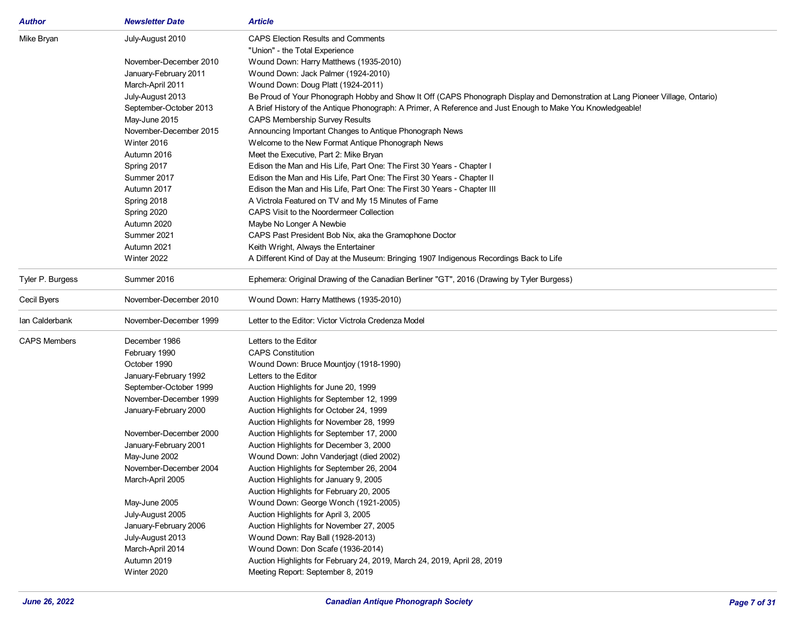| <b>Author</b>       | <b>Newsletter Date</b> | <b>Article</b>                                                                                                                 |
|---------------------|------------------------|--------------------------------------------------------------------------------------------------------------------------------|
| Mike Bryan          | July-August 2010       | <b>CAPS Election Results and Comments</b>                                                                                      |
|                     |                        | "Union" - the Total Experience                                                                                                 |
|                     | November-December 2010 | Wound Down: Harry Matthews (1935-2010)                                                                                         |
|                     | January-February 2011  | Wound Down: Jack Palmer (1924-2010)                                                                                            |
|                     | March-April 2011       | Wound Down: Doug Platt (1924-2011)                                                                                             |
|                     | July-August 2013       | Be Proud of Your Phonograph Hobby and Show It Off (CAPS Phonograph Display and Demonstration at Lang Pioneer Village, Ontario) |
|                     | September-October 2013 | A Brief History of the Antique Phonograph: A Primer, A Reference and Just Enough to Make You Knowledgeable!                    |
|                     | May-June 2015          | <b>CAPS Membership Survey Results</b>                                                                                          |
|                     | November-December 2015 | Announcing Important Changes to Antique Phonograph News                                                                        |
|                     | Winter 2016            | Welcome to the New Format Antique Phonograph News                                                                              |
|                     | Autumn 2016            | Meet the Executive, Part 2: Mike Bryan                                                                                         |
|                     | Spring 2017            | Edison the Man and His Life, Part One: The First 30 Years - Chapter I                                                          |
|                     | Summer 2017            | Edison the Man and His Life, Part One: The First 30 Years - Chapter II                                                         |
|                     | Autumn 2017            | Edison the Man and His Life, Part One: The First 30 Years - Chapter III                                                        |
|                     | Spring 2018            | A Victrola Featured on TV and My 15 Minutes of Fame                                                                            |
|                     | Spring 2020            | CAPS Visit to the Noordermeer Collection                                                                                       |
|                     | Autumn 2020            | Maybe No Longer A Newbie                                                                                                       |
|                     | Summer 2021            | CAPS Past President Bob Nix, aka the Gramophone Doctor                                                                         |
|                     | Autumn 2021            | Keith Wright, Always the Entertainer                                                                                           |
|                     | Winter 2022            | A Different Kind of Day at the Museum: Bringing 1907 Indigenous Recordings Back to Life                                        |
| Tyler P. Burgess    | Summer 2016            | Ephemera: Original Drawing of the Canadian Berliner "GT", 2016 (Drawing by Tyler Burgess)                                      |
| Cecil Byers         | November-December 2010 | Wound Down: Harry Matthews (1935-2010)                                                                                         |
| Ian Calderbank      | November-December 1999 | Letter to the Editor: Victor Victrola Credenza Model                                                                           |
| <b>CAPS Members</b> | December 1986          | Letters to the Editor                                                                                                          |
|                     | February 1990          | <b>CAPS Constitution</b>                                                                                                       |
|                     | October 1990           | Wound Down: Bruce Mountjoy (1918-1990)                                                                                         |
|                     | January-February 1992  | Letters to the Editor                                                                                                          |
|                     | September-October 1999 | Auction Highlights for June 20, 1999                                                                                           |
|                     | November-December 1999 | Auction Highlights for September 12, 1999                                                                                      |
|                     | January-February 2000  | Auction Highlights for October 24, 1999                                                                                        |
|                     |                        | Auction Highlights for November 28, 1999                                                                                       |
|                     | November-December 2000 | Auction Highlights for September 17, 2000                                                                                      |
|                     | January-February 2001  | Auction Highlights for December 3, 2000                                                                                        |
|                     | May-June 2002          | Wound Down: John Vanderjagt (died 2002)                                                                                        |
|                     | November-December 2004 | Auction Highlights for September 26, 2004                                                                                      |
|                     | March-April 2005       | Auction Highlights for January 9, 2005                                                                                         |
|                     |                        | Auction Highlights for February 20, 2005                                                                                       |
|                     | May-June 2005          | Wound Down: George Wonch (1921-2005)                                                                                           |
|                     | July-August 2005       | Auction Highlights for April 3, 2005                                                                                           |
|                     | January-February 2006  | Auction Highlights for November 27, 2005                                                                                       |
|                     | July-August 2013       | Wound Down: Ray Ball (1928-2013)                                                                                               |
|                     | March-April 2014       | Wound Down: Don Scafe (1936-2014)                                                                                              |
|                     | Autumn 2019            | Auction Highlights for February 24, 2019, March 24, 2019, April 28, 2019                                                       |
|                     | Winter 2020            | Meeting Report: September 8, 2019                                                                                              |
|                     |                        |                                                                                                                                |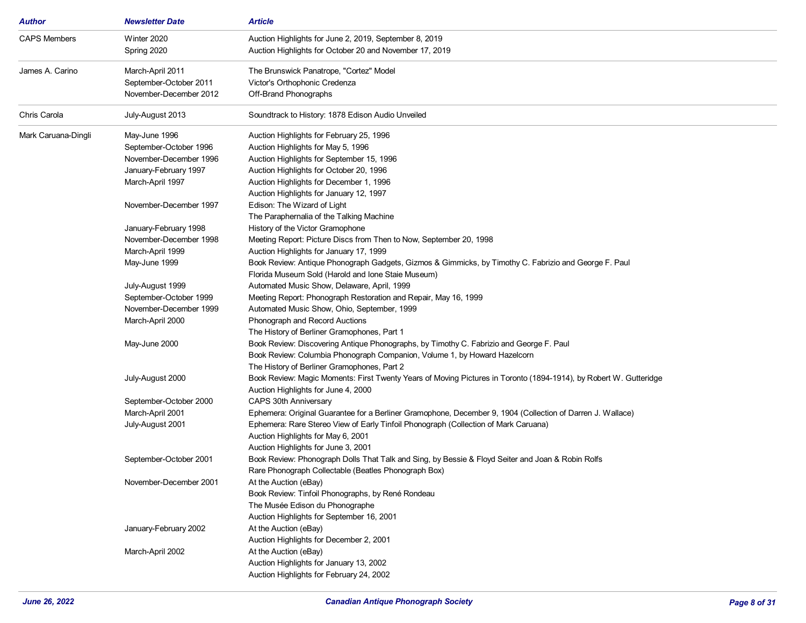| <b>Author</b>       | <b>Newsletter Date</b> | <b>Article</b>                                                                                                                           |
|---------------------|------------------------|------------------------------------------------------------------------------------------------------------------------------------------|
| <b>CAPS Members</b> | Winter 2020            | Auction Highlights for June 2, 2019, September 8, 2019                                                                                   |
|                     | Spring 2020            | Auction Highlights for October 20 and November 17, 2019                                                                                  |
| James A. Carino     | March-April 2011       | The Brunswick Panatrope, "Cortez" Model                                                                                                  |
|                     | September-October 2011 | Victor's Orthophonic Credenza                                                                                                            |
|                     | November-December 2012 | Off-Brand Phonographs                                                                                                                    |
| Chris Carola        | July-August 2013       | Soundtrack to History: 1878 Edison Audio Unveiled                                                                                        |
| Mark Caruana-Dingli | May-June 1996          | Auction Highlights for February 25, 1996                                                                                                 |
|                     | September-October 1996 | Auction Highlights for May 5, 1996                                                                                                       |
|                     | November-December 1996 | Auction Highlights for September 15, 1996                                                                                                |
|                     | January-February 1997  | Auction Highlights for October 20, 1996                                                                                                  |
|                     | March-April 1997       | Auction Highlights for December 1, 1996                                                                                                  |
|                     |                        | Auction Highlights for January 12, 1997                                                                                                  |
|                     | November-December 1997 | Edison: The Wizard of Light                                                                                                              |
|                     |                        | The Paraphernalia of the Talking Machine                                                                                                 |
|                     | January-February 1998  | History of the Victor Gramophone                                                                                                         |
|                     | November-December 1998 | Meeting Report: Picture Discs from Then to Now, September 20, 1998                                                                       |
|                     | March-April 1999       | Auction Highlights for January 17, 1999                                                                                                  |
|                     | May-June 1999          | Book Review: Antique Phonograph Gadgets, Gizmos & Gimmicks, by Timothy C. Fabrizio and George F. Paul                                    |
|                     |                        | Florida Museum Sold (Harold and Ione Staie Museum)                                                                                       |
|                     | July-August 1999       | Automated Music Show, Delaware, April, 1999                                                                                              |
|                     | September-October 1999 | Meeting Report: Phonograph Restoration and Repair, May 16, 1999                                                                          |
|                     | November-December 1999 | Automated Music Show, Ohio, September, 1999                                                                                              |
|                     | March-April 2000       | Phonograph and Record Auctions                                                                                                           |
|                     |                        | The History of Berliner Gramophones, Part 1                                                                                              |
|                     | May-June 2000          | Book Review: Discovering Antique Phonographs, by Timothy C. Fabrizio and George F. Paul                                                  |
|                     |                        | Book Review: Columbia Phonograph Companion, Volume 1, by Howard Hazelcorn                                                                |
|                     |                        | The History of Berliner Gramophones, Part 2                                                                                              |
|                     | July-August 2000       | Book Review: Magic Moments: First Twenty Years of Moving Pictures in Toronto (1894-1914), by Robert W. Gutteridge                        |
|                     |                        | Auction Highlights for June 4, 2000                                                                                                      |
|                     | September-October 2000 | CAPS 30th Anniversary                                                                                                                    |
|                     | March-April 2001       | Ephemera: Original Guarantee for a Berliner Gramophone, December 9, 1904 (Collection of Darren J. Wallace)                               |
|                     | July-August 2001       | Ephemera: Rare Stereo View of Early Tinfoil Phonograph (Collection of Mark Caruana)                                                      |
|                     |                        |                                                                                                                                          |
|                     |                        | Auction Highlights for May 6, 2001                                                                                                       |
|                     | September-October 2001 | Auction Highlights for June 3, 2001<br>Book Review: Phonograph Dolls That Talk and Sing, by Bessie & Floyd Seiter and Joan & Robin Rolfs |
|                     |                        |                                                                                                                                          |
|                     | November-December 2001 | Rare Phonograph Collectable (Beatles Phonograph Box)                                                                                     |
|                     |                        | At the Auction (eBay)<br>Book Review: Tinfoil Phonographs, by René Rondeau                                                               |
|                     |                        |                                                                                                                                          |
|                     |                        | The Musée Edison du Phonographe                                                                                                          |
|                     |                        | Auction Highlights for September 16, 2001                                                                                                |
|                     | January-February 2002  | At the Auction (eBay)                                                                                                                    |
|                     |                        | Auction Highlights for December 2, 2001                                                                                                  |
|                     | March-April 2002       | At the Auction (eBay)                                                                                                                    |
|                     |                        | Auction Highlights for January 13, 2002                                                                                                  |
|                     |                        | Auction Highlights for February 24, 2002                                                                                                 |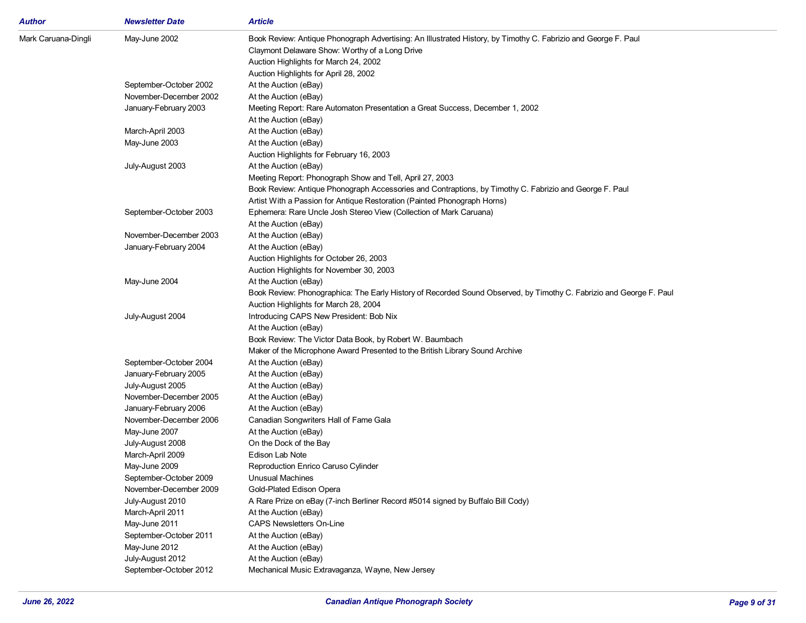| Author              | <b>Newsletter Date</b> | <b>Article</b>                                                                                                      |
|---------------------|------------------------|---------------------------------------------------------------------------------------------------------------------|
| Mark Caruana-Dingli | May-June 2002          | Book Review: Antique Phonograph Advertising: An Illustrated History, by Timothy C. Fabrizio and George F. Paul      |
|                     |                        | Claymont Delaware Show: Worthy of a Long Drive                                                                      |
|                     |                        | Auction Highlights for March 24, 2002                                                                               |
|                     |                        | Auction Highlights for April 28, 2002                                                                               |
|                     | September-October 2002 | At the Auction (eBay)                                                                                               |
|                     | November-December 2002 | At the Auction (eBay)                                                                                               |
|                     | January-February 2003  | Meeting Report: Rare Automaton Presentation a Great Success, December 1, 2002                                       |
|                     |                        | At the Auction (eBay)                                                                                               |
|                     | March-April 2003       | At the Auction (eBay)                                                                                               |
|                     | May-June 2003          | At the Auction (eBay)                                                                                               |
|                     |                        | Auction Highlights for February 16, 2003                                                                            |
|                     | July-August 2003       | At the Auction (eBay)                                                                                               |
|                     |                        | Meeting Report: Phonograph Show and Tell, April 27, 2003                                                            |
|                     |                        | Book Review: Antique Phonograph Accessories and Contraptions, by Timothy C. Fabrizio and George F. Paul             |
|                     |                        | Artist With a Passion for Antique Restoration (Painted Phonograph Horns)                                            |
|                     | September-October 2003 | Ephemera: Rare Uncle Josh Stereo View (Collection of Mark Caruana)                                                  |
|                     |                        | At the Auction (eBay)                                                                                               |
|                     | November-December 2003 | At the Auction (eBay)                                                                                               |
|                     | January-February 2004  | At the Auction (eBay)                                                                                               |
|                     |                        | Auction Highlights for October 26, 2003                                                                             |
|                     |                        | Auction Highlights for November 30, 2003                                                                            |
|                     | May-June 2004          | At the Auction (eBay)                                                                                               |
|                     |                        | Book Review: Phonographica: The Early History of Recorded Sound Observed, by Timothy C. Fabrizio and George F. Paul |
|                     |                        | Auction Highlights for March 28, 2004                                                                               |
|                     | July-August 2004       | Introducing CAPS New President: Bob Nix                                                                             |
|                     |                        | At the Auction (eBay)                                                                                               |
|                     |                        | Book Review: The Victor Data Book, by Robert W. Baumbach                                                            |
|                     |                        | Maker of the Microphone Award Presented to the British Library Sound Archive                                        |
|                     | September-October 2004 | At the Auction (eBay)                                                                                               |
|                     | January-February 2005  | At the Auction (eBay)                                                                                               |
|                     | July-August 2005       | At the Auction (eBay)                                                                                               |
|                     | November-December 2005 | At the Auction (eBay)                                                                                               |
|                     | January-February 2006  | At the Auction (eBay)                                                                                               |
|                     | November-December 2006 | Canadian Songwriters Hall of Fame Gala                                                                              |
|                     | May-June 2007          | At the Auction (eBay)                                                                                               |
|                     | July-August 2008       | On the Dock of the Bay                                                                                              |
|                     | March-April 2009       | Edison Lab Note                                                                                                     |
|                     | May-June 2009          | Reproduction Enrico Caruso Cylinder                                                                                 |
|                     | September-October 2009 | <b>Unusual Machines</b>                                                                                             |
|                     | November-December 2009 | Gold-Plated Edison Opera                                                                                            |
|                     | July-August 2010       | A Rare Prize on eBay (7-inch Berliner Record #5014 signed by Buffalo Bill Cody)                                     |
|                     | March-April 2011       | At the Auction (eBay)                                                                                               |
|                     | May-June 2011          | <b>CAPS Newsletters On-Line</b>                                                                                     |
|                     | September-October 2011 | At the Auction (eBay)                                                                                               |
|                     | May-June 2012          | At the Auction (eBay)                                                                                               |
|                     | July-August 2012       | At the Auction (eBay)                                                                                               |
|                     | September-October 2012 | Mechanical Music Extravaganza, Wayne, New Jersey                                                                    |
|                     |                        |                                                                                                                     |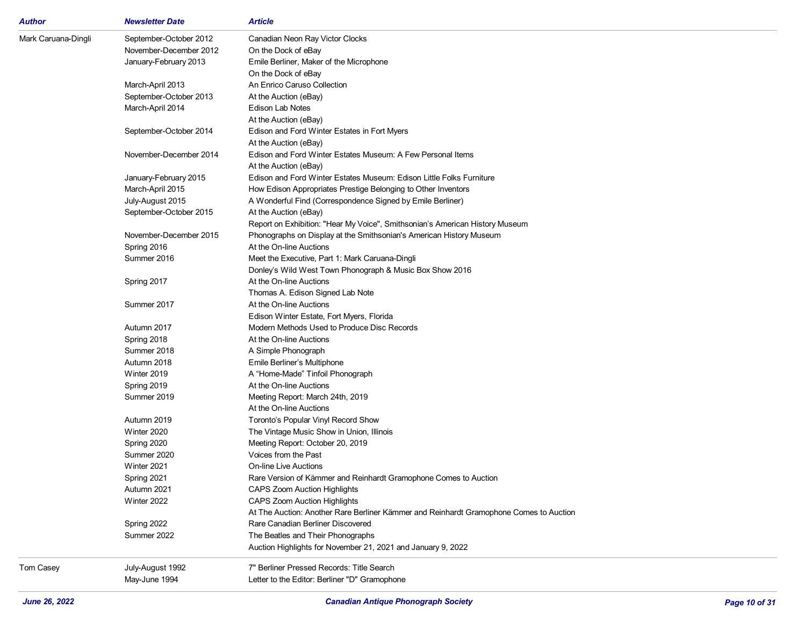| September-October 2012<br>Canadian Neon Ray Victor Clocks<br>November-December 2012<br>On the Dock of eBay<br>January-February 2013<br>Emile Berliner, Maker of the Microphone<br>On the Dock of eBay<br>An Enrico Caruso Collection<br>March-April 2013<br>September-October 2013<br>At the Auction (eBay)<br>Edison Lab Notes<br>March-April 2014<br>At the Auction (eBay)<br>Edison and Ford Winter Estates in Fort Myers<br>September-October 2014<br>At the Auction (eBay)<br>November-December 2014<br>Edison and Ford Winter Estates Museum: A Few Personal Items<br>At the Auction (eBay)<br>Edison and Ford Winter Estates Museum: Edison Little Folks Furniture<br>January-February 2015<br>March-April 2015<br>How Edison Appropriates Prestige Belonging to Other Inventors<br>A Wonderful Find (Correspondence Signed by Emile Berliner)<br>July-August 2015<br>September-October 2015<br>At the Auction (eBay)<br>Report on Exhibition: "Hear My Voice", Smithsonian's American History Museum<br>November-December 2015<br>Phonographs on Display at the Smithsonian's American History Museum<br>Spring 2016<br>At the On-line Auctions<br>Summer 2016<br>Meet the Executive, Part 1: Mark Caruana-Dingli<br>Donley's Wild West Town Phonograph & Music Box Show 2016<br>At the On-line Auctions<br>Spring 2017<br>Thomas A. Edison Signed Lab Note<br>Summer 2017<br>At the On-line Auctions<br>Edison Winter Estate, Fort Myers, Florida<br>Modern Methods Used to Produce Disc Records<br>Autumn 2017<br>At the On-line Auctions<br>Spring 2018<br>Summer 2018<br>A Simple Phonograph<br>Autumn 2018<br>Emile Berliner's Multiphone<br>Winter 2019<br>A "Home-Made" Tinfoil Phonograph<br>Spring 2019<br>At the On-line Auctions<br>Summer 2019<br>Meeting Report: March 24th, 2019<br>At the On-line Auctions<br>Autumn 2019<br>Toronto's Popular Vinyl Record Show<br>Winter 2020<br>The Vintage Music Show in Union, Illinois<br>Spring 2020<br>Meeting Report: October 20, 2019<br>Summer 2020<br>Voices from the Past<br>Winter 2021<br><b>On-line Live Auctions</b><br>Spring 2021<br>Rare Version of Kämmer and Reinhardt Gramophone Comes to Auction<br>Autumn 2021<br><b>CAPS Zoom Auction Highlights</b><br>Winter 2022<br><b>CAPS Zoom Auction Highlights</b><br>At The Auction: Another Rare Berliner Kämmer and Reinhardt Gramophone Comes to Auction<br>Spring 2022<br>Rare Canadian Berliner Discovered<br>Summer 2022<br>The Beatles and Their Phonographs<br>Auction Highlights for November 21, 2021 and January 9, 2022<br>7" Berliner Pressed Records: Title Search<br>July-August 1992<br>May-June 1994<br>Letter to the Editor: Berliner "D" Gramophone | Author              | <b>Newsletter Date</b> | Article |
|--------------------------------------------------------------------------------------------------------------------------------------------------------------------------------------------------------------------------------------------------------------------------------------------------------------------------------------------------------------------------------------------------------------------------------------------------------------------------------------------------------------------------------------------------------------------------------------------------------------------------------------------------------------------------------------------------------------------------------------------------------------------------------------------------------------------------------------------------------------------------------------------------------------------------------------------------------------------------------------------------------------------------------------------------------------------------------------------------------------------------------------------------------------------------------------------------------------------------------------------------------------------------------------------------------------------------------------------------------------------------------------------------------------------------------------------------------------------------------------------------------------------------------------------------------------------------------------------------------------------------------------------------------------------------------------------------------------------------------------------------------------------------------------------------------------------------------------------------------------------------------------------------------------------------------------------------------------------------------------------------------------------------------------------------------------------------------------------------------------------------------------------------------------------------------------------------------------------------------------------------------------------------------------------------------------------------------------------------------------------------------------------------------------------------------------------------------------------------------------------------------------------------------------------------------------------------------------------------------------------------------------------------------------------------------------------------|---------------------|------------------------|---------|
|                                                                                                                                                                                                                                                                                                                                                                                                                                                                                                                                                                                                                                                                                                                                                                                                                                                                                                                                                                                                                                                                                                                                                                                                                                                                                                                                                                                                                                                                                                                                                                                                                                                                                                                                                                                                                                                                                                                                                                                                                                                                                                                                                                                                                                                                                                                                                                                                                                                                                                                                                                                                                                                                                                  | Mark Caruana-Dingli |                        |         |
|                                                                                                                                                                                                                                                                                                                                                                                                                                                                                                                                                                                                                                                                                                                                                                                                                                                                                                                                                                                                                                                                                                                                                                                                                                                                                                                                                                                                                                                                                                                                                                                                                                                                                                                                                                                                                                                                                                                                                                                                                                                                                                                                                                                                                                                                                                                                                                                                                                                                                                                                                                                                                                                                                                  |                     |                        |         |
|                                                                                                                                                                                                                                                                                                                                                                                                                                                                                                                                                                                                                                                                                                                                                                                                                                                                                                                                                                                                                                                                                                                                                                                                                                                                                                                                                                                                                                                                                                                                                                                                                                                                                                                                                                                                                                                                                                                                                                                                                                                                                                                                                                                                                                                                                                                                                                                                                                                                                                                                                                                                                                                                                                  |                     |                        |         |
|                                                                                                                                                                                                                                                                                                                                                                                                                                                                                                                                                                                                                                                                                                                                                                                                                                                                                                                                                                                                                                                                                                                                                                                                                                                                                                                                                                                                                                                                                                                                                                                                                                                                                                                                                                                                                                                                                                                                                                                                                                                                                                                                                                                                                                                                                                                                                                                                                                                                                                                                                                                                                                                                                                  |                     |                        |         |
|                                                                                                                                                                                                                                                                                                                                                                                                                                                                                                                                                                                                                                                                                                                                                                                                                                                                                                                                                                                                                                                                                                                                                                                                                                                                                                                                                                                                                                                                                                                                                                                                                                                                                                                                                                                                                                                                                                                                                                                                                                                                                                                                                                                                                                                                                                                                                                                                                                                                                                                                                                                                                                                                                                  |                     |                        |         |
|                                                                                                                                                                                                                                                                                                                                                                                                                                                                                                                                                                                                                                                                                                                                                                                                                                                                                                                                                                                                                                                                                                                                                                                                                                                                                                                                                                                                                                                                                                                                                                                                                                                                                                                                                                                                                                                                                                                                                                                                                                                                                                                                                                                                                                                                                                                                                                                                                                                                                                                                                                                                                                                                                                  |                     |                        |         |
|                                                                                                                                                                                                                                                                                                                                                                                                                                                                                                                                                                                                                                                                                                                                                                                                                                                                                                                                                                                                                                                                                                                                                                                                                                                                                                                                                                                                                                                                                                                                                                                                                                                                                                                                                                                                                                                                                                                                                                                                                                                                                                                                                                                                                                                                                                                                                                                                                                                                                                                                                                                                                                                                                                  |                     |                        |         |
|                                                                                                                                                                                                                                                                                                                                                                                                                                                                                                                                                                                                                                                                                                                                                                                                                                                                                                                                                                                                                                                                                                                                                                                                                                                                                                                                                                                                                                                                                                                                                                                                                                                                                                                                                                                                                                                                                                                                                                                                                                                                                                                                                                                                                                                                                                                                                                                                                                                                                                                                                                                                                                                                                                  |                     |                        |         |
|                                                                                                                                                                                                                                                                                                                                                                                                                                                                                                                                                                                                                                                                                                                                                                                                                                                                                                                                                                                                                                                                                                                                                                                                                                                                                                                                                                                                                                                                                                                                                                                                                                                                                                                                                                                                                                                                                                                                                                                                                                                                                                                                                                                                                                                                                                                                                                                                                                                                                                                                                                                                                                                                                                  |                     |                        |         |
|                                                                                                                                                                                                                                                                                                                                                                                                                                                                                                                                                                                                                                                                                                                                                                                                                                                                                                                                                                                                                                                                                                                                                                                                                                                                                                                                                                                                                                                                                                                                                                                                                                                                                                                                                                                                                                                                                                                                                                                                                                                                                                                                                                                                                                                                                                                                                                                                                                                                                                                                                                                                                                                                                                  |                     |                        |         |
|                                                                                                                                                                                                                                                                                                                                                                                                                                                                                                                                                                                                                                                                                                                                                                                                                                                                                                                                                                                                                                                                                                                                                                                                                                                                                                                                                                                                                                                                                                                                                                                                                                                                                                                                                                                                                                                                                                                                                                                                                                                                                                                                                                                                                                                                                                                                                                                                                                                                                                                                                                                                                                                                                                  |                     |                        |         |
|                                                                                                                                                                                                                                                                                                                                                                                                                                                                                                                                                                                                                                                                                                                                                                                                                                                                                                                                                                                                                                                                                                                                                                                                                                                                                                                                                                                                                                                                                                                                                                                                                                                                                                                                                                                                                                                                                                                                                                                                                                                                                                                                                                                                                                                                                                                                                                                                                                                                                                                                                                                                                                                                                                  |                     |                        |         |
|                                                                                                                                                                                                                                                                                                                                                                                                                                                                                                                                                                                                                                                                                                                                                                                                                                                                                                                                                                                                                                                                                                                                                                                                                                                                                                                                                                                                                                                                                                                                                                                                                                                                                                                                                                                                                                                                                                                                                                                                                                                                                                                                                                                                                                                                                                                                                                                                                                                                                                                                                                                                                                                                                                  |                     |                        |         |
|                                                                                                                                                                                                                                                                                                                                                                                                                                                                                                                                                                                                                                                                                                                                                                                                                                                                                                                                                                                                                                                                                                                                                                                                                                                                                                                                                                                                                                                                                                                                                                                                                                                                                                                                                                                                                                                                                                                                                                                                                                                                                                                                                                                                                                                                                                                                                                                                                                                                                                                                                                                                                                                                                                  |                     |                        |         |
|                                                                                                                                                                                                                                                                                                                                                                                                                                                                                                                                                                                                                                                                                                                                                                                                                                                                                                                                                                                                                                                                                                                                                                                                                                                                                                                                                                                                                                                                                                                                                                                                                                                                                                                                                                                                                                                                                                                                                                                                                                                                                                                                                                                                                                                                                                                                                                                                                                                                                                                                                                                                                                                                                                  |                     |                        |         |
|                                                                                                                                                                                                                                                                                                                                                                                                                                                                                                                                                                                                                                                                                                                                                                                                                                                                                                                                                                                                                                                                                                                                                                                                                                                                                                                                                                                                                                                                                                                                                                                                                                                                                                                                                                                                                                                                                                                                                                                                                                                                                                                                                                                                                                                                                                                                                                                                                                                                                                                                                                                                                                                                                                  |                     |                        |         |
|                                                                                                                                                                                                                                                                                                                                                                                                                                                                                                                                                                                                                                                                                                                                                                                                                                                                                                                                                                                                                                                                                                                                                                                                                                                                                                                                                                                                                                                                                                                                                                                                                                                                                                                                                                                                                                                                                                                                                                                                                                                                                                                                                                                                                                                                                                                                                                                                                                                                                                                                                                                                                                                                                                  |                     |                        |         |
|                                                                                                                                                                                                                                                                                                                                                                                                                                                                                                                                                                                                                                                                                                                                                                                                                                                                                                                                                                                                                                                                                                                                                                                                                                                                                                                                                                                                                                                                                                                                                                                                                                                                                                                                                                                                                                                                                                                                                                                                                                                                                                                                                                                                                                                                                                                                                                                                                                                                                                                                                                                                                                                                                                  |                     |                        |         |
|                                                                                                                                                                                                                                                                                                                                                                                                                                                                                                                                                                                                                                                                                                                                                                                                                                                                                                                                                                                                                                                                                                                                                                                                                                                                                                                                                                                                                                                                                                                                                                                                                                                                                                                                                                                                                                                                                                                                                                                                                                                                                                                                                                                                                                                                                                                                                                                                                                                                                                                                                                                                                                                                                                  |                     |                        |         |
|                                                                                                                                                                                                                                                                                                                                                                                                                                                                                                                                                                                                                                                                                                                                                                                                                                                                                                                                                                                                                                                                                                                                                                                                                                                                                                                                                                                                                                                                                                                                                                                                                                                                                                                                                                                                                                                                                                                                                                                                                                                                                                                                                                                                                                                                                                                                                                                                                                                                                                                                                                                                                                                                                                  |                     |                        |         |
|                                                                                                                                                                                                                                                                                                                                                                                                                                                                                                                                                                                                                                                                                                                                                                                                                                                                                                                                                                                                                                                                                                                                                                                                                                                                                                                                                                                                                                                                                                                                                                                                                                                                                                                                                                                                                                                                                                                                                                                                                                                                                                                                                                                                                                                                                                                                                                                                                                                                                                                                                                                                                                                                                                  |                     |                        |         |
|                                                                                                                                                                                                                                                                                                                                                                                                                                                                                                                                                                                                                                                                                                                                                                                                                                                                                                                                                                                                                                                                                                                                                                                                                                                                                                                                                                                                                                                                                                                                                                                                                                                                                                                                                                                                                                                                                                                                                                                                                                                                                                                                                                                                                                                                                                                                                                                                                                                                                                                                                                                                                                                                                                  |                     |                        |         |
|                                                                                                                                                                                                                                                                                                                                                                                                                                                                                                                                                                                                                                                                                                                                                                                                                                                                                                                                                                                                                                                                                                                                                                                                                                                                                                                                                                                                                                                                                                                                                                                                                                                                                                                                                                                                                                                                                                                                                                                                                                                                                                                                                                                                                                                                                                                                                                                                                                                                                                                                                                                                                                                                                                  |                     |                        |         |
|                                                                                                                                                                                                                                                                                                                                                                                                                                                                                                                                                                                                                                                                                                                                                                                                                                                                                                                                                                                                                                                                                                                                                                                                                                                                                                                                                                                                                                                                                                                                                                                                                                                                                                                                                                                                                                                                                                                                                                                                                                                                                                                                                                                                                                                                                                                                                                                                                                                                                                                                                                                                                                                                                                  |                     |                        |         |
|                                                                                                                                                                                                                                                                                                                                                                                                                                                                                                                                                                                                                                                                                                                                                                                                                                                                                                                                                                                                                                                                                                                                                                                                                                                                                                                                                                                                                                                                                                                                                                                                                                                                                                                                                                                                                                                                                                                                                                                                                                                                                                                                                                                                                                                                                                                                                                                                                                                                                                                                                                                                                                                                                                  |                     |                        |         |
|                                                                                                                                                                                                                                                                                                                                                                                                                                                                                                                                                                                                                                                                                                                                                                                                                                                                                                                                                                                                                                                                                                                                                                                                                                                                                                                                                                                                                                                                                                                                                                                                                                                                                                                                                                                                                                                                                                                                                                                                                                                                                                                                                                                                                                                                                                                                                                                                                                                                                                                                                                                                                                                                                                  |                     |                        |         |
|                                                                                                                                                                                                                                                                                                                                                                                                                                                                                                                                                                                                                                                                                                                                                                                                                                                                                                                                                                                                                                                                                                                                                                                                                                                                                                                                                                                                                                                                                                                                                                                                                                                                                                                                                                                                                                                                                                                                                                                                                                                                                                                                                                                                                                                                                                                                                                                                                                                                                                                                                                                                                                                                                                  |                     |                        |         |
|                                                                                                                                                                                                                                                                                                                                                                                                                                                                                                                                                                                                                                                                                                                                                                                                                                                                                                                                                                                                                                                                                                                                                                                                                                                                                                                                                                                                                                                                                                                                                                                                                                                                                                                                                                                                                                                                                                                                                                                                                                                                                                                                                                                                                                                                                                                                                                                                                                                                                                                                                                                                                                                                                                  |                     |                        |         |
|                                                                                                                                                                                                                                                                                                                                                                                                                                                                                                                                                                                                                                                                                                                                                                                                                                                                                                                                                                                                                                                                                                                                                                                                                                                                                                                                                                                                                                                                                                                                                                                                                                                                                                                                                                                                                                                                                                                                                                                                                                                                                                                                                                                                                                                                                                                                                                                                                                                                                                                                                                                                                                                                                                  |                     |                        |         |
|                                                                                                                                                                                                                                                                                                                                                                                                                                                                                                                                                                                                                                                                                                                                                                                                                                                                                                                                                                                                                                                                                                                                                                                                                                                                                                                                                                                                                                                                                                                                                                                                                                                                                                                                                                                                                                                                                                                                                                                                                                                                                                                                                                                                                                                                                                                                                                                                                                                                                                                                                                                                                                                                                                  |                     |                        |         |
|                                                                                                                                                                                                                                                                                                                                                                                                                                                                                                                                                                                                                                                                                                                                                                                                                                                                                                                                                                                                                                                                                                                                                                                                                                                                                                                                                                                                                                                                                                                                                                                                                                                                                                                                                                                                                                                                                                                                                                                                                                                                                                                                                                                                                                                                                                                                                                                                                                                                                                                                                                                                                                                                                                  |                     |                        |         |
|                                                                                                                                                                                                                                                                                                                                                                                                                                                                                                                                                                                                                                                                                                                                                                                                                                                                                                                                                                                                                                                                                                                                                                                                                                                                                                                                                                                                                                                                                                                                                                                                                                                                                                                                                                                                                                                                                                                                                                                                                                                                                                                                                                                                                                                                                                                                                                                                                                                                                                                                                                                                                                                                                                  |                     |                        |         |
|                                                                                                                                                                                                                                                                                                                                                                                                                                                                                                                                                                                                                                                                                                                                                                                                                                                                                                                                                                                                                                                                                                                                                                                                                                                                                                                                                                                                                                                                                                                                                                                                                                                                                                                                                                                                                                                                                                                                                                                                                                                                                                                                                                                                                                                                                                                                                                                                                                                                                                                                                                                                                                                                                                  |                     |                        |         |
|                                                                                                                                                                                                                                                                                                                                                                                                                                                                                                                                                                                                                                                                                                                                                                                                                                                                                                                                                                                                                                                                                                                                                                                                                                                                                                                                                                                                                                                                                                                                                                                                                                                                                                                                                                                                                                                                                                                                                                                                                                                                                                                                                                                                                                                                                                                                                                                                                                                                                                                                                                                                                                                                                                  |                     |                        |         |
|                                                                                                                                                                                                                                                                                                                                                                                                                                                                                                                                                                                                                                                                                                                                                                                                                                                                                                                                                                                                                                                                                                                                                                                                                                                                                                                                                                                                                                                                                                                                                                                                                                                                                                                                                                                                                                                                                                                                                                                                                                                                                                                                                                                                                                                                                                                                                                                                                                                                                                                                                                                                                                                                                                  |                     |                        |         |
|                                                                                                                                                                                                                                                                                                                                                                                                                                                                                                                                                                                                                                                                                                                                                                                                                                                                                                                                                                                                                                                                                                                                                                                                                                                                                                                                                                                                                                                                                                                                                                                                                                                                                                                                                                                                                                                                                                                                                                                                                                                                                                                                                                                                                                                                                                                                                                                                                                                                                                                                                                                                                                                                                                  |                     |                        |         |
|                                                                                                                                                                                                                                                                                                                                                                                                                                                                                                                                                                                                                                                                                                                                                                                                                                                                                                                                                                                                                                                                                                                                                                                                                                                                                                                                                                                                                                                                                                                                                                                                                                                                                                                                                                                                                                                                                                                                                                                                                                                                                                                                                                                                                                                                                                                                                                                                                                                                                                                                                                                                                                                                                                  |                     |                        |         |
|                                                                                                                                                                                                                                                                                                                                                                                                                                                                                                                                                                                                                                                                                                                                                                                                                                                                                                                                                                                                                                                                                                                                                                                                                                                                                                                                                                                                                                                                                                                                                                                                                                                                                                                                                                                                                                                                                                                                                                                                                                                                                                                                                                                                                                                                                                                                                                                                                                                                                                                                                                                                                                                                                                  |                     |                        |         |
|                                                                                                                                                                                                                                                                                                                                                                                                                                                                                                                                                                                                                                                                                                                                                                                                                                                                                                                                                                                                                                                                                                                                                                                                                                                                                                                                                                                                                                                                                                                                                                                                                                                                                                                                                                                                                                                                                                                                                                                                                                                                                                                                                                                                                                                                                                                                                                                                                                                                                                                                                                                                                                                                                                  |                     |                        |         |
|                                                                                                                                                                                                                                                                                                                                                                                                                                                                                                                                                                                                                                                                                                                                                                                                                                                                                                                                                                                                                                                                                                                                                                                                                                                                                                                                                                                                                                                                                                                                                                                                                                                                                                                                                                                                                                                                                                                                                                                                                                                                                                                                                                                                                                                                                                                                                                                                                                                                                                                                                                                                                                                                                                  |                     |                        |         |
|                                                                                                                                                                                                                                                                                                                                                                                                                                                                                                                                                                                                                                                                                                                                                                                                                                                                                                                                                                                                                                                                                                                                                                                                                                                                                                                                                                                                                                                                                                                                                                                                                                                                                                                                                                                                                                                                                                                                                                                                                                                                                                                                                                                                                                                                                                                                                                                                                                                                                                                                                                                                                                                                                                  |                     |                        |         |
|                                                                                                                                                                                                                                                                                                                                                                                                                                                                                                                                                                                                                                                                                                                                                                                                                                                                                                                                                                                                                                                                                                                                                                                                                                                                                                                                                                                                                                                                                                                                                                                                                                                                                                                                                                                                                                                                                                                                                                                                                                                                                                                                                                                                                                                                                                                                                                                                                                                                                                                                                                                                                                                                                                  |                     |                        |         |
|                                                                                                                                                                                                                                                                                                                                                                                                                                                                                                                                                                                                                                                                                                                                                                                                                                                                                                                                                                                                                                                                                                                                                                                                                                                                                                                                                                                                                                                                                                                                                                                                                                                                                                                                                                                                                                                                                                                                                                                                                                                                                                                                                                                                                                                                                                                                                                                                                                                                                                                                                                                                                                                                                                  |                     |                        |         |
|                                                                                                                                                                                                                                                                                                                                                                                                                                                                                                                                                                                                                                                                                                                                                                                                                                                                                                                                                                                                                                                                                                                                                                                                                                                                                                                                                                                                                                                                                                                                                                                                                                                                                                                                                                                                                                                                                                                                                                                                                                                                                                                                                                                                                                                                                                                                                                                                                                                                                                                                                                                                                                                                                                  |                     |                        |         |
|                                                                                                                                                                                                                                                                                                                                                                                                                                                                                                                                                                                                                                                                                                                                                                                                                                                                                                                                                                                                                                                                                                                                                                                                                                                                                                                                                                                                                                                                                                                                                                                                                                                                                                                                                                                                                                                                                                                                                                                                                                                                                                                                                                                                                                                                                                                                                                                                                                                                                                                                                                                                                                                                                                  |                     |                        |         |
|                                                                                                                                                                                                                                                                                                                                                                                                                                                                                                                                                                                                                                                                                                                                                                                                                                                                                                                                                                                                                                                                                                                                                                                                                                                                                                                                                                                                                                                                                                                                                                                                                                                                                                                                                                                                                                                                                                                                                                                                                                                                                                                                                                                                                                                                                                                                                                                                                                                                                                                                                                                                                                                                                                  | Tom Casey           |                        |         |
|                                                                                                                                                                                                                                                                                                                                                                                                                                                                                                                                                                                                                                                                                                                                                                                                                                                                                                                                                                                                                                                                                                                                                                                                                                                                                                                                                                                                                                                                                                                                                                                                                                                                                                                                                                                                                                                                                                                                                                                                                                                                                                                                                                                                                                                                                                                                                                                                                                                                                                                                                                                                                                                                                                  |                     |                        |         |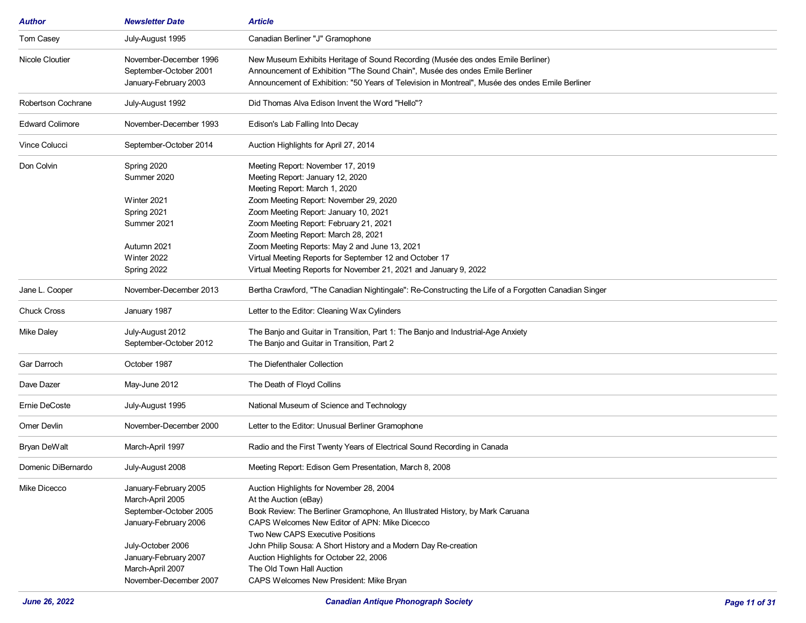| <b>Author</b>          | <b>Newsletter Date</b> | Article                                                                                              |
|------------------------|------------------------|------------------------------------------------------------------------------------------------------|
| Tom Casey              | July-August 1995       | Canadian Berliner "J" Gramophone                                                                     |
| Nicole Cloutier        | November-December 1996 | New Museum Exhibits Heritage of Sound Recording (Musée des ondes Emile Berliner)                     |
|                        | September-October 2001 | Announcement of Exhibition "The Sound Chain", Musée des ondes Emile Berliner                         |
|                        | January-February 2003  | Announcement of Exhibition: "50 Years of Television in Montreal", Musée des ondes Emile Berliner     |
| Robertson Cochrane     | July-August 1992       | Did Thomas Alva Edison Invent the Word "Hello"?                                                      |
| <b>Edward Colimore</b> | November-December 1993 | Edison's Lab Falling Into Decay                                                                      |
| <b>Vince Colucci</b>   | September-October 2014 | Auction Highlights for April 27, 2014                                                                |
| Don Colvin             | Spring 2020            | Meeting Report: November 17, 2019                                                                    |
|                        | Summer 2020            | Meeting Report: January 12, 2020                                                                     |
|                        |                        | Meeting Report: March 1, 2020                                                                        |
|                        | Winter 2021            | Zoom Meeting Report: November 29, 2020                                                               |
|                        | Spring 2021            | Zoom Meeting Report: January 10, 2021                                                                |
|                        | Summer 2021            | Zoom Meeting Report: February 21, 2021                                                               |
|                        |                        | Zoom Meeting Report: March 28, 2021                                                                  |
|                        | Autumn 2021            | Zoom Meeting Reports: May 2 and June 13, 2021                                                        |
|                        | Winter 2022            | Virtual Meeting Reports for September 12 and October 17                                              |
|                        | Spring 2022            | Virtual Meeting Reports for November 21, 2021 and January 9, 2022                                    |
| Jane L. Cooper         | November-December 2013 | Bertha Crawford, "The Canadian Nightingale": Re-Constructing the Life of a Forgotten Canadian Singer |
| <b>Chuck Cross</b>     | January 1987           | Letter to the Editor: Cleaning Wax Cylinders                                                         |
| <b>Mike Daley</b>      | July-August 2012       | The Banjo and Guitar in Transition, Part 1: The Banjo and Industrial-Age Anxiety                     |
|                        | September-October 2012 | The Banjo and Guitar in Transition, Part 2                                                           |
|                        |                        |                                                                                                      |
| Gar Darroch            | October 1987           | The Diefenthaler Collection                                                                          |
| Dave Dazer             | May-June 2012          | The Death of Floyd Collins                                                                           |
| Ernie DeCoste          | July-August 1995       | National Museum of Science and Technology                                                            |
| Omer Devlin            | November-December 2000 | Letter to the Editor: Unusual Berliner Gramophone                                                    |
| Bryan DeWalt           | March-April 1997       | Radio and the First Twenty Years of Electrical Sound Recording in Canada                             |
| Domenic DiBernardo     | July-August 2008       | Meeting Report: Edison Gem Presentation, March 8, 2008                                               |
| Mike Dicecco           | January-February 2005  | Auction Highlights for November 28, 2004                                                             |
|                        | March-April 2005       | At the Auction (eBay)                                                                                |
|                        | September-October 2005 | Book Review: The Berliner Gramophone, An Illustrated History, by Mark Caruana                        |
|                        |                        |                                                                                                      |
|                        | January-February 2006  | CAPS Welcomes New Editor of APN: Mike Dicecco                                                        |
|                        |                        | Two New CAPS Executive Positions                                                                     |
|                        | July-October 2006      | John Philip Sousa: A Short History and a Modern Day Re-creation                                      |
|                        | January-February 2007  | Auction Highlights for October 22, 2006                                                              |
|                        | March-April 2007       | The Old Town Hall Auction                                                                            |
|                        | November-December 2007 | CAPS Welcomes New President: Mike Bryan                                                              |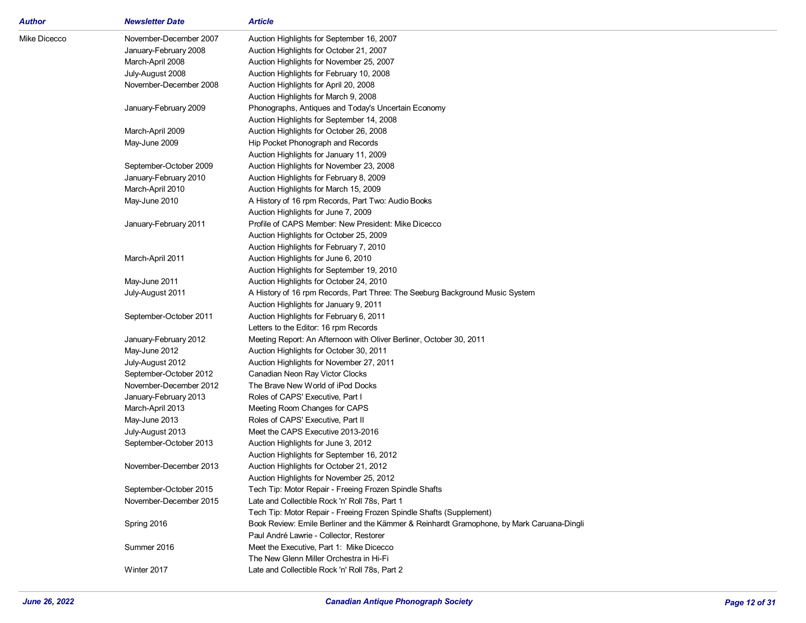| <b>Author</b> | <b>Newsletter Date</b> | <b>Article</b>                                                                            |
|---------------|------------------------|-------------------------------------------------------------------------------------------|
| Mike Dicecco  | November-December 2007 | Auction Highlights for September 16, 2007                                                 |
|               | January-February 2008  | Auction Highlights for October 21, 2007                                                   |
|               | March-April 2008       | Auction Highlights for November 25, 2007                                                  |
|               | July-August 2008       | Auction Highlights for February 10, 2008                                                  |
|               | November-December 2008 | Auction Highlights for April 20, 2008                                                     |
|               |                        | Auction Highlights for March 9, 2008                                                      |
|               | January-February 2009  | Phonographs, Antiques and Today's Uncertain Economy                                       |
|               |                        | Auction Highlights for September 14, 2008                                                 |
|               | March-April 2009       | Auction Highlights for October 26, 2008                                                   |
|               | May-June 2009          | Hip Pocket Phonograph and Records                                                         |
|               |                        | Auction Highlights for January 11, 2009                                                   |
|               | September-October 2009 | Auction Highlights for November 23, 2008                                                  |
|               | January-February 2010  | Auction Highlights for February 8, 2009                                                   |
|               | March-April 2010       | Auction Highlights for March 15, 2009                                                     |
|               | May-June 2010          | A History of 16 rpm Records, Part Two: Audio Books                                        |
|               |                        | Auction Highlights for June 7, 2009                                                       |
|               | January-February 2011  | Profile of CAPS Member: New President: Mike Dicecco                                       |
|               |                        | Auction Highlights for October 25, 2009                                                   |
|               |                        | Auction Highlights for February 7, 2010                                                   |
|               | March-April 2011       | Auction Highlights for June 6, 2010                                                       |
|               |                        | Auction Highlights for September 19, 2010                                                 |
|               | May-June 2011          | Auction Highlights for October 24, 2010                                                   |
|               | July-August 2011       | A History of 16 rpm Records, Part Three: The Seeburg Background Music System              |
|               |                        | Auction Highlights for January 9, 2011                                                    |
|               | September-October 2011 | Auction Highlights for February 6, 2011                                                   |
|               |                        | Letters to the Editor: 16 rpm Records                                                     |
|               | January-February 2012  | Meeting Report: An Afternoon with Oliver Berliner, October 30, 2011                       |
|               | May-June 2012          | Auction Highlights for October 30, 2011                                                   |
|               | July-August 2012       | Auction Highlights for November 27, 2011                                                  |
|               | September-October 2012 | Canadian Neon Ray Victor Clocks                                                           |
|               | November-December 2012 | The Brave New World of iPod Docks                                                         |
|               | January-February 2013  | Roles of CAPS' Executive, Part I                                                          |
|               | March-April 2013       | Meeting Room Changes for CAPS                                                             |
|               | May-June 2013          | Roles of CAPS' Executive, Part II                                                         |
|               | July-August 2013       | Meet the CAPS Executive 2013-2016                                                         |
|               | September-October 2013 | Auction Highlights for June 3, 2012                                                       |
|               |                        | Auction Highlights for September 16, 2012                                                 |
|               | November-December 2013 | Auction Highlights for October 21, 2012                                                   |
|               |                        | Auction Highlights for November 25, 2012                                                  |
|               | September-October 2015 | Tech Tip: Motor Repair - Freeing Frozen Spindle Shafts                                    |
|               | November-December 2015 | Late and Collectible Rock 'n' Roll 78s, Part 1                                            |
|               |                        | Tech Tip: Motor Repair - Freeing Frozen Spindle Shafts (Supplement)                       |
|               | Spring 2016            | Book Review: Emile Berliner and the Kämmer & Reinhardt Gramophone, by Mark Caruana-Dingli |
|               |                        | Paul André Lawrie - Collector, Restorer                                                   |
|               | Summer 2016            | Meet the Executive, Part 1: Mike Dicecco                                                  |
|               |                        | The New Glenn Miller Orchestra in Hi-Fi                                                   |
|               | Winter 2017            | Late and Collectible Rock 'n' Roll 78s, Part 2                                            |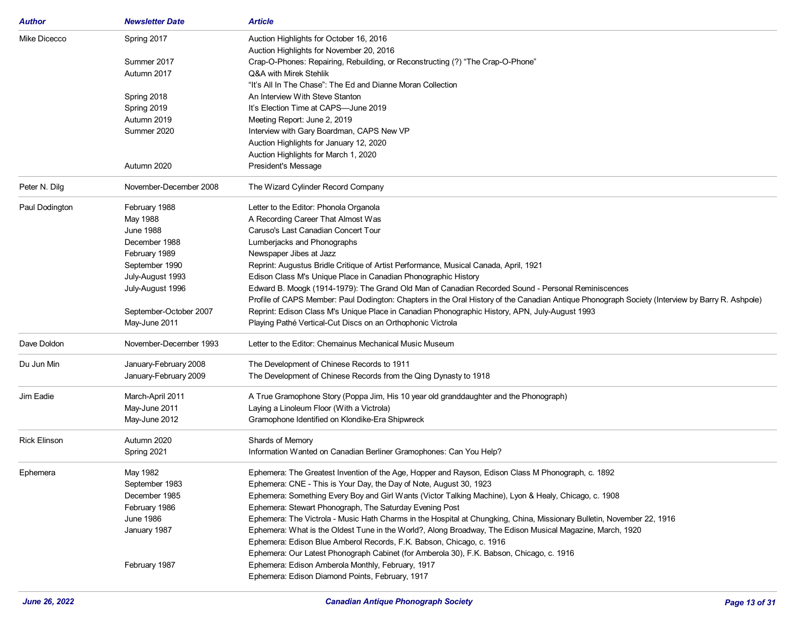| Author              | <b>Newsletter Date</b> | <b>Article</b>                                                                                                                                  |
|---------------------|------------------------|-------------------------------------------------------------------------------------------------------------------------------------------------|
| Mike Dicecco        | Spring 2017            | Auction Highlights for October 16, 2016                                                                                                         |
|                     |                        | Auction Highlights for November 20, 2016                                                                                                        |
|                     | Summer 2017            | Crap-O-Phones: Repairing, Rebuilding, or Reconstructing (?) "The Crap-O-Phone"                                                                  |
|                     | Autumn 2017            | Q&A with Mirek Stehlik                                                                                                                          |
|                     |                        | "It's All In The Chase": The Ed and Dianne Moran Collection                                                                                     |
|                     | Spring 2018            | An Interview With Steve Stanton                                                                                                                 |
|                     | Spring 2019            | It's Election Time at CAPS-June 2019                                                                                                            |
|                     | Autumn 2019            | Meeting Report: June 2, 2019                                                                                                                    |
|                     | Summer 2020            | Interview with Gary Boardman, CAPS New VP                                                                                                       |
|                     |                        | Auction Highlights for January 12, 2020                                                                                                         |
|                     |                        | Auction Highlights for March 1, 2020                                                                                                            |
|                     | Autumn 2020            | President's Message                                                                                                                             |
| Peter N. Dilg       | November-December 2008 | The Wizard Cylinder Record Company                                                                                                              |
| Paul Dodington      | February 1988          | Letter to the Editor: Phonola Organola                                                                                                          |
|                     | May 1988               | A Recording Career That Almost Was                                                                                                              |
|                     | <b>June 1988</b>       | Caruso's Last Canadian Concert Tour                                                                                                             |
|                     | December 1988          | Lumberjacks and Phonographs                                                                                                                     |
|                     | February 1989          | Newspaper Jibes at Jazz                                                                                                                         |
|                     | September 1990         | Reprint: Augustus Bridle Critique of Artist Performance, Musical Canada, April, 1921                                                            |
|                     | July-August 1993       | Edison Class M's Unique Place in Canadian Phonographic History                                                                                  |
|                     | July-August 1996       | Edward B. Moogk (1914-1979): The Grand Old Man of Canadian Recorded Sound - Personal Reminiscences                                              |
|                     |                        | Profile of CAPS Member: Paul Dodington: Chapters in the Oral History of the Canadian Antique Phonograph Society (Interview by Barry R. Ashpole) |
|                     | September-October 2007 | Reprint: Edison Class M's Unique Place in Canadian Phonographic History, APN, July-August 1993                                                  |
|                     | May-June 2011          | Playing Pathé Vertical-Cut Discs on an Orthophonic Victrola                                                                                     |
| Dave Doldon         | November-December 1993 | Letter to the Editor: Chemainus Mechanical Music Museum                                                                                         |
| Du Jun Min          | January-February 2008  | The Development of Chinese Records to 1911                                                                                                      |
|                     | January-February 2009  | The Development of Chinese Records from the Qing Dynasty to 1918                                                                                |
| Jim Eadie           | March-April 2011       | A True Gramophone Story (Poppa Jim, His 10 year old granddaughter and the Phonograph)                                                           |
|                     | May-June 2011          | Laying a Linoleum Floor (With a Victrola)                                                                                                       |
|                     | May-June 2012          | Gramophone Identified on Klondike-Era Shipwreck                                                                                                 |
| <b>Rick Elinson</b> | Autumn 2020            | Shards of Memory                                                                                                                                |
|                     | Spring 2021            | Information Wanted on Canadian Berliner Gramophones: Can You Help?                                                                              |
| Ephemera            | May 1982               | Ephemera: The Greatest Invention of the Age, Hopper and Rayson, Edison Class M Phonograph, c. 1892                                              |
|                     | September 1983         | Ephemera: CNE - This is Your Day, the Day of Note, August 30, 1923                                                                              |
|                     | December 1985          | Ephemera: Something Every Boy and Girl Wants (Victor Talking Machine), Lyon & Healy, Chicago, c. 1908                                           |
|                     | February 1986          | Ephemera: Stewart Phonograph, The Saturday Evening Post                                                                                         |
|                     | <b>June 1986</b>       | Ephemera: The Victrola - Music Hath Charms in the Hospital at Chungking, China, Missionary Bulletin, November 22, 1916                          |
|                     | January 1987           | Ephemera: What is the Oldest Tune in the World?, Along Broadway, The Edison Musical Magazine, March, 1920                                       |
|                     |                        | Ephemera: Edison Blue Amberol Records, F.K. Babson, Chicago, c. 1916                                                                            |
|                     |                        | Ephemera: Our Latest Phonograph Cabinet (for Amberola 30), F.K. Babson, Chicago, c. 1916                                                        |
|                     | February 1987          | Ephemera: Edison Amberola Monthly, February, 1917                                                                                               |
|                     |                        | Ephemera: Edison Diamond Points, February, 1917                                                                                                 |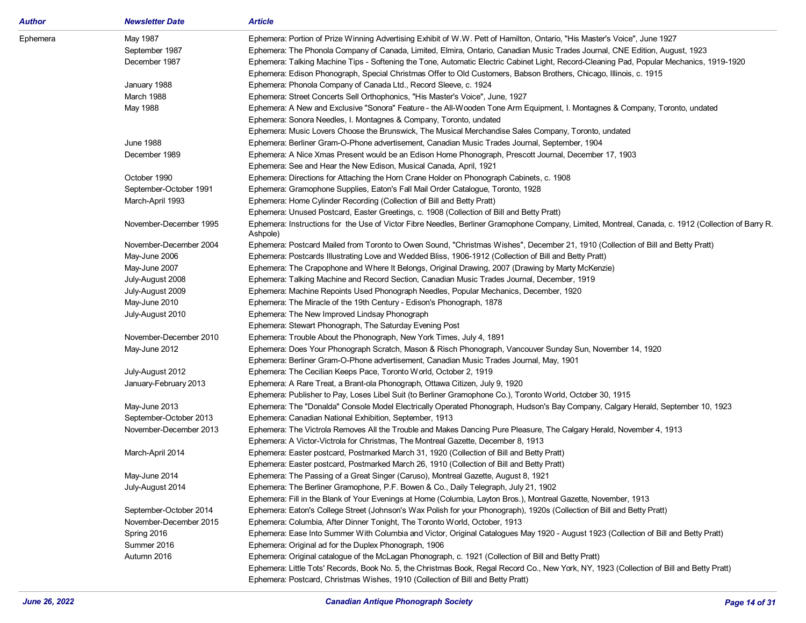| Author   | <b>Newsletter Date</b>     | <b>Article</b>                                                                                                                                      |
|----------|----------------------------|-----------------------------------------------------------------------------------------------------------------------------------------------------|
| Ephemera | May 1987                   | Ephemera: Portion of Prize Winning Advertising Exhibit of W.W. Pett of Hamilton, Ontario, "His Master's Voice", June 1927                           |
|          | September 1987             | Ephemera: The Phonola Company of Canada, Limited, Elmira, Ontario, Canadian Music Trades Journal, CNE Edition, August, 1923                         |
|          | December 1987              | Ephemera: Talking Machine Tips - Softening the Tone, Automatic Electric Cabinet Light, Record-Cleaning Pad, Popular Mechanics, 1919-1920            |
|          |                            | Ephemera: Edison Phonograph, Special Christmas Offer to Old Customers, Babson Brothers, Chicago, Illinois, c. 1915                                  |
|          | January 1988               | Ephemera: Phonola Company of Canada Ltd., Record Sleeve, c. 1924                                                                                    |
|          | March 1988                 | Ephemera: Street Concerts Sell Orthophonics, "His Master's Voice", June, 1927                                                                       |
|          | May 1988                   | Ephemera: A New and Exclusive "Sonora" Feature - the All-Wooden Tone Arm Equipment, I. Montagnes & Company, Toronto, undated                        |
|          |                            | Ephemera: Sonora Needles, I. Montagnes & Company, Toronto, undated                                                                                  |
|          |                            | Ephemera: Music Lovers Choose the Brunswick, The Musical Merchandise Sales Company, Toronto, undated                                                |
|          | <b>June 1988</b>           | Ephemera: Berliner Gram-O-Phone advertisement, Canadian Music Trades Journal, September, 1904                                                       |
|          | December 1989              | Ephemera: A Nice Xmas Present would be an Edison Home Phonograph, Prescott Journal, December 17, 1903                                               |
|          |                            | Ephemera: See and Hear the New Edison, Musical Canada, April, 1921                                                                                  |
|          | October 1990               | Ephemera: Directions for Attaching the Horn Crane Holder on Phonograph Cabinets, c. 1908                                                            |
|          | September-October 1991     | Ephemera: Gramophone Supplies, Eaton's Fall Mail Order Catalogue, Toronto, 1928                                                                     |
|          | March-April 1993           | Ephemera: Home Cylinder Recording (Collection of Bill and Betty Pratt)                                                                              |
|          |                            | Ephemera: Unused Postcard, Easter Greetings, c. 1908 (Collection of Bill and Betty Pratt)                                                           |
|          | November-December 1995     | Ephemera: Instructions for the Use of Victor Fibre Needles, Berliner Gramophone Company, Limited, Montreal, Canada, c. 1912 (Collection of Barry R. |
|          |                            | Ashpole)                                                                                                                                            |
|          | November-December 2004     | Ephemera: Postcard Mailed from Toronto to Owen Sound, "Christmas Wishes", December 21, 1910 (Collection of Bill and Betty Pratt)                    |
|          | May-June 2006              | Ephemera: Postcards Illustrating Love and Wedded Bliss, 1906-1912 (Collection of Bill and Betty Pratt)                                              |
|          | May-June 2007              | Ephemera: The Crapophone and Where It Belongs, Original Drawing, 2007 (Drawing by Marty McKenzie)                                                   |
|          | July-August 2008           | Ephemera: Talking Machine and Record Section, Canadian Music Trades Journal, December, 1919                                                         |
|          | July-August 2009           | Ephemera: Machine Repoints Used Phonograph Needles, Popular Mechanics, December, 1920                                                               |
|          | May-June 2010              | Ephemera: The Miracle of the 19th Century - Edison's Phonograph, 1878                                                                               |
|          | July-August 2010           | Ephemera: The New Improved Lindsay Phonograph                                                                                                       |
|          |                            | Ephemera: Stewart Phonograph, The Saturday Evening Post                                                                                             |
|          | November-December 2010     | Ephemera: Trouble About the Phonograph, New York Times, July 4, 1891                                                                                |
|          | May-June 2012              | Ephemera: Does Your Phonograph Scratch, Mason & Risch Phonograph, Vancouver Sunday Sun, November 14, 1920                                           |
|          |                            | Ephemera: Berliner Gram-O-Phone advertisement, Canadian Music Trades Journal, May, 1901                                                             |
|          | July-August 2012           | Ephemera: The Cecilian Keeps Pace, Toronto World, October 2, 1919                                                                                   |
|          | January-February 2013      | Ephemera: A Rare Treat, a Brant-ola Phonograph, Ottawa Citizen, July 9, 1920                                                                        |
|          |                            | Ephemera: Publisher to Pay, Loses Libel Suit (to Berliner Gramophone Co.), Toronto World, October 30, 1915                                          |
|          | May-June 2013              | Ephemera: The "Donalda" Console Model Electrically Operated Phonograph, Hudson's Bay Company, Calgary Herald, September 10, 1923                    |
|          | September-October 2013     | Ephemera: Canadian National Exhibition, September, 1913                                                                                             |
|          | November-December 2013     | Ephemera: The Victrola Removes All the Trouble and Makes Dancing Pure Pleasure, The Calgary Herald, November 4, 1913                                |
|          |                            | Ephemera: A Victor-Victrola for Christmas, The Montreal Gazette, December 8, 1913                                                                   |
|          | March-April 2014           | Ephemera: Easter postcard, Postmarked March 31, 1920 (Collection of Bill and Betty Pratt)                                                           |
|          |                            | Ephemera: Easter postcard, Postmarked March 26, 1910 (Collection of Bill and Betty Pratt)                                                           |
|          | May-June 2014              | Ephemera: The Passing of a Great Singer (Caruso), Montreal Gazette, August 8, 1921                                                                  |
|          | July-August 2014           | Ephemera: The Berliner Gramophone, P.F. Bowen & Co., Daily Telegraph, July 21, 1902                                                                 |
|          |                            | Ephemera: Fill in the Blank of Your Evenings at Home (Columbia, Layton Bros.), Montreal Gazette, November, 1913                                     |
|          | September-October 2014     | Ephemera: Eaton's College Street (Johnson's Wax Polish for your Phonograph), 1920s (Collection of Bill and Betty Pratt)                             |
|          | November-December 2015     | Ephemera: Columbia, After Dinner Tonight, The Toronto World, October, 1913                                                                          |
|          |                            | Ephemera: Ease Into Summer With Columbia and Victor, Original Catalogues May 1920 - August 1923 (Collection of Bill and Betty Pratt)                |
|          | Spring 2016                |                                                                                                                                                     |
|          | Summer 2016<br>Autumn 2016 | Ephemera: Original ad for the Duplex Phonograph, 1906                                                                                               |
|          |                            | Ephemera: Original catalogue of the McLagan Phonograph, c. 1921 (Collection of Bill and Betty Pratt)                                                |
|          |                            | Ephemera: Little Tots' Records, Book No. 5, the Christmas Book, Regal Record Co., New York, NY, 1923 (Collection of Bill and Betty Pratt)           |
|          |                            | Ephemera: Postcard, Christmas Wishes, 1910 (Collection of Bill and Betty Pratt)                                                                     |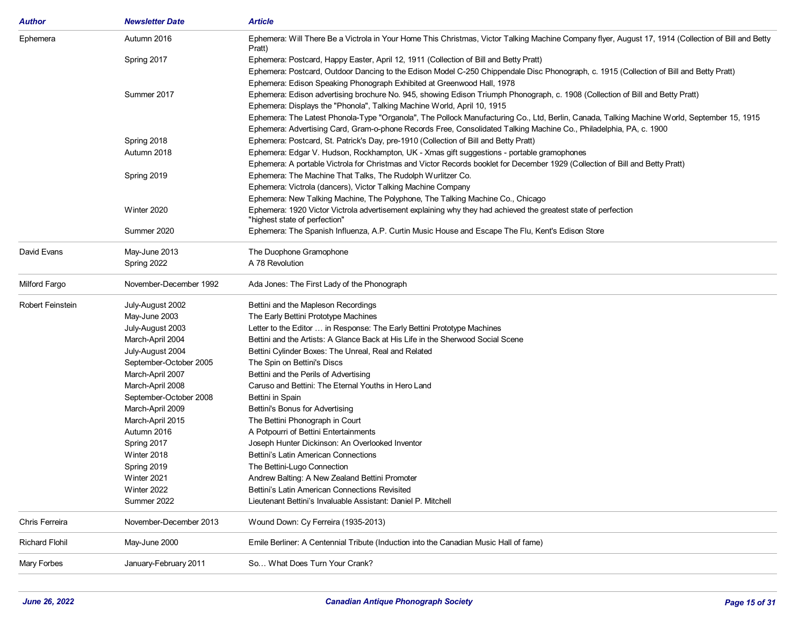| Author           | <b>Newsletter Date</b> | Article                                                                                                                                                       |
|------------------|------------------------|---------------------------------------------------------------------------------------------------------------------------------------------------------------|
| Ephemera         | Autumn 2016            | Ephemera: Will There Be a Victrola in Your Home This Christmas, Victor Talking Machine Company flyer, August 17, 1914 (Collection of Bill and Betty<br>Pratt) |
|                  | Spring 2017            | Ephemera: Postcard, Happy Easter, April 12, 1911 (Collection of Bill and Betty Pratt)                                                                         |
|                  |                        | Ephemera: Postcard, Outdoor Dancing to the Edison Model C-250 Chippendale Disc Phonograph, c. 1915 (Collection of Bill and Betty Pratt)                       |
|                  |                        | Ephemera: Edison Speaking Phonograph Exhibited at Greenwood Hall, 1978                                                                                        |
|                  | Summer 2017            | Ephemera: Edison advertising brochure No. 945, showing Edison Triumph Phonograph, c. 1908 (Collection of Bill and Betty Pratt)                                |
|                  |                        | Ephemera: Displays the "Phonola", Talking Machine World, April 10, 1915                                                                                       |
|                  |                        | Ephemera: The Latest Phonola-Type "Organola", The Pollock Manufacturing Co., Ltd, Berlin, Canada, Talking Machine World, September 15, 1915                   |
|                  |                        | Ephemera: Advertising Card, Gram-o-phone Records Free, Consolidated Talking Machine Co., Philadelphia, PA, c. 1900                                            |
|                  | Spring 2018            | Ephemera: Postcard, St. Patrick's Day, pre-1910 (Collection of Bill and Betty Pratt)                                                                          |
|                  | Autumn 2018            | Ephemera: Edgar V. Hudson, Rockhampton, UK - Xmas gift suggestions - portable gramophones                                                                     |
|                  |                        | Ephemera: A portable Victrola for Christmas and Victor Records booklet for December 1929 (Collection of Bill and Betty Pratt)                                 |
|                  | Spring 2019            | Ephemera: The Machine That Talks, The Rudolph Wurlitzer Co.                                                                                                   |
|                  |                        | Ephemera: Victrola (dancers), Victor Talking Machine Company                                                                                                  |
|                  |                        | Ephemera: New Talking Machine, The Polyphone, The Talking Machine Co., Chicago                                                                                |
|                  | Winter 2020            | Ephemera: 1920 Victor Victrola advertisement explaining why they had achieved the greatest state of perfection<br>"highest state of perfection"               |
|                  | Summer 2020            | Ephemera: The Spanish Influenza, A.P. Curtin Music House and Escape The Flu, Kent's Edison Store                                                              |
| David Evans      | May-June 2013          | The Duophone Gramophone                                                                                                                                       |
|                  | Spring 2022            | A 78 Revolution                                                                                                                                               |
| Milford Fargo    | November-December 1992 | Ada Jones: The First Lady of the Phonograph                                                                                                                   |
| Robert Feinstein | July-August 2002       | Bettini and the Mapleson Recordings                                                                                                                           |
|                  | May-June 2003          | The Early Bettini Prototype Machines                                                                                                                          |
|                  | July-August 2003       | Letter to the Editor  in Response: The Early Bettini Prototype Machines                                                                                       |
|                  | March-April 2004       | Bettini and the Artists: A Glance Back at His Life in the Sherwood Social Scene                                                                               |
|                  | July-August 2004       | Bettini Cylinder Boxes: The Unreal, Real and Related                                                                                                          |
|                  | September-October 2005 | The Spin on Bettini's Discs                                                                                                                                   |
|                  | March-April 2007       | Bettini and the Perils of Advertising                                                                                                                         |
|                  | March-April 2008       | Caruso and Bettini: The Eternal Youths in Hero Land                                                                                                           |
|                  | September-October 2008 | Bettini in Spain                                                                                                                                              |
|                  | March-April 2009       | Bettini's Bonus for Advertising                                                                                                                               |
|                  | March-April 2015       | The Bettini Phonograph in Court                                                                                                                               |
|                  | Autumn 2016            | A Potpourri of Bettini Entertainments                                                                                                                         |
|                  | Spring 2017            | Joseph Hunter Dickinson: An Overlooked Inventor                                                                                                               |
|                  | Winter 2018            | Bettini's Latin American Connections                                                                                                                          |
|                  | Spring 2019            | The Bettini-Lugo Connection                                                                                                                                   |
|                  | Winter 2021            | Andrew Balting: A New Zealand Bettini Promoter                                                                                                                |
|                  | Winter 2022            | Bettini's Latin American Connections Revisited                                                                                                                |
|                  | Summer 2022            | Lieutenant Bettini's Invaluable Assistant: Daniel P. Mitchell                                                                                                 |
| Chris Ferreira   | November-December 2013 | Wound Down: Cy Ferreira (1935-2013)                                                                                                                           |
| Richard Flohil   | May-June 2000          | Emile Berliner: A Centennial Tribute (Induction into the Canadian Music Hall of fame)                                                                         |
| Mary Forbes      | January-February 2011  | So What Does Turn Your Crank?                                                                                                                                 |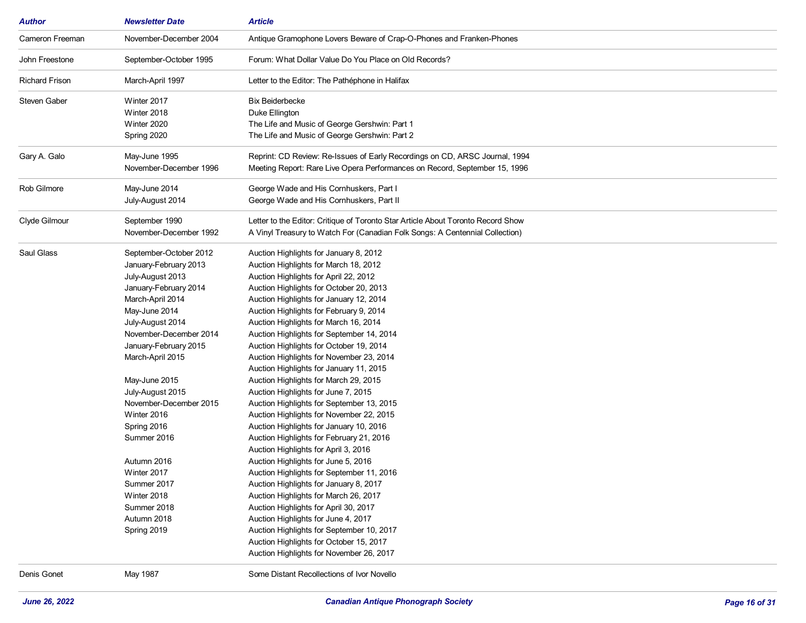| <b>Author</b>         | <b>Newsletter Date</b> | <b>Article</b>                                                                   |
|-----------------------|------------------------|----------------------------------------------------------------------------------|
| Cameron Freeman       | November-December 2004 | Antique Gramophone Lovers Beware of Crap-O-Phones and Franken-Phones             |
| John Freestone        | September-October 1995 | Forum: What Dollar Value Do You Place on Old Records?                            |
| <b>Richard Frison</b> | March-April 1997       | Letter to the Editor: The Pathéphone in Halifax                                  |
| Steven Gaber          | Winter 2017            | <b>Bix Beiderbecke</b>                                                           |
|                       | Winter 2018            | Duke Ellington                                                                   |
|                       | Winter 2020            | The Life and Music of George Gershwin: Part 1                                    |
|                       | Spring 2020            | The Life and Music of George Gershwin: Part 2                                    |
| Gary A. Galo          | May-June 1995          | Reprint: CD Review: Re-Issues of Early Recordings on CD, ARSC Journal, 1994      |
|                       | November-December 1996 | Meeting Report: Rare Live Opera Performances on Record, September 15, 1996       |
| Rob Gilmore           | May-June 2014          | George Wade and His Cornhuskers, Part I                                          |
|                       | July-August 2014       | George Wade and His Cornhuskers, Part II                                         |
| Clyde Gilmour         | September 1990         | Letter to the Editor: Critique of Toronto Star Article About Toronto Record Show |
|                       | November-December 1992 | A Vinyl Treasury to Watch For (Canadian Folk Songs: A Centennial Collection)     |
| Saul Glass            | September-October 2012 | Auction Highlights for January 8, 2012                                           |
|                       | January-February 2013  | Auction Highlights for March 18, 2012                                            |
|                       | July-August 2013       | Auction Highlights for April 22, 2012                                            |
|                       | January-February 2014  | Auction Highlights for October 20, 2013                                          |
|                       | March-April 2014       | Auction Highlights for January 12, 2014                                          |
|                       | May-June 2014          | Auction Highlights for February 9, 2014                                          |
|                       | July-August 2014       | Auction Highlights for March 16, 2014                                            |
|                       | November-December 2014 | Auction Highlights for September 14, 2014                                        |
|                       | January-February 2015  | Auction Highlights for October 19, 2014                                          |
|                       | March-April 2015       | Auction Highlights for November 23, 2014                                         |
|                       |                        | Auction Highlights for January 11, 2015                                          |
|                       | May-June 2015          | Auction Highlights for March 29, 2015                                            |
|                       | July-August 2015       | Auction Highlights for June 7, 2015                                              |
|                       | November-December 2015 | Auction Highlights for September 13, 2015                                        |
|                       | Winter 2016            | Auction Highlights for November 22, 2015                                         |
|                       | Spring 2016            | Auction Highlights for January 10, 2016                                          |
|                       | Summer 2016            | Auction Highlights for February 21, 2016                                         |
|                       |                        | Auction Highlights for April 3, 2016                                             |
|                       | Autumn 2016            | Auction Highlights for June 5, 2016                                              |
|                       | Winter 2017            | Auction Highlights for September 11, 2016                                        |
|                       | Summer 2017            | Auction Highlights for January 8, 2017                                           |
|                       | Winter 2018            | Auction Highlights for March 26, 2017                                            |
|                       | Summer 2018            | Auction Highlights for April 30, 2017                                            |
|                       | Autumn 2018            | Auction Highlights for June 4, 2017                                              |
|                       | Spring 2019            | Auction Highlights for September 10, 2017                                        |
|                       |                        | Auction Highlights for October 15, 2017                                          |
|                       |                        | Auction Highlights for November 26, 2017                                         |
| Denis Gonet           | May 1987               | Some Distant Recollections of Ivor Novello                                       |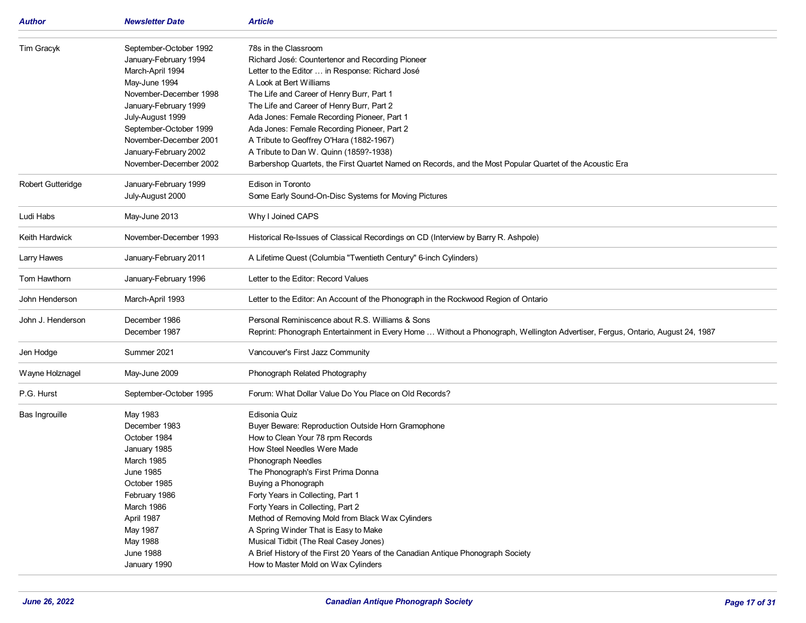| Author                   | <b>Newsletter Date</b>                                                                                                                                                                                                                                             | <b>Article</b>                                                                                                                                                                                                                                                                                                                                                                                                                                                                                                                                                      |
|--------------------------|--------------------------------------------------------------------------------------------------------------------------------------------------------------------------------------------------------------------------------------------------------------------|---------------------------------------------------------------------------------------------------------------------------------------------------------------------------------------------------------------------------------------------------------------------------------------------------------------------------------------------------------------------------------------------------------------------------------------------------------------------------------------------------------------------------------------------------------------------|
| Tim Gracyk               | September-October 1992<br>January-February 1994<br>March-April 1994<br>May-June 1994<br>November-December 1998<br>January-February 1999<br>July-August 1999<br>September-October 1999<br>November-December 2001<br>January-February 2002<br>November-December 2002 | 78s in the Classroom<br>Richard José: Countertenor and Recording Pioneer<br>Letter to the Editor  in Response: Richard José<br>A Look at Bert Williams<br>The Life and Career of Henry Burr, Part 1<br>The Life and Career of Henry Burr, Part 2<br>Ada Jones: Female Recording Pioneer, Part 1<br>Ada Jones: Female Recording Pioneer, Part 2<br>A Tribute to Geoffrey O'Hara (1882-1967)<br>A Tribute to Dan W. Quinn (1859?-1938)<br>Barbershop Quartets, the First Quartet Named on Records, and the Most Popular Quartet of the Acoustic Era                   |
| <b>Robert Gutteridge</b> | January-February 1999<br>July-August 2000                                                                                                                                                                                                                          | Edison in Toronto<br>Some Early Sound-On-Disc Systems for Moving Pictures                                                                                                                                                                                                                                                                                                                                                                                                                                                                                           |
| Ludi Habs                | May-June 2013                                                                                                                                                                                                                                                      | Why I Joined CAPS                                                                                                                                                                                                                                                                                                                                                                                                                                                                                                                                                   |
| Keith Hardwick           | November-December 1993                                                                                                                                                                                                                                             | Historical Re-Issues of Classical Recordings on CD (Interview by Barry R. Ashpole)                                                                                                                                                                                                                                                                                                                                                                                                                                                                                  |
| Larry Hawes              | January-February 2011                                                                                                                                                                                                                                              | A Lifetime Quest (Columbia "Twentieth Century" 6-inch Cylinders)                                                                                                                                                                                                                                                                                                                                                                                                                                                                                                    |
| Tom Hawthorn             | January-February 1996                                                                                                                                                                                                                                              | Letter to the Editor: Record Values                                                                                                                                                                                                                                                                                                                                                                                                                                                                                                                                 |
| John Henderson           | March-April 1993                                                                                                                                                                                                                                                   | Letter to the Editor: An Account of the Phonograph in the Rockwood Region of Ontario                                                                                                                                                                                                                                                                                                                                                                                                                                                                                |
| John J. Henderson        | December 1986<br>December 1987                                                                                                                                                                                                                                     | Personal Reminiscence about R.S. Williams & Sons<br>Reprint: Phonograph Entertainment in Every Home  Without a Phonograph, Wellington Advertiser, Fergus, Ontario, August 24, 1987                                                                                                                                                                                                                                                                                                                                                                                  |
| Jen Hodge                | Summer 2021                                                                                                                                                                                                                                                        | Vancouver's First Jazz Community                                                                                                                                                                                                                                                                                                                                                                                                                                                                                                                                    |
| Wayne Holznagel          | May-June 2009                                                                                                                                                                                                                                                      | Phonograph Related Photography                                                                                                                                                                                                                                                                                                                                                                                                                                                                                                                                      |
| P.G. Hurst               | September-October 1995                                                                                                                                                                                                                                             | Forum: What Dollar Value Do You Place on Old Records?                                                                                                                                                                                                                                                                                                                                                                                                                                                                                                               |
| Bas Ingrouille           | May 1983<br>December 1983<br>October 1984<br>January 1985<br><b>March 1985</b><br>June 1985<br>October 1985<br>February 1986<br>March 1986<br>April 1987<br>May 1987<br>May 1988<br><b>June 1988</b><br>January 1990                                               | Edisonia Quiz<br>Buyer Beware: Reproduction Outside Horn Gramophone<br>How to Clean Your 78 rpm Records<br>How Steel Needles Were Made<br>Phonograph Needles<br>The Phonograph's First Prima Donna<br>Buying a Phonograph<br>Forty Years in Collecting, Part 1<br>Forty Years in Collecting, Part 2<br>Method of Removing Mold from Black Wax Cylinders<br>A Spring Winder That is Easy to Make<br>Musical Tidbit (The Real Casey Jones)<br>A Brief History of the First 20 Years of the Canadian Antique Phonograph Society<br>How to Master Mold on Wax Cylinders |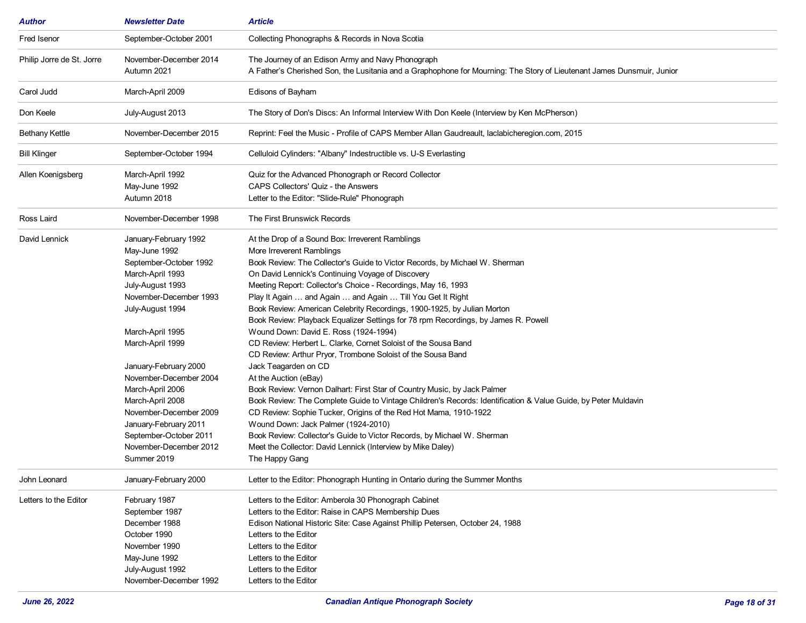| <b>Author</b>             | <b>Newsletter Date</b>                                                                                                                                                                                                                                                                                                                                                                                          | <b>Article</b>                                                                                                                                                                                                                                                                                                                                                                                                                                                                                                                                                                                                                                                                                                                                                                                                                                                                                                                                                                                                                                                                                                                                                                                                    |
|---------------------------|-----------------------------------------------------------------------------------------------------------------------------------------------------------------------------------------------------------------------------------------------------------------------------------------------------------------------------------------------------------------------------------------------------------------|-------------------------------------------------------------------------------------------------------------------------------------------------------------------------------------------------------------------------------------------------------------------------------------------------------------------------------------------------------------------------------------------------------------------------------------------------------------------------------------------------------------------------------------------------------------------------------------------------------------------------------------------------------------------------------------------------------------------------------------------------------------------------------------------------------------------------------------------------------------------------------------------------------------------------------------------------------------------------------------------------------------------------------------------------------------------------------------------------------------------------------------------------------------------------------------------------------------------|
| Fred Isenor               | September-October 2001                                                                                                                                                                                                                                                                                                                                                                                          | Collecting Phonographs & Records in Nova Scotia                                                                                                                                                                                                                                                                                                                                                                                                                                                                                                                                                                                                                                                                                                                                                                                                                                                                                                                                                                                                                                                                                                                                                                   |
| Philip Jorre de St. Jorre | November-December 2014<br>Autumn 2021                                                                                                                                                                                                                                                                                                                                                                           | The Journey of an Edison Army and Navy Phonograph<br>A Father's Cherished Son, the Lusitania and a Graphophone for Mourning: The Story of Lieutenant James Dunsmuir, Junior                                                                                                                                                                                                                                                                                                                                                                                                                                                                                                                                                                                                                                                                                                                                                                                                                                                                                                                                                                                                                                       |
| Carol Judd                | March-April 2009                                                                                                                                                                                                                                                                                                                                                                                                | Edisons of Bayham                                                                                                                                                                                                                                                                                                                                                                                                                                                                                                                                                                                                                                                                                                                                                                                                                                                                                                                                                                                                                                                                                                                                                                                                 |
| Don Keele                 | July-August 2013                                                                                                                                                                                                                                                                                                                                                                                                | The Story of Don's Discs: An Informal Interview With Don Keele (Interview by Ken McPherson)                                                                                                                                                                                                                                                                                                                                                                                                                                                                                                                                                                                                                                                                                                                                                                                                                                                                                                                                                                                                                                                                                                                       |
| <b>Bethany Kettle</b>     | November-December 2015                                                                                                                                                                                                                                                                                                                                                                                          | Reprint: Feel the Music - Profile of CAPS Member Allan Gaudreault, laclabicheregion.com, 2015                                                                                                                                                                                                                                                                                                                                                                                                                                                                                                                                                                                                                                                                                                                                                                                                                                                                                                                                                                                                                                                                                                                     |
| <b>Bill Klinger</b>       | September-October 1994                                                                                                                                                                                                                                                                                                                                                                                          | Celluloid Cylinders: "Albany" Indestructible vs. U-S Everlasting                                                                                                                                                                                                                                                                                                                                                                                                                                                                                                                                                                                                                                                                                                                                                                                                                                                                                                                                                                                                                                                                                                                                                  |
| Allen Koenigsberg         | March-April 1992<br>May-June 1992<br>Autumn 2018                                                                                                                                                                                                                                                                                                                                                                | Quiz for the Advanced Phonograph or Record Collector<br>CAPS Collectors' Quiz - the Answers<br>Letter to the Editor: "Slide-Rule" Phonograph                                                                                                                                                                                                                                                                                                                                                                                                                                                                                                                                                                                                                                                                                                                                                                                                                                                                                                                                                                                                                                                                      |
| Ross Laird                | November-December 1998                                                                                                                                                                                                                                                                                                                                                                                          | The First Brunswick Records                                                                                                                                                                                                                                                                                                                                                                                                                                                                                                                                                                                                                                                                                                                                                                                                                                                                                                                                                                                                                                                                                                                                                                                       |
| David Lennick             | January-February 1992<br>May-June 1992<br>September-October 1992<br>March-April 1993<br>July-August 1993<br>November-December 1993<br>July-August 1994<br>March-April 1995<br>March-April 1999<br>January-February 2000<br>November-December 2004<br>March-April 2006<br>March-April 2008<br>November-December 2009<br>January-February 2011<br>September-October 2011<br>November-December 2012<br>Summer 2019 | At the Drop of a Sound Box: Irreverent Ramblings<br>More Irreverent Ramblings<br>Book Review: The Collector's Guide to Victor Records, by Michael W. Sherman<br>On David Lennick's Continuing Voyage of Discovery<br>Meeting Report: Collector's Choice - Recordings, May 16, 1993<br>Play It Again  and Again  and Again  Till You Get It Right<br>Book Review: American Celebrity Recordings, 1900-1925, by Julian Morton<br>Book Review: Playback Equalizer Settings for 78 rpm Recordings, by James R. Powell<br>Wound Down: David E. Ross (1924-1994)<br>CD Review: Herbert L. Clarke, Cornet Soloist of the Sousa Band<br>CD Review: Arthur Pryor, Trombone Soloist of the Sousa Band<br>Jack Teagarden on CD<br>At the Auction (eBay)<br>Book Review: Vernon Dalhart: First Star of Country Music, by Jack Palmer<br>Book Review: The Complete Guide to Vintage Children's Records: Identification & Value Guide, by Peter Muldavin<br>CD Review: Sophie Tucker, Origins of the Red Hot Mama, 1910-1922<br>Wound Down: Jack Palmer (1924-2010)<br>Book Review: Collector's Guide to Victor Records, by Michael W. Sherman<br>Meet the Collector: David Lennick (Interview by Mike Daley)<br>The Happy Gang |
| John Leonard              | January-February 2000                                                                                                                                                                                                                                                                                                                                                                                           | Letter to the Editor: Phonograph Hunting in Ontario during the Summer Months                                                                                                                                                                                                                                                                                                                                                                                                                                                                                                                                                                                                                                                                                                                                                                                                                                                                                                                                                                                                                                                                                                                                      |
| Letters to the Editor     | February 1987<br>September 1987<br>December 1988<br>October 1990<br>November 1990<br>May-June 1992<br>July-August 1992<br>November-December 1992                                                                                                                                                                                                                                                                | Letters to the Editor: Amberola 30 Phonograph Cabinet<br>Letters to the Editor: Raise in CAPS Membership Dues<br>Edison National Historic Site: Case Against Phillip Petersen, October 24, 1988<br>Letters to the Editor<br>Letters to the Editor<br>Letters to the Editor<br>Letters to the Editor<br>Letters to the Editor                                                                                                                                                                                                                                                                                                                                                                                                                                                                                                                                                                                                                                                                                                                                                                                                                                                                                      |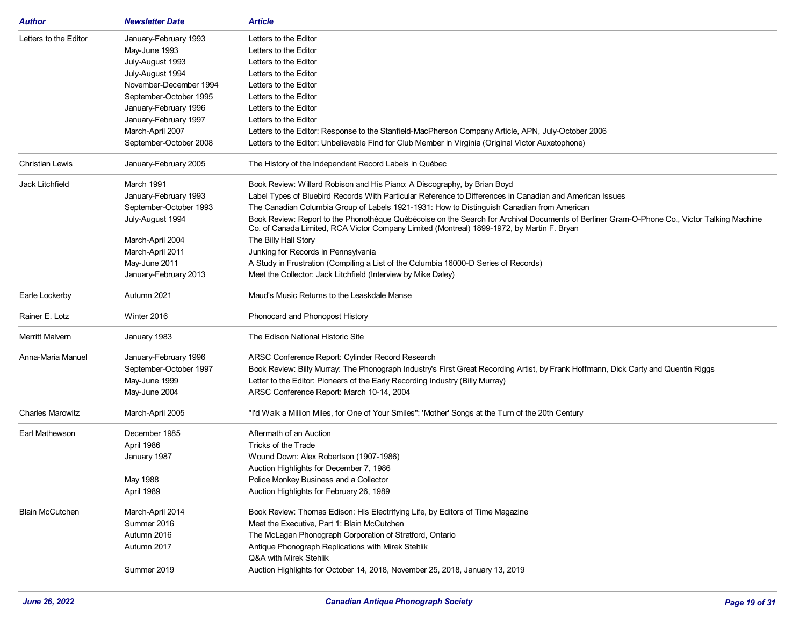| <b>Author</b>           | <b>Newsletter Date</b> | <b>Article</b>                                                                                                                                                                                                                            |
|-------------------------|------------------------|-------------------------------------------------------------------------------------------------------------------------------------------------------------------------------------------------------------------------------------------|
| Letters to the Editor   | January-February 1993  | Letters to the Editor                                                                                                                                                                                                                     |
|                         | May-June 1993          | Letters to the Editor                                                                                                                                                                                                                     |
|                         | July-August 1993       | Letters to the Editor                                                                                                                                                                                                                     |
|                         | July-August 1994       | Letters to the Editor                                                                                                                                                                                                                     |
|                         | November-December 1994 | Letters to the Editor                                                                                                                                                                                                                     |
|                         | September-October 1995 | Letters to the Editor                                                                                                                                                                                                                     |
|                         | January-February 1996  | Letters to the Editor                                                                                                                                                                                                                     |
|                         | January-February 1997  | Letters to the Editor                                                                                                                                                                                                                     |
|                         | March-April 2007       | Letters to the Editor: Response to the Stanfield-MacPherson Company Article, APN, July-October 2006                                                                                                                                       |
|                         | September-October 2008 | Letters to the Editor: Unbelievable Find for Club Member in Virginia (Original Victor Auxetophone)                                                                                                                                        |
| <b>Christian Lewis</b>  | January-February 2005  | The History of the Independent Record Labels in Québec                                                                                                                                                                                    |
| Jack Litchfield         | March 1991             | Book Review: Willard Robison and His Piano: A Discography, by Brian Boyd                                                                                                                                                                  |
|                         | January-February 1993  | Label Types of Bluebird Records With Particular Reference to Differences in Canadian and American Issues                                                                                                                                  |
|                         | September-October 1993 | The Canadian Columbia Group of Labels 1921-1931: How to Distinguish Canadian from American                                                                                                                                                |
|                         | July-August 1994       | Book Review: Report to the Phonothèque Québécoise on the Search for Archival Documents of Berliner Gram-O-Phone Co., Victor Talking Machine<br>Co. of Canada Limited, RCA Victor Company Limited (Montreal) 1899-1972, by Martin F. Bryan |
|                         | March-April 2004       | The Billy Hall Story                                                                                                                                                                                                                      |
|                         | March-April 2011       | Junking for Records in Pennsylvania                                                                                                                                                                                                       |
|                         | May-June 2011          | A Study in Frustration (Compiling a List of the Columbia 16000-D Series of Records)                                                                                                                                                       |
|                         | January-February 2013  | Meet the Collector: Jack Litchfield (Interview by Mike Daley)                                                                                                                                                                             |
| Earle Lockerby          | Autumn 2021            | Maud's Music Returns to the Leaskdale Manse                                                                                                                                                                                               |
| Rainer E. Lotz          | Winter 2016            | Phonocard and Phonopost History                                                                                                                                                                                                           |
| <b>Merritt Malvern</b>  | January 1983           | The Edison National Historic Site                                                                                                                                                                                                         |
| Anna-Maria Manuel       | January-February 1996  | ARSC Conference Report: Cylinder Record Research                                                                                                                                                                                          |
|                         | September-October 1997 | Book Review: Billy Murray: The Phonograph Industry's First Great Recording Artist, by Frank Hoffmann, Dick Carty and Quentin Riggs                                                                                                        |
|                         | May-June 1999          | Letter to the Editor: Pioneers of the Early Recording Industry (Billy Murray)                                                                                                                                                             |
|                         | May-June 2004          | ARSC Conference Report: March 10-14, 2004                                                                                                                                                                                                 |
| <b>Charles Marowitz</b> | March-April 2005       | "I'd Walk a Million Miles, for One of Your Smiles": 'Mother' Songs at the Turn of the 20th Century                                                                                                                                        |
|                         |                        |                                                                                                                                                                                                                                           |
| Earl Mathewson          | December 1985          | Aftermath of an Auction                                                                                                                                                                                                                   |
|                         | April 1986             | Tricks of the Trade                                                                                                                                                                                                                       |
|                         | January 1987           | Wound Down: Alex Robertson (1907-1986)                                                                                                                                                                                                    |
|                         |                        | Auction Highlights for December 7, 1986                                                                                                                                                                                                   |
|                         | May 1988               | Police Monkey Business and a Collector                                                                                                                                                                                                    |
|                         | April 1989             | Auction Highlights for February 26, 1989                                                                                                                                                                                                  |
| <b>Blain McCutchen</b>  | March-April 2014       | Book Review: Thomas Edison: His Electrifying Life, by Editors of Time Magazine                                                                                                                                                            |
|                         | Summer 2016            | Meet the Executive, Part 1: Blain McCutchen                                                                                                                                                                                               |
|                         | Autumn 2016            | The McLagan Phonograph Corporation of Stratford, Ontario                                                                                                                                                                                  |
|                         | Autumn 2017            | Antique Phonograph Replications with Mirek Stehlik                                                                                                                                                                                        |
|                         |                        | Q&A with Mirek Stehlik                                                                                                                                                                                                                    |
|                         | Summer 2019            | Auction Highlights for October 14, 2018, November 25, 2018, January 13, 2019                                                                                                                                                              |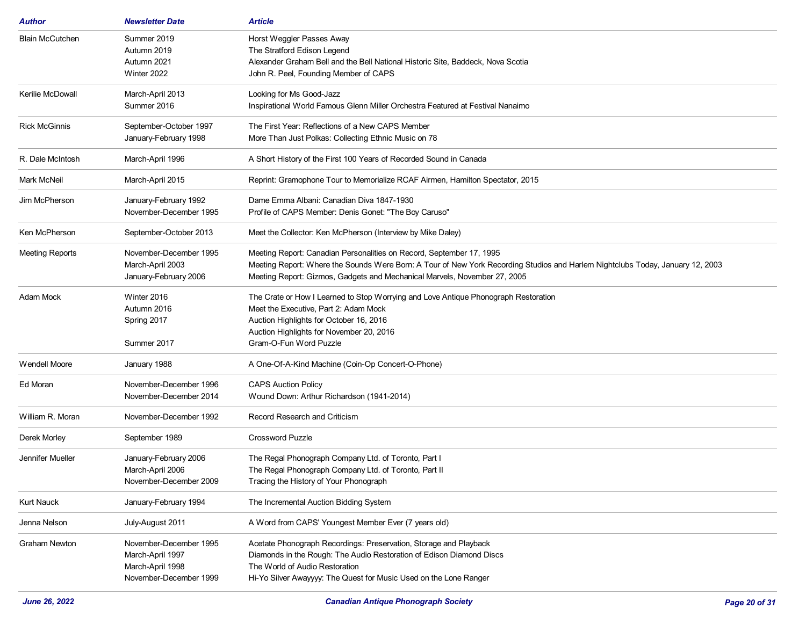| Author                  | <b>Newsletter Date</b> | <b>Article</b>                                                                                                                 |
|-------------------------|------------------------|--------------------------------------------------------------------------------------------------------------------------------|
| <b>Blain McCutchen</b>  | Summer 2019            | Horst Weggler Passes Away                                                                                                      |
|                         | Autumn 2019            | The Stratford Edison Legend                                                                                                    |
|                         | Autumn 2021            | Alexander Graham Bell and the Bell National Historic Site, Baddeck, Nova Scotia                                                |
|                         | Winter 2022            | John R. Peel, Founding Member of CAPS                                                                                          |
| <b>Kerilie McDowall</b> | March-April 2013       | Looking for Ms Good-Jazz                                                                                                       |
|                         | Summer 2016            | Inspirational World Famous Glenn Miller Orchestra Featured at Festival Nanaimo                                                 |
| <b>Rick McGinnis</b>    | September-October 1997 | The First Year: Reflections of a New CAPS Member                                                                               |
|                         | January-February 1998  | More Than Just Polkas: Collecting Ethnic Music on 78                                                                           |
| R. Dale McIntosh        | March-April 1996       | A Short History of the First 100 Years of Recorded Sound in Canada                                                             |
| Mark McNeil             | March-April 2015       | Reprint: Gramophone Tour to Memorialize RCAF Airmen, Hamilton Spectator, 2015                                                  |
| Jim McPherson           | January-February 1992  | Dame Emma Albani: Canadian Diva 1847-1930                                                                                      |
|                         | November-December 1995 | Profile of CAPS Member: Denis Gonet: "The Boy Caruso"                                                                          |
| Ken McPherson           | September-October 2013 | Meet the Collector: Ken McPherson (Interview by Mike Daley)                                                                    |
| <b>Meeting Reports</b>  | November-December 1995 | Meeting Report: Canadian Personalities on Record, September 17, 1995                                                           |
|                         | March-April 2003       | Meeting Report: Where the Sounds Were Born: A Tour of New York Recording Studios and Harlem Nightclubs Today, January 12, 2003 |
|                         | January-February 2006  | Meeting Report: Gizmos, Gadgets and Mechanical Marvels, November 27, 2005                                                      |
| Adam Mock               | Winter 2016            | The Crate or How I Learned to Stop Worrying and Love Antique Phonograph Restoration                                            |
|                         | Autumn 2016            | Meet the Executive, Part 2: Adam Mock                                                                                          |
|                         | Spring 2017            | Auction Highlights for October 16, 2016                                                                                        |
|                         |                        | Auction Highlights for November 20, 2016                                                                                       |
|                         | Summer 2017            | Gram-O-Fun Word Puzzle                                                                                                         |
| <b>Wendell Moore</b>    | January 1988           | A One-Of-A-Kind Machine (Coin-Op Concert-O-Phone)                                                                              |
| Ed Moran                | November-December 1996 | <b>CAPS Auction Policy</b>                                                                                                     |
|                         | November-December 2014 | Wound Down: Arthur Richardson (1941-2014)                                                                                      |
| William R. Moran        | November-December 1992 | Record Research and Criticism                                                                                                  |
| Derek Morley            | September 1989         | <b>Crossword Puzzle</b>                                                                                                        |
| Jennifer Mueller        | January-February 2006  | The Regal Phonograph Company Ltd. of Toronto, Part I                                                                           |
|                         | March-April 2006       | The Regal Phonograph Company Ltd. of Toronto, Part II                                                                          |
|                         | November-December 2009 | Tracing the History of Your Phonograph                                                                                         |
| <b>Kurt Nauck</b>       | January-February 1994  | The Incremental Auction Bidding System                                                                                         |
| Jenna Nelson            | July-August 2011       | A Word from CAPS' Youngest Member Ever (7 years old)                                                                           |
| <b>Graham Newton</b>    | November-December 1995 | Acetate Phonograph Recordings: Preservation, Storage and Playback                                                              |
|                         | March-April 1997       | Diamonds in the Rough: The Audio Restoration of Edison Diamond Discs                                                           |
|                         | March-April 1998       | The World of Audio Restoration                                                                                                 |
|                         | November-December 1999 | Hi-Yo Silver Awayyyy: The Quest for Music Used on the Lone Ranger                                                              |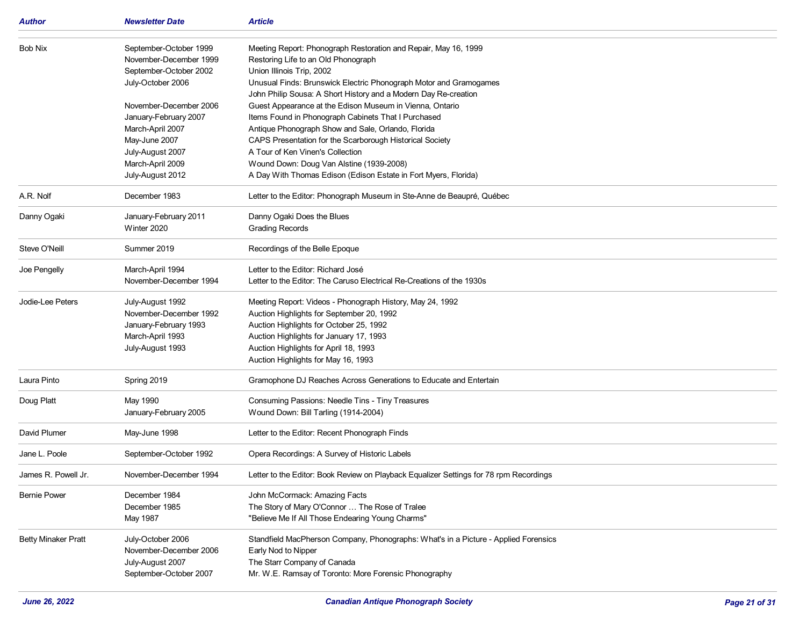| Author                     | <b>Newsletter Date</b>                                                                                                                                                                                                                              | <b>Article</b>                                                                                                                                                                                                                                                                                                                                                                                                                                                                                                                                                                                                                                                      |
|----------------------------|-----------------------------------------------------------------------------------------------------------------------------------------------------------------------------------------------------------------------------------------------------|---------------------------------------------------------------------------------------------------------------------------------------------------------------------------------------------------------------------------------------------------------------------------------------------------------------------------------------------------------------------------------------------------------------------------------------------------------------------------------------------------------------------------------------------------------------------------------------------------------------------------------------------------------------------|
| <b>Bob Nix</b>             | September-October 1999<br>November-December 1999<br>September-October 2002<br>July-October 2006<br>November-December 2006<br>January-February 2007<br>March-April 2007<br>May-June 2007<br>July-August 2007<br>March-April 2009<br>July-August 2012 | Meeting Report: Phonograph Restoration and Repair, May 16, 1999<br>Restoring Life to an Old Phonograph<br>Union Illinois Trip, 2002<br>Unusual Finds: Brunswick Electric Phonograph Motor and Gramogames<br>John Philip Sousa: A Short History and a Modern Day Re-creation<br>Guest Appearance at the Edison Museum in Vienna, Ontario<br>Items Found in Phonograph Cabinets That I Purchased<br>Antique Phonograph Show and Sale, Orlando, Florida<br>CAPS Presentation for the Scarborough Historical Society<br>A Tour of Ken Vinen's Collection<br>Wound Down: Doug Van Alstine (1939-2008)<br>A Day With Thomas Edison (Edison Estate in Fort Myers, Florida) |
| A.R. Nolf                  | December 1983                                                                                                                                                                                                                                       | Letter to the Editor: Phonograph Museum in Ste-Anne de Beaupré, Québec                                                                                                                                                                                                                                                                                                                                                                                                                                                                                                                                                                                              |
| Danny Ogaki                | January-February 2011<br>Winter 2020                                                                                                                                                                                                                | Danny Ogaki Does the Blues<br><b>Grading Records</b>                                                                                                                                                                                                                                                                                                                                                                                                                                                                                                                                                                                                                |
| Steve O'Neill              | Summer 2019                                                                                                                                                                                                                                         | Recordings of the Belle Epoque                                                                                                                                                                                                                                                                                                                                                                                                                                                                                                                                                                                                                                      |
| Joe Pengelly               | March-April 1994<br>November-December 1994                                                                                                                                                                                                          | Letter to the Editor: Richard José<br>Letter to the Editor: The Caruso Electrical Re-Creations of the 1930s                                                                                                                                                                                                                                                                                                                                                                                                                                                                                                                                                         |
| Jodie-Lee Peters           | July-August 1992<br>November-December 1992<br>January-February 1993<br>March-April 1993<br>July-August 1993                                                                                                                                         | Meeting Report: Videos - Phonograph History, May 24, 1992<br>Auction Highlights for September 20, 1992<br>Auction Highlights for October 25, 1992<br>Auction Highlights for January 17, 1993<br>Auction Highlights for April 18, 1993<br>Auction Highlights for May 16, 1993                                                                                                                                                                                                                                                                                                                                                                                        |
| Laura Pinto                | Spring 2019                                                                                                                                                                                                                                         | Gramophone DJ Reaches Across Generations to Educate and Entertain                                                                                                                                                                                                                                                                                                                                                                                                                                                                                                                                                                                                   |
| Doug Platt                 | May 1990<br>January-February 2005                                                                                                                                                                                                                   | Consuming Passions: Needle Tins - Tiny Treasures<br>Wound Down: Bill Tarling (1914-2004)                                                                                                                                                                                                                                                                                                                                                                                                                                                                                                                                                                            |
| David Plumer               | May-June 1998                                                                                                                                                                                                                                       | Letter to the Editor: Recent Phonograph Finds                                                                                                                                                                                                                                                                                                                                                                                                                                                                                                                                                                                                                       |
| Jane L. Poole              | September-October 1992                                                                                                                                                                                                                              | Opera Recordings: A Survey of Historic Labels                                                                                                                                                                                                                                                                                                                                                                                                                                                                                                                                                                                                                       |
| James R. Powell Jr.        | November-December 1994                                                                                                                                                                                                                              | Letter to the Editor: Book Review on Playback Equalizer Settings for 78 rpm Recordings                                                                                                                                                                                                                                                                                                                                                                                                                                                                                                                                                                              |
| <b>Bernie Power</b>        | December 1984<br>December 1985<br>May 1987                                                                                                                                                                                                          | John McCormack: Amazing Facts<br>The Story of Mary O'Connor  The Rose of Tralee<br>"Believe Me If All Those Endearing Young Charms"                                                                                                                                                                                                                                                                                                                                                                                                                                                                                                                                 |
| <b>Betty Minaker Pratt</b> | July-October 2006<br>November-December 2006<br>July-August 2007<br>September-October 2007                                                                                                                                                           | Standfield MacPherson Company, Phonographs: What's in a Picture - Applied Forensics<br>Early Nod to Nipper<br>The Starr Company of Canada<br>Mr. W.E. Ramsay of Toronto: More Forensic Phonography                                                                                                                                                                                                                                                                                                                                                                                                                                                                  |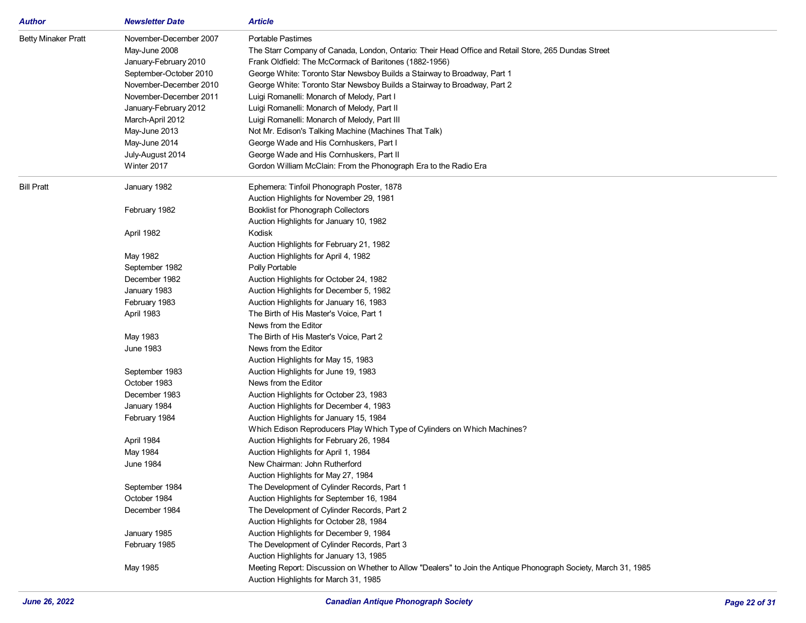| <b>Author</b>              | <b>Newsletter Date</b> | Article                                                                                                         |
|----------------------------|------------------------|-----------------------------------------------------------------------------------------------------------------|
| <b>Betty Minaker Pratt</b> | November-December 2007 | Portable Pastimes                                                                                               |
|                            | May-June 2008          | The Starr Company of Canada, London, Ontario: Their Head Office and Retail Store, 265 Dundas Street             |
|                            | January-February 2010  | Frank Oldfield: The McCormack of Baritones (1882-1956)                                                          |
|                            | September-October 2010 | George White: Toronto Star Newsboy Builds a Stairway to Broadway, Part 1                                        |
|                            | November-December 2010 | George White: Toronto Star Newsboy Builds a Stairway to Broadway, Part 2                                        |
|                            | November-December 2011 | Luigi Romanelli: Monarch of Melody, Part I                                                                      |
|                            | January-February 2012  | Luigi Romanelli: Monarch of Melody, Part II                                                                     |
|                            | March-April 2012       | Luigi Romanelli: Monarch of Melody, Part III                                                                    |
|                            | May-June 2013          | Not Mr. Edison's Talking Machine (Machines That Talk)                                                           |
|                            | May-June 2014          | George Wade and His Cornhuskers, Part I                                                                         |
|                            | July-August 2014       | George Wade and His Cornhuskers, Part II                                                                        |
|                            | Winter 2017            | Gordon William McClain: From the Phonograph Era to the Radio Era                                                |
| <b>Bill Pratt</b>          | January 1982           | Ephemera: Tinfoil Phonograph Poster, 1878                                                                       |
|                            |                        | Auction Highlights for November 29, 1981                                                                        |
|                            | February 1982          | <b>Booklist for Phonograph Collectors</b>                                                                       |
|                            |                        | Auction Highlights for January 10, 1982                                                                         |
|                            | April 1982             | Kodisk                                                                                                          |
|                            |                        | Auction Highlights for February 21, 1982                                                                        |
|                            | May 1982               | Auction Highlights for April 4, 1982                                                                            |
|                            | September 1982         | Polly Portable                                                                                                  |
|                            | December 1982          | Auction Highlights for October 24, 1982                                                                         |
|                            | January 1983           | Auction Highlights for December 5, 1982                                                                         |
|                            | February 1983          | Auction Highlights for January 16, 1983                                                                         |
|                            | April 1983             | The Birth of His Master's Voice, Part 1                                                                         |
|                            |                        | News from the Editor                                                                                            |
|                            | May 1983               | The Birth of His Master's Voice, Part 2                                                                         |
|                            | <b>June 1983</b>       | News from the Editor                                                                                            |
|                            |                        | Auction Highlights for May 15, 1983                                                                             |
|                            | September 1983         | Auction Highlights for June 19, 1983                                                                            |
|                            | October 1983           | News from the Editor                                                                                            |
|                            | December 1983          | Auction Highlights for October 23, 1983                                                                         |
|                            | January 1984           | Auction Highlights for December 4, 1983                                                                         |
|                            | February 1984          | Auction Highlights for January 15, 1984                                                                         |
|                            |                        | Which Edison Reproducers Play Which Type of Cylinders on Which Machines?                                        |
|                            | April 1984             | Auction Highlights for February 26, 1984                                                                        |
|                            | May 1984               | Auction Highlights for April 1, 1984                                                                            |
|                            | <b>June 1984</b>       | New Chairman: John Rutherford                                                                                   |
|                            |                        | Auction Highlights for May 27, 1984                                                                             |
|                            | September 1984         | The Development of Cylinder Records, Part 1                                                                     |
|                            | October 1984           | Auction Highlights for September 16, 1984                                                                       |
|                            | December 1984          | The Development of Cylinder Records, Part 2                                                                     |
|                            |                        | Auction Highlights for October 28, 1984                                                                         |
|                            | January 1985           | Auction Highlights for December 9, 1984                                                                         |
|                            | February 1985          | The Development of Cylinder Records, Part 3                                                                     |
|                            |                        | Auction Highlights for January 13, 1985                                                                         |
|                            | May 1985               | Meeting Report: Discussion on Whether to Allow "Dealers" to Join the Antique Phonograph Society, March 31, 1985 |
|                            |                        | Auction Highlights for March 31, 1985                                                                           |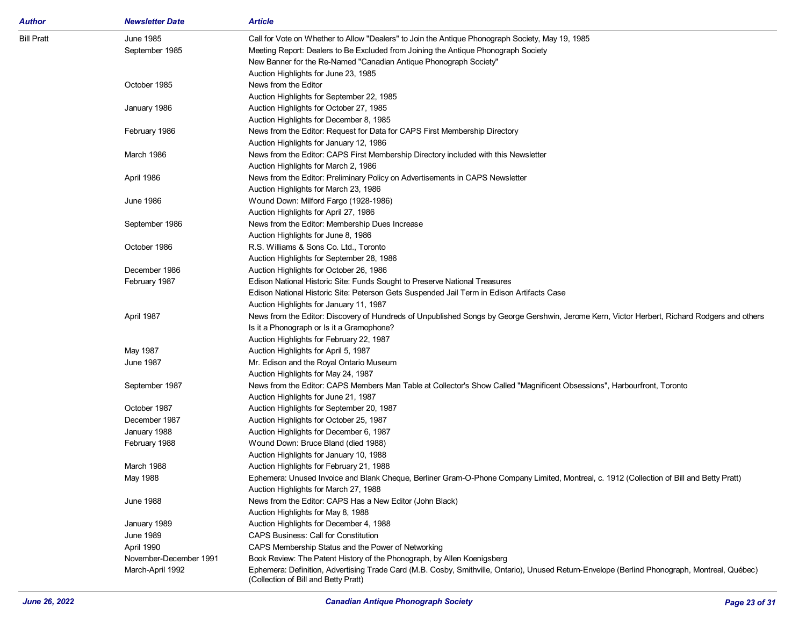| <b>Author</b>     | <b>Newsletter Date</b> | <b>Article</b>                                                                                                                                |
|-------------------|------------------------|-----------------------------------------------------------------------------------------------------------------------------------------------|
| <b>Bill Pratt</b> | June 1985              | Call for Vote on Whether to Allow "Dealers" to Join the Antique Phonograph Society, May 19, 1985                                              |
|                   | September 1985         | Meeting Report: Dealers to Be Excluded from Joining the Antique Phonograph Society                                                            |
|                   |                        | New Banner for the Re-Named "Canadian Antique Phonograph Society"                                                                             |
|                   |                        | Auction Highlights for June 23, 1985                                                                                                          |
|                   | October 1985           | News from the Editor                                                                                                                          |
|                   |                        | Auction Highlights for September 22, 1985                                                                                                     |
|                   | January 1986           | Auction Highlights for October 27, 1985                                                                                                       |
|                   |                        | Auction Highlights for December 8, 1985                                                                                                       |
|                   | February 1986          | News from the Editor: Request for Data for CAPS First Membership Directory                                                                    |
|                   |                        | Auction Highlights for January 12, 1986                                                                                                       |
|                   | March 1986             | News from the Editor: CAPS First Membership Directory included with this Newsletter                                                           |
|                   |                        | Auction Highlights for March 2, 1986                                                                                                          |
|                   | April 1986             | News from the Editor: Preliminary Policy on Advertisements in CAPS Newsletter                                                                 |
|                   |                        | Auction Highlights for March 23, 1986                                                                                                         |
|                   | <b>June 1986</b>       | Wound Down: Milford Fargo (1928-1986)                                                                                                         |
|                   |                        | Auction Highlights for April 27, 1986                                                                                                         |
|                   | September 1986         | News from the Editor: Membership Dues Increase                                                                                                |
|                   |                        | Auction Highlights for June 8, 1986                                                                                                           |
|                   | October 1986           | R.S. Williams & Sons Co. Ltd., Toronto                                                                                                        |
|                   |                        | Auction Highlights for September 28, 1986                                                                                                     |
|                   | December 1986          | Auction Highlights for October 26, 1986                                                                                                       |
|                   | February 1987          | Edison National Historic Site: Funds Sought to Preserve National Treasures                                                                    |
|                   |                        | Edison National Historic Site: Peterson Gets Suspended Jail Term in Edison Artifacts Case                                                     |
|                   |                        | Auction Highlights for January 11, 1987                                                                                                       |
|                   | April 1987             | News from the Editor: Discovery of Hundreds of Unpublished Songs by George Gershwin, Jerome Kern, Victor Herbert, Richard Rodgers and others  |
|                   |                        | Is it a Phonograph or Is it a Gramophone?                                                                                                     |
|                   |                        | Auction Highlights for February 22, 1987                                                                                                      |
|                   | May 1987               | Auction Highlights for April 5, 1987                                                                                                          |
|                   | <b>June 1987</b>       | Mr. Edison and the Royal Ontario Museum                                                                                                       |
|                   |                        | Auction Highlights for May 24, 1987                                                                                                           |
|                   | September 1987         | News from the Editor: CAPS Members Man Table at Collector's Show Called "Magnificent Obsessions", Harbourfront, Toronto                       |
|                   |                        | Auction Highlights for June 21, 1987                                                                                                          |
|                   | October 1987           | Auction Highlights for September 20, 1987                                                                                                     |
|                   | December 1987          | Auction Highlights for October 25, 1987                                                                                                       |
|                   | January 1988           | Auction Highlights for December 6, 1987                                                                                                       |
|                   | February 1988          | Wound Down: Bruce Bland (died 1988)                                                                                                           |
|                   |                        | Auction Highlights for January 10, 1988                                                                                                       |
|                   | March 1988             | Auction Highlights for February 21, 1988                                                                                                      |
|                   | May 1988               | Ephemera: Unused Invoice and Blank Cheque, Berliner Gram-O-Phone Company Limited, Montreal, c. 1912 (Collection of Bill and Betty Pratt)      |
|                   |                        | Auction Highlights for March 27, 1988                                                                                                         |
|                   | <b>June 1988</b>       | News from the Editor: CAPS Has a New Editor (John Black)                                                                                      |
|                   |                        | Auction Highlights for May 8, 1988                                                                                                            |
|                   | January 1989           | Auction Highlights for December 4, 1988                                                                                                       |
|                   | <b>June 1989</b>       | <b>CAPS Business: Call for Constitution</b>                                                                                                   |
|                   | April 1990             | CAPS Membership Status and the Power of Networking                                                                                            |
|                   | November-December 1991 | Book Review: The Patent History of the Phonograph, by Allen Koenigsberg                                                                       |
|                   | March-April 1992       | Ephemera: Definition, Advertising Trade Card (M.B. Cosby, Smithville, Ontario), Unused Return-Envelope (Berlind Phonograph, Montreal, Québec) |
|                   |                        | (Collection of Bill and Betty Pratt)                                                                                                          |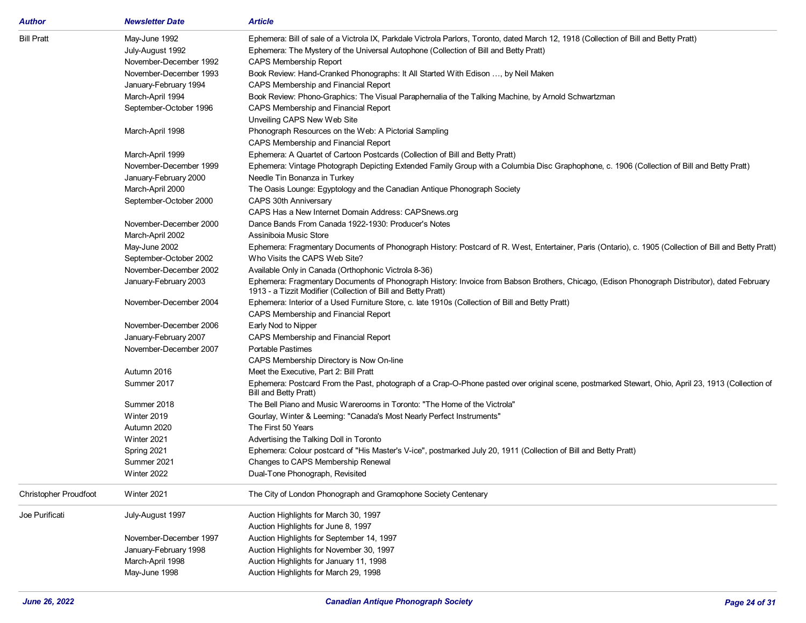| Author                       | <b>Newsletter Date</b> | <b>Article</b>                                                                                                                                                              |
|------------------------------|------------------------|-----------------------------------------------------------------------------------------------------------------------------------------------------------------------------|
| <b>Bill Pratt</b>            | May-June 1992          | Ephemera: Bill of sale of a Victrola IX, Parkdale Victrola Parlors, Toronto, dated March 12, 1918 (Collection of Bill and Betty Pratt)                                      |
|                              | July-August 1992       | Ephemera: The Mystery of the Universal Autophone (Collection of Bill and Betty Pratt)                                                                                       |
|                              | November-December 1992 | <b>CAPS Membership Report</b>                                                                                                                                               |
|                              | November-December 1993 | Book Review: Hand-Cranked Phonographs: It All Started With Edison , by Neil Maken                                                                                           |
|                              | January-February 1994  | CAPS Membership and Financial Report                                                                                                                                        |
|                              | March-April 1994       | Book Review: Phono-Graphics: The Visual Paraphernalia of the Talking Machine, by Arnold Schwartzman                                                                         |
|                              | September-October 1996 | CAPS Membership and Financial Report                                                                                                                                        |
|                              |                        | Unveiling CAPS New Web Site                                                                                                                                                 |
|                              | March-April 1998       | Phonograph Resources on the Web: A Pictorial Sampling                                                                                                                       |
|                              |                        | CAPS Membership and Financial Report                                                                                                                                        |
|                              | March-April 1999       | Ephemera: A Quartet of Cartoon Postcards (Collection of Bill and Betty Pratt)                                                                                               |
|                              | November-December 1999 | Ephemera: Vintage Photograph Depicting Extended Family Group with a Columbia Disc Graphophone, c. 1906 (Collection of Bill and Betty Pratt)                                 |
|                              | January-February 2000  | Needle Tin Bonanza in Turkey                                                                                                                                                |
|                              | March-April 2000       | The Oasis Lounge: Egyptology and the Canadian Antique Phonograph Society                                                                                                    |
|                              | September-October 2000 | CAPS 30th Anniversary                                                                                                                                                       |
|                              |                        | CAPS Has a New Internet Domain Address: CAPSnews.org                                                                                                                        |
|                              | November-December 2000 | Dance Bands From Canada 1922-1930: Producer's Notes                                                                                                                         |
|                              | March-April 2002       | Assinibola Music Store                                                                                                                                                      |
|                              | May-June 2002          | Ephemera: Fragmentary Documents of Phonograph History: Postcard of R. West, Entertainer, Paris (Ontario), c. 1905 (Collection of Bill and Betty Pratt)                      |
|                              | September-October 2002 | Who Visits the CAPS Web Site?                                                                                                                                               |
|                              | November-December 2002 | Available Only in Canada (Orthophonic Victrola 8-36)                                                                                                                        |
|                              | January-February 2003  | Ephemera: Fragmentary Documents of Phonograph History: Invoice from Babson Brothers, Chicago, (Edison Phonograph Distributor), dated February                               |
|                              |                        | 1913 - a Tizzit Modifier (Collection of Bill and Betty Pratt)                                                                                                               |
|                              | November-December 2004 | Ephemera: Interior of a Used Furniture Store, c. late 1910s (Collection of Bill and Betty Pratt)                                                                            |
|                              |                        | CAPS Membership and Financial Report                                                                                                                                        |
|                              | November-December 2006 | Early Nod to Nipper                                                                                                                                                         |
|                              | January-February 2007  | CAPS Membership and Financial Report                                                                                                                                        |
|                              | November-December 2007 | <b>Portable Pastimes</b>                                                                                                                                                    |
|                              |                        | CAPS Membership Directory is Now On-line                                                                                                                                    |
|                              | Autumn 2016            | Meet the Executive, Part 2: Bill Pratt                                                                                                                                      |
|                              | Summer 2017            | Ephemera: Postcard From the Past, photograph of a Crap-O-Phone pasted over original scene, postmarked Stewart, Ohio, April 23, 1913 (Collection of<br>Bill and Betty Pratt) |
|                              | Summer 2018            | The Bell Piano and Music Warerooms in Toronto: "The Home of the Victrola"                                                                                                   |
|                              | Winter 2019            | Gourlay, Winter & Leeming: "Canada's Most Nearly Perfect Instruments"                                                                                                       |
|                              | Autumn 2020            | The First 50 Years                                                                                                                                                          |
|                              | Winter 2021            | Advertising the Talking Doll in Toronto                                                                                                                                     |
|                              | Spring 2021            | Ephemera: Colour postcard of "His Master's V-ice", postmarked July 20, 1911 (Collection of Bill and Betty Pratt)                                                            |
|                              | Summer 2021            | Changes to CAPS Membership Renewal                                                                                                                                          |
|                              | Winter 2022            | Dual-Tone Phonograph, Revisited                                                                                                                                             |
| <b>Christopher Proudfoot</b> | Winter 2021            | The City of London Phonograph and Gramophone Society Centenary                                                                                                              |
| Joe Purificati               | July-August 1997       | Auction Highlights for March 30, 1997                                                                                                                                       |
|                              |                        | Auction Highlights for June 8, 1997                                                                                                                                         |
|                              | November-December 1997 | Auction Highlights for September 14, 1997                                                                                                                                   |
|                              | January-February 1998  | Auction Highlights for November 30, 1997                                                                                                                                    |
|                              | March-April 1998       | Auction Highlights for January 11, 1998                                                                                                                                     |
|                              | May-June 1998          | Auction Highlights for March 29, 1998                                                                                                                                       |
|                              |                        |                                                                                                                                                                             |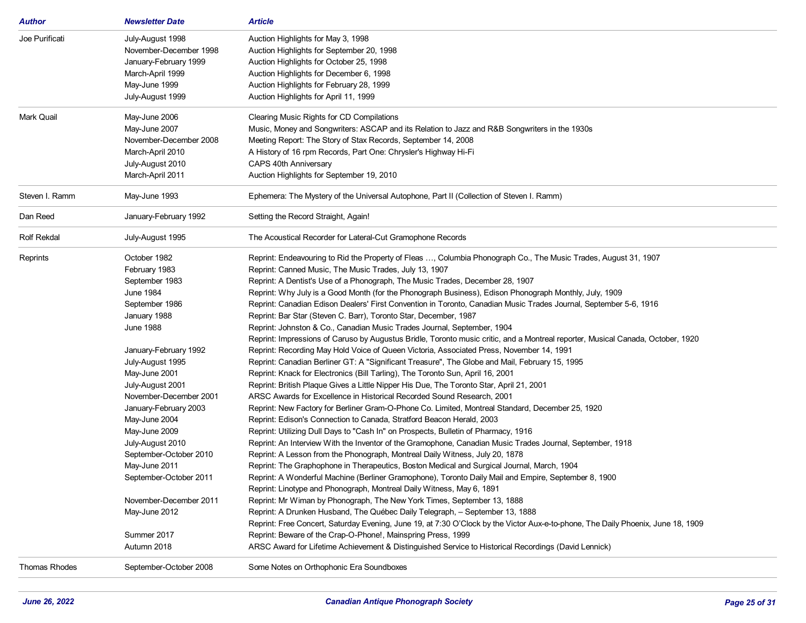| Author               | <b>Newsletter Date</b> | <b>Article</b>                                                                                                                   |
|----------------------|------------------------|----------------------------------------------------------------------------------------------------------------------------------|
| Joe Purificati       | July-August 1998       | Auction Highlights for May 3, 1998                                                                                               |
|                      | November-December 1998 | Auction Highlights for September 20, 1998                                                                                        |
|                      | January-February 1999  | Auction Highlights for October 25, 1998                                                                                          |
|                      | March-April 1999       | Auction Highlights for December 6, 1998                                                                                          |
|                      | May-June 1999          | Auction Highlights for February 28, 1999                                                                                         |
|                      | July-August 1999       | Auction Highlights for April 11, 1999                                                                                            |
|                      |                        |                                                                                                                                  |
| Mark Quail           | May-June 2006          | Clearing Music Rights for CD Compilations                                                                                        |
|                      | May-June 2007          | Music, Money and Songwriters: ASCAP and its Relation to Jazz and R&B Songwriters in the 1930s                                    |
|                      | November-December 2008 | Meeting Report: The Story of Stax Records, September 14, 2008                                                                    |
|                      | March-April 2010       | A History of 16 rpm Records, Part One: Chrysler's Highway Hi-Fi                                                                  |
|                      | July-August 2010       | CAPS 40th Anniversary                                                                                                            |
|                      | March-April 2011       | Auction Highlights for September 19, 2010                                                                                        |
| Steven I. Ramm       | May-June 1993          | Ephemera: The Mystery of the Universal Autophone, Part II (Collection of Steven I. Ramm)                                         |
| Dan Reed             | January-February 1992  | Setting the Record Straight, Again!                                                                                              |
| <b>Rolf Rekdal</b>   | July-August 1995       | The Acoustical Recorder for Lateral-Cut Gramophone Records                                                                       |
| Reprints             | October 1982           | Reprint: Endeavouring to Rid the Property of Fleas , Columbia Phonograph Co., The Music Trades, August 31, 1907                  |
|                      | February 1983          | Reprint: Canned Music, The Music Trades, July 13, 1907                                                                           |
|                      | September 1983         | Reprint: A Dentist's Use of a Phonograph, The Music Trades, December 28, 1907                                                    |
|                      | June 1984              | Reprint: Why July is a Good Month (for the Phonograph Business), Edison Phonograph Monthly, July, 1909                           |
|                      | September 1986         | Reprint: Canadian Edison Dealers' First Convention in Toronto, Canadian Music Trades Journal, September 5-6, 1916                |
|                      | January 1988           | Reprint: Bar Star (Steven C. Barr), Toronto Star, December, 1987                                                                 |
|                      | <b>June 1988</b>       | Reprint: Johnston & Co., Canadian Music Trades Journal, September, 1904                                                          |
|                      |                        | Reprint: Impressions of Caruso by Augustus Bridle, Toronto music critic, and a Montreal reporter, Musical Canada, October, 1920  |
|                      | January-February 1992  | Reprint: Recording May Hold Voice of Queen Victoria, Associated Press, November 14, 1991                                         |
|                      | July-August 1995       | Reprint: Canadian Berliner GT: A "Significant Treasure", The Globe and Mail, February 15, 1995                                   |
|                      | May-June 2001          | Reprint: Knack for Electronics (Bill Tarling), The Toronto Sun, April 16, 2001                                                   |
|                      | July-August 2001       | Reprint: British Plaque Gives a Little Nipper His Due, The Toronto Star, April 21, 2001                                          |
|                      | November-December 2001 | ARSC Awards for Excellence in Historical Recorded Sound Research, 2001                                                           |
|                      | January-February 2003  | Reprint: New Factory for Berliner Gram-O-Phone Co. Limited, Montreal Standard, December 25, 1920                                 |
|                      | May-June 2004          | Reprint: Edison's Connection to Canada, Stratford Beacon Herald, 2003                                                            |
|                      | May-June 2009          | Reprint: Utilizing Dull Days to "Cash In" on Prospects, Bulletin of Pharmacy, 1916                                               |
|                      | July-August 2010       | Reprint: An Interview With the Inventor of the Gramophone, Canadian Music Trades Journal, September, 1918                        |
|                      | September-October 2010 | Reprint: A Lesson from the Phonograph, Montreal Daily Witness, July 20, 1878                                                     |
|                      | May-June 2011          | Reprint: The Graphophone in Therapeutics, Boston Medical and Surgical Journal, March, 1904                                       |
|                      | September-October 2011 | Reprint: A Wonderful Machine (Berliner Gramophone), Toronto Daily Mail and Empire, September 8, 1900                             |
|                      |                        | Reprint: Linotype and Phonograph, Montreal Daily Witness, May 6, 1891                                                            |
|                      | November-December 2011 | Reprint: Mr Wiman by Phonograph, The New York Times, September 13, 1888                                                          |
|                      | May-June 2012          | Reprint: A Drunken Husband, The Québec Daily Telegraph, - September 13, 1888                                                     |
|                      |                        | Reprint: Free Concert, Saturday Evening, June 19, at 7:30 O'Clock by the Victor Aux-e-to-phone, The Daily Phoenix, June 18, 1909 |
|                      | Summer 2017            | Reprint: Beware of the Crap-O-Phone!, Mainspring Press, 1999                                                                     |
|                      | Autumn 2018            | ARSC Award for Lifetime Achievement & Distinguished Service to Historical Recordings (David Lennick)                             |
| <b>Thomas Rhodes</b> | September-October 2008 | Some Notes on Orthophonic Era Soundboxes                                                                                         |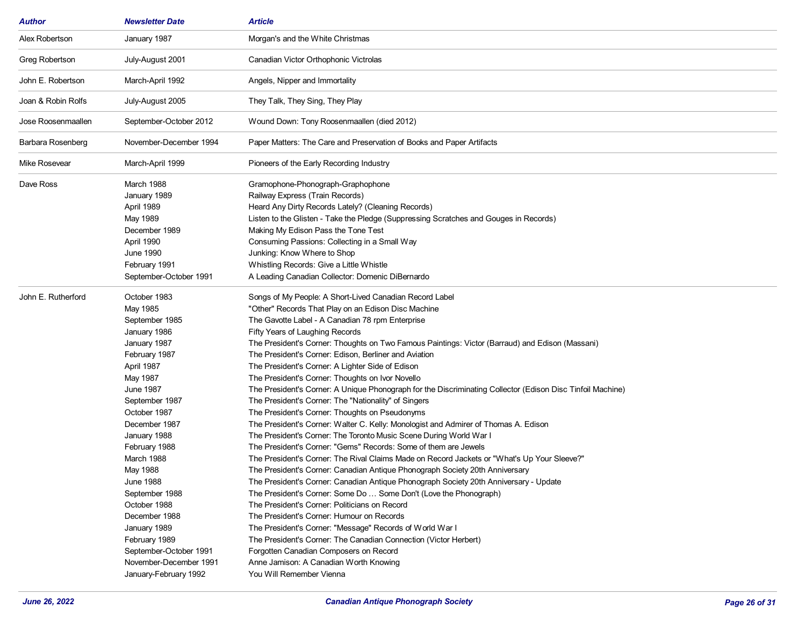| Author             | <b>Newsletter Date</b>                                                                                                                                                                                                                                                                                                                                                                                                                       | <b>Article</b>                                                                                                                                                                                                                                                                                                                                                                                                                                                                                                                                                                                                                                                                                                                                                                                                                                                                                                                                                                                                                                                                                                                                                                                                                                                                                                                                                                                                                                                                                                                                                                                                               |
|--------------------|----------------------------------------------------------------------------------------------------------------------------------------------------------------------------------------------------------------------------------------------------------------------------------------------------------------------------------------------------------------------------------------------------------------------------------------------|------------------------------------------------------------------------------------------------------------------------------------------------------------------------------------------------------------------------------------------------------------------------------------------------------------------------------------------------------------------------------------------------------------------------------------------------------------------------------------------------------------------------------------------------------------------------------------------------------------------------------------------------------------------------------------------------------------------------------------------------------------------------------------------------------------------------------------------------------------------------------------------------------------------------------------------------------------------------------------------------------------------------------------------------------------------------------------------------------------------------------------------------------------------------------------------------------------------------------------------------------------------------------------------------------------------------------------------------------------------------------------------------------------------------------------------------------------------------------------------------------------------------------------------------------------------------------------------------------------------------------|
| Alex Robertson     | January 1987                                                                                                                                                                                                                                                                                                                                                                                                                                 | Morgan's and the White Christmas                                                                                                                                                                                                                                                                                                                                                                                                                                                                                                                                                                                                                                                                                                                                                                                                                                                                                                                                                                                                                                                                                                                                                                                                                                                                                                                                                                                                                                                                                                                                                                                             |
| Greg Robertson     | July-August 2001                                                                                                                                                                                                                                                                                                                                                                                                                             | Canadian Victor Orthophonic Victrolas                                                                                                                                                                                                                                                                                                                                                                                                                                                                                                                                                                                                                                                                                                                                                                                                                                                                                                                                                                                                                                                                                                                                                                                                                                                                                                                                                                                                                                                                                                                                                                                        |
| John E. Robertson  | March-April 1992                                                                                                                                                                                                                                                                                                                                                                                                                             | Angels, Nipper and Immortality                                                                                                                                                                                                                                                                                                                                                                                                                                                                                                                                                                                                                                                                                                                                                                                                                                                                                                                                                                                                                                                                                                                                                                                                                                                                                                                                                                                                                                                                                                                                                                                               |
| Joan & Robin Rolfs | July-August 2005                                                                                                                                                                                                                                                                                                                                                                                                                             | They Talk, They Sing, They Play                                                                                                                                                                                                                                                                                                                                                                                                                                                                                                                                                                                                                                                                                                                                                                                                                                                                                                                                                                                                                                                                                                                                                                                                                                                                                                                                                                                                                                                                                                                                                                                              |
| Jose Roosenmaallen | September-October 2012                                                                                                                                                                                                                                                                                                                                                                                                                       | Wound Down: Tony Roosenmaallen (died 2012)                                                                                                                                                                                                                                                                                                                                                                                                                                                                                                                                                                                                                                                                                                                                                                                                                                                                                                                                                                                                                                                                                                                                                                                                                                                                                                                                                                                                                                                                                                                                                                                   |
| Barbara Rosenberg  | November-December 1994                                                                                                                                                                                                                                                                                                                                                                                                                       | Paper Matters: The Care and Preservation of Books and Paper Artifacts                                                                                                                                                                                                                                                                                                                                                                                                                                                                                                                                                                                                                                                                                                                                                                                                                                                                                                                                                                                                                                                                                                                                                                                                                                                                                                                                                                                                                                                                                                                                                        |
| Mike Rosevear      | March-April 1999                                                                                                                                                                                                                                                                                                                                                                                                                             | Pioneers of the Early Recording Industry                                                                                                                                                                                                                                                                                                                                                                                                                                                                                                                                                                                                                                                                                                                                                                                                                                                                                                                                                                                                                                                                                                                                                                                                                                                                                                                                                                                                                                                                                                                                                                                     |
| Dave Ross          | March 1988<br>January 1989<br>April 1989<br>May 1989<br>December 1989<br>April 1990<br><b>June 1990</b><br>February 1991<br>September-October 1991                                                                                                                                                                                                                                                                                           | Gramophone-Phonograph-Graphophone<br>Railway Express (Train Records)<br>Heard Any Dirty Records Lately? (Cleaning Records)<br>Listen to the Glisten - Take the Pledge (Suppressing Scratches and Gouges in Records)<br>Making My Edison Pass the Tone Test<br>Consuming Passions: Collecting in a Small Way<br>Junking: Know Where to Shop<br>Whistling Records: Give a Little Whistle<br>A Leading Canadian Collector: Domenic DiBernardo                                                                                                                                                                                                                                                                                                                                                                                                                                                                                                                                                                                                                                                                                                                                                                                                                                                                                                                                                                                                                                                                                                                                                                                   |
| John E. Rutherford | October 1983<br>May 1985<br>September 1985<br>January 1986<br>January 1987<br>February 1987<br>April 1987<br>May 1987<br><b>June 1987</b><br>September 1987<br>October 1987<br>December 1987<br>January 1988<br>February 1988<br>March 1988<br>May 1988<br><b>June 1988</b><br>September 1988<br>October 1988<br>December 1988<br>January 1989<br>February 1989<br>September-October 1991<br>November-December 1991<br>January-February 1992 | Songs of My People: A Short-Lived Canadian Record Label<br>"Other" Records That Play on an Edison Disc Machine<br>The Gavotte Label - A Canadian 78 rpm Enterprise<br>Fifty Years of Laughing Records<br>The President's Corner: Thoughts on Two Famous Paintings: Victor (Barraud) and Edison (Massani)<br>The President's Corner: Edison, Berliner and Aviation<br>The President's Corner: A Lighter Side of Edison<br>The President's Corner: Thoughts on Ivor Novello<br>The President's Corner: A Unique Phonograph for the Discriminating Collector (Edison Disc Tinfoil Machine)<br>The President's Corner: The "Nationality" of Singers<br>The President's Corner: Thoughts on Pseudonyms<br>The President's Corner: Walter C. Kelly: Monologist and Admirer of Thomas A. Edison<br>The President's Corner: The Toronto Music Scene During World War I<br>The President's Corner: "Gems" Records: Some of them are Jewels<br>The President's Corner: The Rival Claims Made on Record Jackets or "What's Up Your Sleeve?"<br>The President's Corner: Canadian Antique Phonograph Society 20th Anniversary<br>The President's Corner: Canadian Antique Phonograph Society 20th Anniversary - Update<br>The President's Corner: Some Do  Some Don't (Love the Phonograph)<br>The President's Corner: Politicians on Record<br>The President's Corner: Humour on Records<br>The President's Corner: "Message" Records of World War I<br>The President's Corner: The Canadian Connection (Victor Herbert)<br>Forgotten Canadian Composers on Record<br>Anne Jamison: A Canadian Worth Knowing<br>You Will Remember Vienna |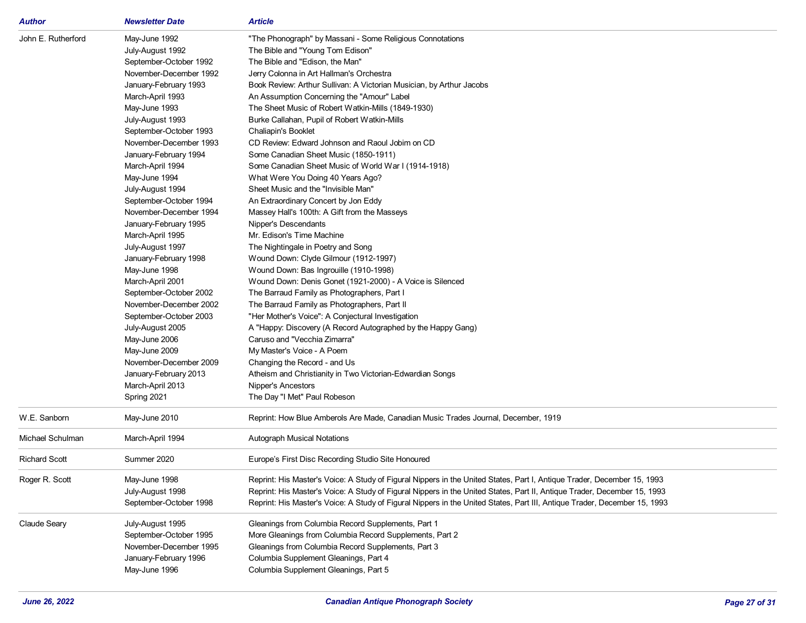| <b>Author</b>        | <b>Newsletter Date</b> | <b>Article</b>                                                                                                            |
|----------------------|------------------------|---------------------------------------------------------------------------------------------------------------------------|
| John E. Rutherford   | May-June 1992          | "The Phonograph" by Massani - Some Religious Connotations                                                                 |
|                      | July-August 1992       | The Bible and "Young Tom Edison"                                                                                          |
|                      | September-October 1992 | The Bible and "Edison, the Man"                                                                                           |
|                      | November-December 1992 | Jerry Colonna in Art Hallman's Orchestra                                                                                  |
|                      | January-February 1993  | Book Review: Arthur Sullivan: A Victorian Musician, by Arthur Jacobs                                                      |
|                      | March-April 1993       | An Assumption Concerning the "Amour" Label                                                                                |
|                      | May-June 1993          | The Sheet Music of Robert Watkin-Mills (1849-1930)                                                                        |
|                      | July-August 1993       | Burke Callahan, Pupil of Robert Watkin-Mills                                                                              |
|                      | September-October 1993 | Chaliapin's Booklet                                                                                                       |
|                      | November-December 1993 | CD Review: Edward Johnson and Raoul Jobim on CD                                                                           |
|                      | January-February 1994  | Some Canadian Sheet Music (1850-1911)                                                                                     |
|                      | March-April 1994       | Some Canadian Sheet Music of World War I (1914-1918)                                                                      |
|                      | May-June 1994          | What Were You Doing 40 Years Ago?                                                                                         |
|                      | July-August 1994       | Sheet Music and the "Invisible Man"                                                                                       |
|                      | September-October 1994 | An Extraordinary Concert by Jon Eddy                                                                                      |
|                      | November-December 1994 | Massey Hall's 100th: A Gift from the Masseys                                                                              |
|                      | January-February 1995  | Nipper's Descendants                                                                                                      |
|                      | March-April 1995       | Mr. Edison's Time Machine                                                                                                 |
|                      | July-August 1997       | The Nightingale in Poetry and Song                                                                                        |
|                      | January-February 1998  | Wound Down: Clyde Gilmour (1912-1997)                                                                                     |
|                      | May-June 1998          | Wound Down: Bas Ingrouille (1910-1998)                                                                                    |
|                      | March-April 2001       | Wound Down: Denis Gonet (1921-2000) - A Voice is Silenced                                                                 |
|                      | September-October 2002 | The Barraud Family as Photographers, Part I                                                                               |
|                      | November-December 2002 | The Barraud Family as Photographers, Part II                                                                              |
|                      | September-October 2003 | "Her Mother's Voice": A Conjectural Investigation                                                                         |
|                      | July-August 2005       | A "Happy: Discovery (A Record Autographed by the Happy Gang)                                                              |
|                      | May-June 2006          | Caruso and "Vecchia Zimarra"                                                                                              |
|                      | May-June 2009          | My Master's Voice - A Poem                                                                                                |
|                      | November-December 2009 | Changing the Record - and Us                                                                                              |
|                      | January-February 2013  | Atheism and Christianity in Two Victorian-Edwardian Songs                                                                 |
|                      | March-April 2013       | Nipper's Ancestors                                                                                                        |
|                      | Spring 2021            | The Day "I Met" Paul Robeson                                                                                              |
| W.E. Sanborn         | May-June 2010          | Reprint: How Blue Amberols Are Made, Canadian Music Trades Journal, December, 1919                                        |
|                      |                        |                                                                                                                           |
| Michael Schulman     | March-April 1994       | Autograph Musical Notations                                                                                               |
| <b>Richard Scott</b> | Summer 2020            | Europe's First Disc Recording Studio Site Honoured                                                                        |
| Roger R. Scott       | May-June 1998          | Reprint: His Master's Voice: A Study of Figural Nippers in the United States, Part I, Antique Trader, December 15, 1993   |
|                      | July-August 1998       | Reprint: His Master's Voice: A Study of Figural Nippers in the United States, Part II, Antique Trader, December 15, 1993  |
|                      | September-October 1998 | Reprint: His Master's Voice: A Study of Figural Nippers in the United States, Part III, Antique Trader, December 15, 1993 |
| <b>Claude Seary</b>  | July-August 1995       | Gleanings from Columbia Record Supplements, Part 1                                                                        |
|                      | September-October 1995 | More Gleanings from Columbia Record Supplements, Part 2                                                                   |
|                      | November-December 1995 | Gleanings from Columbia Record Supplements, Part 3                                                                        |
|                      | January-February 1996  | Columbia Supplement Gleanings, Part 4                                                                                     |
|                      | May-June 1996          | Columbia Supplement Gleanings, Part 5                                                                                     |
|                      |                        |                                                                                                                           |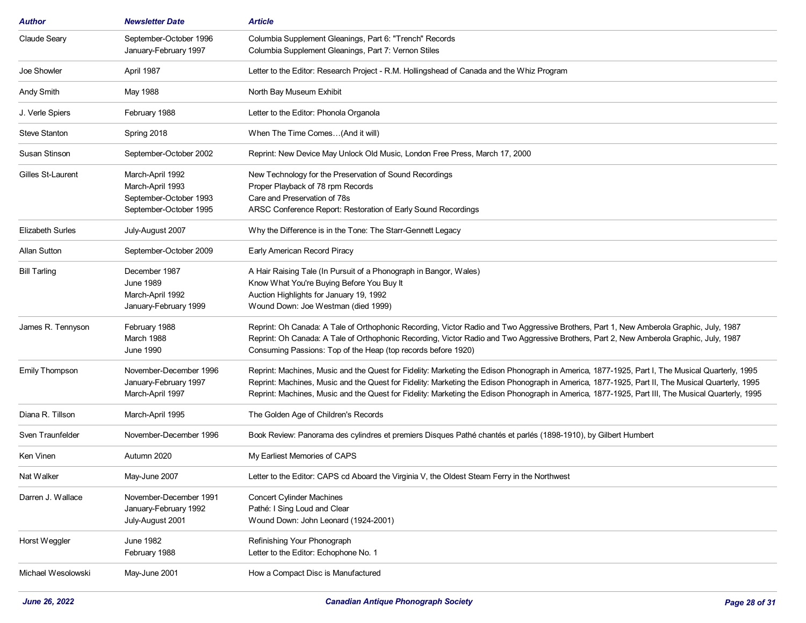| <b>Author</b>           | <b>Newsletter Date</b>                                                                   | <b>Article</b>                                                                                                                                                                                                                                                                                                                                                                                                                                           |
|-------------------------|------------------------------------------------------------------------------------------|----------------------------------------------------------------------------------------------------------------------------------------------------------------------------------------------------------------------------------------------------------------------------------------------------------------------------------------------------------------------------------------------------------------------------------------------------------|
| Claude Seary            | September-October 1996<br>January-February 1997                                          | Columbia Supplement Gleanings, Part 6: "Trench" Records<br>Columbia Supplement Gleanings, Part 7: Vernon Stiles                                                                                                                                                                                                                                                                                                                                          |
| Joe Showler             | April 1987                                                                               | Letter to the Editor: Research Project - R.M. Hollingshead of Canada and the Whiz Program                                                                                                                                                                                                                                                                                                                                                                |
| Andy Smith              | May 1988                                                                                 | North Bay Museum Exhibit                                                                                                                                                                                                                                                                                                                                                                                                                                 |
| J. Verle Spiers         | February 1988                                                                            | Letter to the Editor: Phonola Organola                                                                                                                                                                                                                                                                                                                                                                                                                   |
| <b>Steve Stanton</b>    | Spring 2018                                                                              | When The Time Comes(And it will)                                                                                                                                                                                                                                                                                                                                                                                                                         |
| Susan Stinson           | September-October 2002                                                                   | Reprint: New Device May Unlock Old Music, London Free Press, March 17, 2000                                                                                                                                                                                                                                                                                                                                                                              |
| Gilles St-Laurent       | March-April 1992<br>March-April 1993<br>September-October 1993<br>September-October 1995 | New Technology for the Preservation of Sound Recordings<br>Proper Playback of 78 rpm Records<br>Care and Preservation of 78s<br>ARSC Conference Report: Restoration of Early Sound Recordings                                                                                                                                                                                                                                                            |
| <b>Elizabeth Surles</b> | July-August 2007                                                                         | Why the Difference is in the Tone: The Starr-Gennett Legacy                                                                                                                                                                                                                                                                                                                                                                                              |
| <b>Allan Sutton</b>     | September-October 2009                                                                   | Early American Record Piracy                                                                                                                                                                                                                                                                                                                                                                                                                             |
| <b>Bill Tarling</b>     | December 1987<br><b>June 1989</b><br>March-April 1992<br>January-February 1999           | A Hair Raising Tale (In Pursuit of a Phonograph in Bangor, Wales)<br>Know What You're Buying Before You Buy It<br>Auction Highlights for January 19, 1992<br>Wound Down: Joe Westman (died 1999)                                                                                                                                                                                                                                                         |
| James R. Tennyson       | February 1988<br>March 1988<br><b>June 1990</b>                                          | Reprint: Oh Canada: A Tale of Orthophonic Recording, Victor Radio and Two Aggressive Brothers, Part 1, New Amberola Graphic, July, 1987<br>Reprint: Oh Canada: A Tale of Orthophonic Recording, Victor Radio and Two Aggressive Brothers, Part 2, New Amberola Graphic, July, 1987<br>Consuming Passions: Top of the Heap (top records before 1920)                                                                                                      |
| <b>Emily Thompson</b>   | November-December 1996<br>January-February 1997<br>March-April 1997                      | Reprint: Machines, Music and the Quest for Fidelity: Marketing the Edison Phonograph in America, 1877-1925, Part I, The Musical Quarterly, 1995<br>Reprint: Machines, Music and the Quest for Fidelity: Marketing the Edison Phonograph in America, 1877-1925, Part II, The Musical Quarterly, 1995<br>Reprint: Machines, Music and the Quest for Fidelity: Marketing the Edison Phonograph in America, 1877-1925, Part III, The Musical Quarterly, 1995 |
| Diana R. Tillson        | March-April 1995                                                                         | The Golden Age of Children's Records                                                                                                                                                                                                                                                                                                                                                                                                                     |
| Sven Traunfelder        | November-December 1996                                                                   | Book Review: Panorama des cylindres et premiers Disques Pathé chantés et parlés (1898-1910), by Gilbert Humbert                                                                                                                                                                                                                                                                                                                                          |
| Ken Vinen               | Autumn 2020                                                                              | My Earliest Memories of CAPS                                                                                                                                                                                                                                                                                                                                                                                                                             |
| Nat Walker              | May-June 2007                                                                            | Letter to the Editor: CAPS cd Aboard the Virginia V, the Oldest Steam Ferry in the Northwest                                                                                                                                                                                                                                                                                                                                                             |
| Darren J. Wallace       | November-December 1991<br>January-February 1992<br>July-August 2001                      | <b>Concert Cylinder Machines</b><br>Pathé: I Sing Loud and Clear<br>Wound Down: John Leonard (1924-2001)                                                                                                                                                                                                                                                                                                                                                 |
| Horst Weggler           | <b>June 1982</b><br>February 1988                                                        | Refinishing Your Phonograph<br>Letter to the Editor: Echophone No. 1                                                                                                                                                                                                                                                                                                                                                                                     |
| Michael Wesolowski      | May-June 2001                                                                            | How a Compact Disc is Manufactured                                                                                                                                                                                                                                                                                                                                                                                                                       |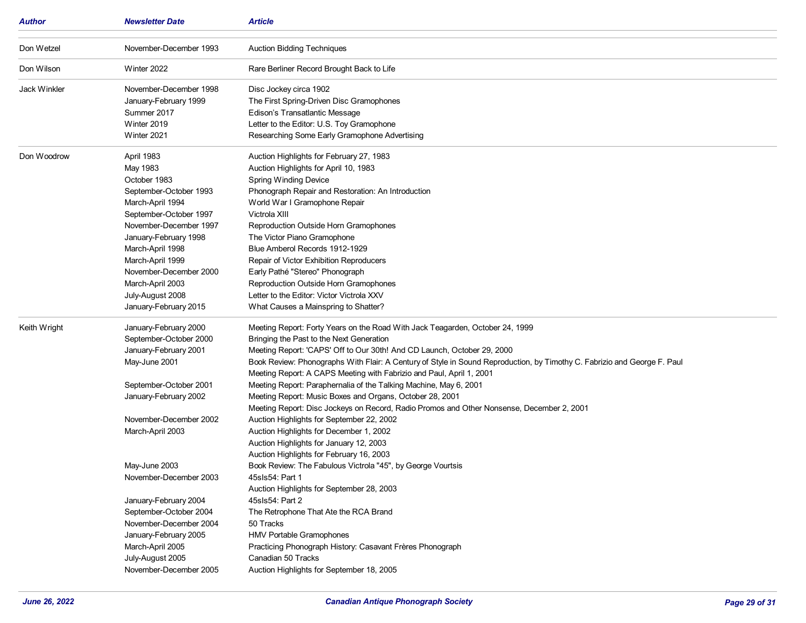| Author              | <b>Newsletter Date</b>                                                                                                                                                                                                                                                                                                                                                                                        | <b>Article</b>                                                                                                                                                                                                                                                                                                                                                                                                                                                                                                                                                                                                                                                                                                                                                                                                                                                                                                                                                                                                                                                                                                                                                                            |
|---------------------|---------------------------------------------------------------------------------------------------------------------------------------------------------------------------------------------------------------------------------------------------------------------------------------------------------------------------------------------------------------------------------------------------------------|-------------------------------------------------------------------------------------------------------------------------------------------------------------------------------------------------------------------------------------------------------------------------------------------------------------------------------------------------------------------------------------------------------------------------------------------------------------------------------------------------------------------------------------------------------------------------------------------------------------------------------------------------------------------------------------------------------------------------------------------------------------------------------------------------------------------------------------------------------------------------------------------------------------------------------------------------------------------------------------------------------------------------------------------------------------------------------------------------------------------------------------------------------------------------------------------|
| Don Wetzel          | November-December 1993                                                                                                                                                                                                                                                                                                                                                                                        | <b>Auction Bidding Techniques</b>                                                                                                                                                                                                                                                                                                                                                                                                                                                                                                                                                                                                                                                                                                                                                                                                                                                                                                                                                                                                                                                                                                                                                         |
| Don Wilson          | Winter 2022                                                                                                                                                                                                                                                                                                                                                                                                   | Rare Berliner Record Brought Back to Life                                                                                                                                                                                                                                                                                                                                                                                                                                                                                                                                                                                                                                                                                                                                                                                                                                                                                                                                                                                                                                                                                                                                                 |
| <b>Jack Winkler</b> | November-December 1998<br>January-February 1999<br>Summer 2017<br>Winter 2019<br>Winter 2021                                                                                                                                                                                                                                                                                                                  | Disc Jockey circa 1902<br>The First Spring-Driven Disc Gramophones<br>Edison's Transatlantic Message<br>Letter to the Editor: U.S. Toy Gramophone<br>Researching Some Early Gramophone Advertising                                                                                                                                                                                                                                                                                                                                                                                                                                                                                                                                                                                                                                                                                                                                                                                                                                                                                                                                                                                        |
| Don Woodrow         | April 1983<br>May 1983<br>October 1983<br>September-October 1993<br>March-April 1994<br>September-October 1997<br>November-December 1997<br>January-February 1998<br>March-April 1998<br>March-April 1999<br>November-December 2000<br>March-April 2003<br>July-August 2008<br>January-February 2015                                                                                                          | Auction Highlights for February 27, 1983<br>Auction Highlights for April 10, 1983<br><b>Spring Winding Device</b><br>Phonograph Repair and Restoration: An Introduction<br>World War I Gramophone Repair<br>Victrola XIII<br>Reproduction Outside Horn Gramophones<br>The Victor Piano Gramophone<br>Blue Amberol Records 1912-1929<br>Repair of Victor Exhibition Reproducers<br>Early Pathé "Stereo" Phonograph<br>Reproduction Outside Horn Gramophones<br>Letter to the Editor: Victor Victrola XXV<br>What Causes a Mainspring to Shatter?                                                                                                                                                                                                                                                                                                                                                                                                                                                                                                                                                                                                                                           |
| Keith Wright        | January-February 2000<br>September-October 2000<br>January-February 2001<br>May-June 2001<br>September-October 2001<br>January-February 2002<br>November-December 2002<br>March-April 2003<br>May-June 2003<br>November-December 2003<br>January-February 2004<br>September-October 2004<br>November-December 2004<br>January-February 2005<br>March-April 2005<br>July-August 2005<br>November-December 2005 | Meeting Report: Forty Years on the Road With Jack Teagarden, October 24, 1999<br>Bringing the Past to the Next Generation<br>Meeting Report: 'CAPS' Off to Our 30th! And CD Launch, October 29, 2000<br>Book Review: Phonographs With Flair: A Century of Style in Sound Reproduction, by Timothy C. Fabrizio and George F. Paul<br>Meeting Report: A CAPS Meeting with Fabrizio and Paul, April 1, 2001<br>Meeting Report: Paraphernalia of the Talking Machine, May 6, 2001<br>Meeting Report: Music Boxes and Organs, October 28, 2001<br>Meeting Report: Disc Jockeys on Record, Radio Promos and Other Nonsense, December 2, 2001<br>Auction Highlights for September 22, 2002<br>Auction Highlights for December 1, 2002<br>Auction Highlights for January 12, 2003<br>Auction Highlights for February 16, 2003<br>Book Review: The Fabulous Victrola "45", by George Vourtsis<br>45sls54: Part 1<br>Auction Highlights for September 28, 2003<br>45sls54: Part 2<br>The Retrophone That Ate the RCA Brand<br>50 Tracks<br>HMV Portable Gramophones<br>Practicing Phonograph History: Casavant Frères Phonograph<br>Canadian 50 Tracks<br>Auction Highlights for September 18, 2005 |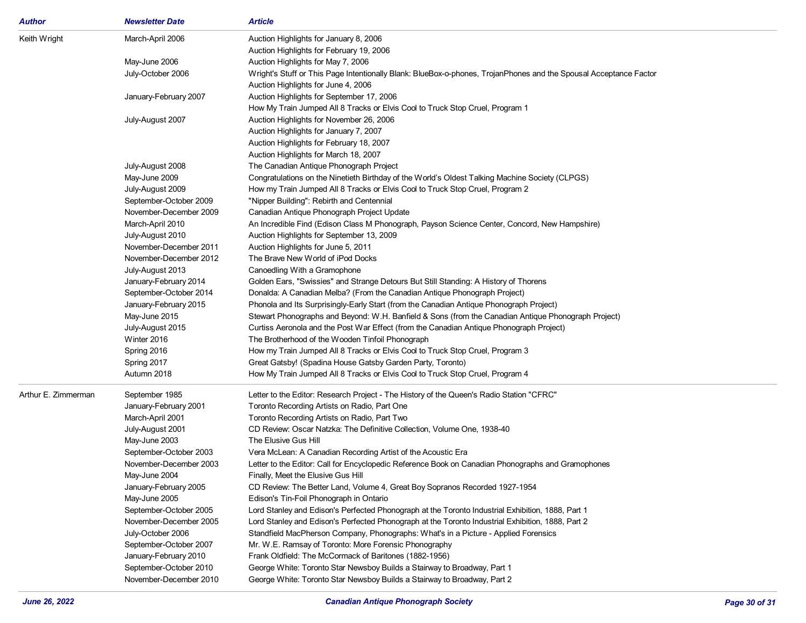| <b>Author</b>       | <b>Newsletter Date</b> | <b>Article</b>                                                                                                    |
|---------------------|------------------------|-------------------------------------------------------------------------------------------------------------------|
| Keith Wright        | March-April 2006       | Auction Highlights for January 8, 2006                                                                            |
|                     |                        | Auction Highlights for February 19, 2006                                                                          |
|                     | May-June 2006          | Auction Highlights for May 7, 2006                                                                                |
|                     | July-October 2006      | Wright's Stuff or This Page Intentionally Blank: BlueBox-o-phones, TrojanPhones and the Spousal Acceptance Factor |
|                     |                        | Auction Highlights for June 4, 2006                                                                               |
|                     | January-February 2007  | Auction Highlights for September 17, 2006                                                                         |
|                     |                        | How My Train Jumped All 8 Tracks or Elvis Cool to Truck Stop Cruel, Program 1                                     |
|                     | July-August 2007       | Auction Highlights for November 26, 2006                                                                          |
|                     |                        | Auction Highlights for January 7, 2007                                                                            |
|                     |                        | Auction Highlights for February 18, 2007                                                                          |
|                     |                        | Auction Highlights for March 18, 2007                                                                             |
|                     | July-August 2008       | The Canadian Antique Phonograph Project                                                                           |
|                     | May-June 2009          | Congratulations on the Ninetieth Birthday of the World's Oldest Talking Machine Society (CLPGS)                   |
|                     | July-August 2009       | How my Train Jumped All 8 Tracks or Elvis Cool to Truck Stop Cruel, Program 2                                     |
|                     | September-October 2009 | "Nipper Building": Rebirth and Centennial                                                                         |
|                     | November-December 2009 | Canadian Antique Phonograph Project Update                                                                        |
|                     | March-April 2010       | An Incredible Find (Edison Class M Phonograph, Payson Science Center, Concord, New Hampshire)                     |
|                     | July-August 2010       | Auction Highlights for September 13, 2009                                                                         |
|                     | November-December 2011 | Auction Highlights for June 5, 2011                                                                               |
|                     | November-December 2012 | The Brave New World of iPod Docks                                                                                 |
|                     | July-August 2013       | Canoedling With a Gramophone                                                                                      |
|                     | January-February 2014  | Golden Ears, "Swissies" and Strange Detours But Still Standing: A History of Thorens                              |
|                     | September-October 2014 | Donalda: A Canadian Melba? (From the Canadian Antique Phonograph Project)                                         |
|                     | January-February 2015  | Phonola and Its Surprisingly-Early Start (from the Canadian Antique Phonograph Project)                           |
|                     | May-June 2015          | Stewart Phonographs and Beyond: W.H. Banfield & Sons (from the Canadian Antique Phonograph Project)               |
|                     | July-August 2015       | Curtiss Aeronola and the Post War Effect (from the Canadian Antique Phonograph Project)                           |
|                     | Winter 2016            | The Brotherhood of the Wooden Tinfoil Phonograph                                                                  |
|                     | Spring 2016            | How my Train Jumped All 8 Tracks or Elvis Cool to Truck Stop Cruel, Program 3                                     |
|                     | Spring 2017            | Great Gatsby! (Spadina House Gatsby Garden Party, Toronto)                                                        |
|                     | Autumn 2018            | How My Train Jumped All 8 Tracks or Elvis Cool to Truck Stop Cruel, Program 4                                     |
| Arthur E. Zimmerman | September 1985         | Letter to the Editor: Research Project - The History of the Queen's Radio Station "CFRC"                          |
|                     | January-February 2001  | Toronto Recording Artists on Radio, Part One                                                                      |
|                     | March-April 2001       | Toronto Recording Artists on Radio, Part Two                                                                      |
|                     | July-August 2001       | CD Review: Oscar Natzka: The Definitive Collection, Volume One, 1938-40                                           |
|                     | May-June 2003          | The Elusive Gus Hill                                                                                              |
|                     | September-October 2003 | Vera McLean: A Canadian Recording Artist of the Acoustic Era                                                      |
|                     | November-December 2003 | Letter to the Editor: Call for Encyclopedic Reference Book on Canadian Phonographs and Gramophones                |
|                     | May-June 2004          | Finally, Meet the Elusive Gus Hill                                                                                |
|                     | January-February 2005  | CD Review: The Better Land, Volume 4, Great Boy Sopranos Recorded 1927-1954                                       |
|                     | May-June 2005          | Edison's Tin-Foil Phonograph in Ontario                                                                           |
|                     | September-October 2005 | Lord Stanley and Edison's Perfected Phonograph at the Toronto Industrial Exhibition, 1888, Part 1                 |
|                     | November-December 2005 | Lord Stanley and Edison's Perfected Phonograph at the Toronto Industrial Exhibition, 1888, Part 2                 |
|                     | July-October 2006      | Standfield MacPherson Company, Phonographs: What's in a Picture - Applied Forensics                               |
|                     | September-October 2007 | Mr. W.E. Ramsay of Toronto: More Forensic Phonography                                                             |
|                     | January-February 2010  | Frank Oldfield: The McCormack of Baritones (1882-1956)                                                            |
|                     | September-October 2010 | George White: Toronto Star Newsboy Builds a Stairway to Broadway, Part 1                                          |
|                     | November-December 2010 | George White: Toronto Star Newsboy Builds a Stairway to Broadway, Part 2                                          |